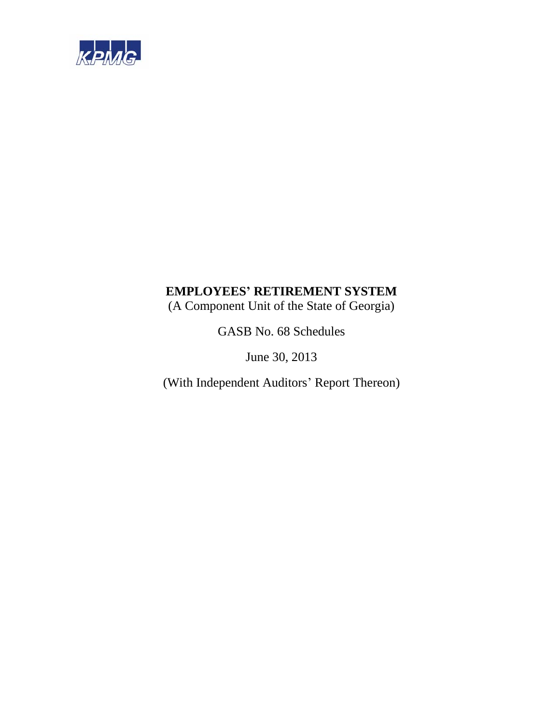

(A Component Unit of the State of Georgia)

GASB No. 68 Schedules

June 30, 2013

(With Independent Auditors' Report Thereon)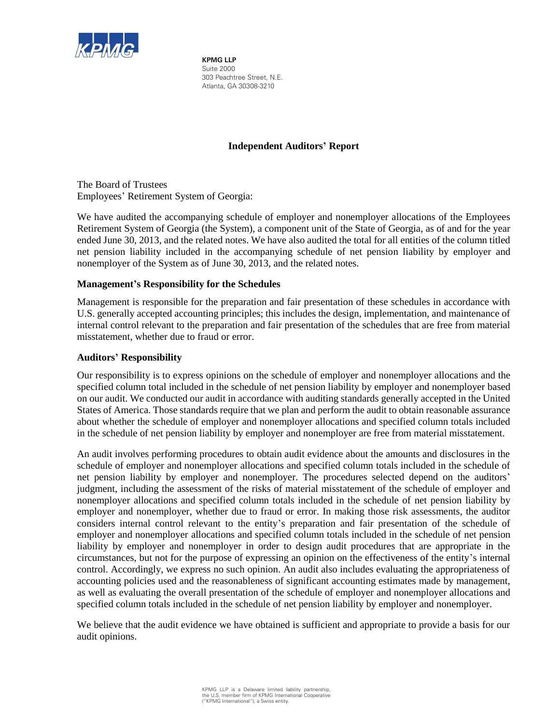

**KPMG LLP** Suite 2000 303 Peachtree Street, N.E. Atlanta, GA 30308-3210

# **Independent Auditors' Report**

The Board of Trustees Employees' Retirement System of Georgia:

We have audited the accompanying schedule of employer and nonemployer allocations of the Employees Retirement System of Georgia (the System), a component unit of the State of Georgia, as of and for the year ended June 30, 2013, and the related notes. We have also audited the total for all entities of the column titled net pension liability included in the accompanying schedule of net pension liability by employer and nonemployer of the System as of June 30, 2013, and the related notes.

# **Management's Responsibility for the Schedules**

Management is responsible for the preparation and fair presentation of these schedules in accordance with U.S. generally accepted accounting principles; this includes the design, implementation, and maintenance of internal control relevant to the preparation and fair presentation of the schedules that are free from material misstatement, whether due to fraud or error.

# **Auditors' Responsibility**

Our responsibility is to express opinions on the schedule of employer and nonemployer allocations and the specified column total included in the schedule of net pension liability by employer and nonemployer based on our audit. We conducted our audit in accordance with auditing standards generally accepted in the United States of America. Those standards require that we plan and perform the audit to obtain reasonable assurance about whether the schedule of employer and nonemployer allocations and specified column totals included in the schedule of net pension liability by employer and nonemployer are free from material misstatement.

An audit involves performing procedures to obtain audit evidence about the amounts and disclosures in the schedule of employer and nonemployer allocations and specified column totals included in the schedule of net pension liability by employer and nonemployer. The procedures selected depend on the auditors' judgment, including the assessment of the risks of material misstatement of the schedule of employer and nonemployer allocations and specified column totals included in the schedule of net pension liability by employer and nonemployer, whether due to fraud or error. In making those risk assessments, the auditor considers internal control relevant to the entity's preparation and fair presentation of the schedule of employer and nonemployer allocations and specified column totals included in the schedule of net pension liability by employer and nonemployer in order to design audit procedures that are appropriate in the circumstances, but not for the purpose of expressing an opinion on the effectiveness of the entity's internal control. Accordingly, we express no such opinion. An audit also includes evaluating the appropriateness of accounting policies used and the reasonableness of significant accounting estimates made by management, as well as evaluating the overall presentation of the schedule of employer and nonemployer allocations and specified column totals included in the schedule of net pension liability by employer and nonemployer.

We believe that the audit evidence we have obtained is sufficient and appropriate to provide a basis for our audit opinions.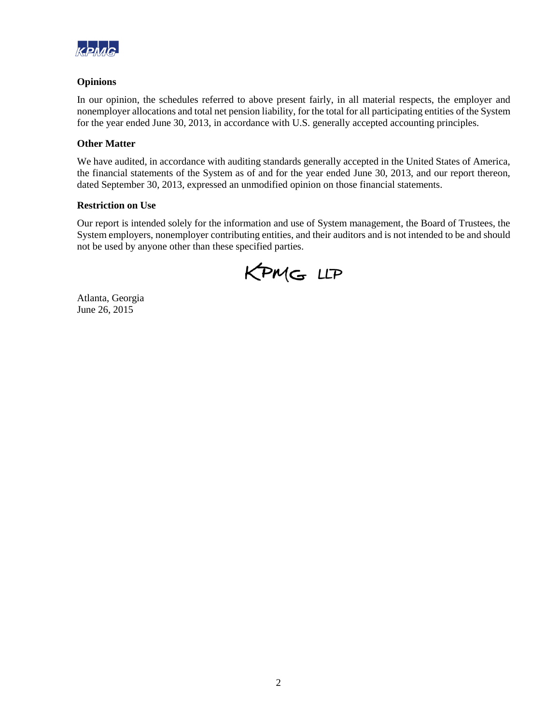

# **Opinions**

In our opinion, the schedules referred to above present fairly, in all material respects, the employer and nonemployer allocations and total net pension liability, for the total for all participating entities of the System for the year ended June 30, 2013, in accordance with U.S. generally accepted accounting principles.

# **Other Matter**

We have audited, in accordance with auditing standards generally accepted in the United States of America, the financial statements of the System as of and for the year ended June 30, 2013, and our report thereon, dated September 30, 2013, expressed an unmodified opinion on those financial statements.

# **Restriction on Use**

Our report is intended solely for the information and use of System management, the Board of Trustees, the System employers, nonemployer contributing entities, and their auditors and is not intended to be and should not be used by anyone other than these specified parties.

KPMG LLP

Atlanta, Georgia June 26, 2015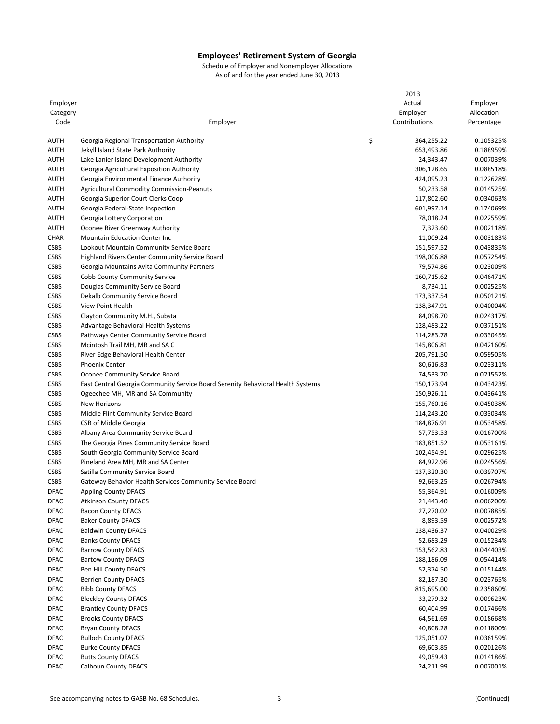|                              |                                                                                 | 2013             |            |
|------------------------------|---------------------------------------------------------------------------------|------------------|------------|
| Employer                     |                                                                                 | Actual           | Employer   |
| Category                     |                                                                                 | Employer         | Allocation |
| <u>Code</u>                  | Employer                                                                        | Contributions    | Percentage |
|                              |                                                                                 |                  |            |
| <b>AUTH</b>                  | Georgia Regional Transportation Authority                                       | \$<br>364,255.22 | 0.105325%  |
| <b>AUTH</b>                  | Jekyll Island State Park Authority                                              | 653,493.86       | 0.188959%  |
| <b>AUTH</b>                  | Lake Lanier Island Development Authority                                        | 24,343.47        | 0.007039%  |
| <b>AUTH</b>                  | Georgia Agricultural Exposition Authority                                       | 306,128.65       | 0.088518%  |
| <b>AUTH</b>                  | Georgia Environmental Finance Authority                                         | 424,095.23       | 0.122628%  |
| <b>AUTH</b>                  | <b>Agricultural Commodity Commission-Peanuts</b>                                | 50,233.58        | 0.014525%  |
| <b>AUTH</b>                  | Georgia Superior Court Clerks Coop                                              | 117,802.60       | 0.034063%  |
| <b>AUTH</b>                  | Georgia Federal-State Inspection                                                | 601,997.14       | 0.174069%  |
| <b>AUTH</b>                  | Georgia Lottery Corporation                                                     | 78,018.24        | 0.022559%  |
| <b>AUTH</b>                  | Oconee River Greenway Authority                                                 | 7,323.60         | 0.002118%  |
| <b>CHAR</b>                  | <b>Mountain Education Center Inc.</b>                                           | 11,009.24        | 0.003183%  |
| <b>CSBS</b>                  | Lookout Mountain Community Service Board                                        | 151,597.52       | 0.043835%  |
| <b>CSBS</b>                  | Highland Rivers Center Community Service Board                                  | 198,006.88       | 0.057254%  |
| <b>CSBS</b>                  | Georgia Mountains Avita Community Partners                                      | 79,574.86        | 0.023009%  |
| <b>CSBS</b>                  | Cobb County Community Service                                                   | 160,715.62       | 0.046471%  |
| <b>CSBS</b>                  | Douglas Community Service Board                                                 | 8,734.11         | 0.002525%  |
| <b>CSBS</b>                  | Dekalb Community Service Board                                                  | 173,337.54       | 0.050121%  |
|                              |                                                                                 |                  |            |
| <b>CSBS</b>                  | View Point Health                                                               | 138,347.91       | 0.040004%  |
| <b>CSBS</b>                  | Clayton Community M.H., Substa                                                  | 84,098.70        | 0.024317%  |
| <b>CSBS</b>                  | Advantage Behavioral Health Systems                                             | 128,483.22       | 0.037151%  |
| CSBS                         | Pathways Center Community Service Board                                         | 114,283.78       | 0.033045%  |
| <b>CSBS</b>                  | Mcintosh Trail MH, MR and SA C                                                  | 145,806.81       | 0.042160%  |
| <b>CSBS</b>                  | River Edge Behavioral Health Center                                             | 205,791.50       | 0.059505%  |
| <b>CSBS</b>                  | <b>Phoenix Center</b>                                                           | 80,616.83        | 0.023311%  |
| <b>CSBS</b>                  | Oconee Community Service Board                                                  | 74,533.70        | 0.021552%  |
| <b>CSBS</b>                  | East Central Georgia Community Service Board Serenity Behavioral Health Systems | 150,173.94       | 0.043423%  |
| <b>CSBS</b>                  | Ogeechee MH, MR and SA Community                                                | 150,926.11       | 0.043641%  |
| <b>CSBS</b>                  | New Horizons                                                                    | 155,760.16       | 0.045038%  |
| <b>CSBS</b>                  | Middle Flint Community Service Board                                            | 114,243.20       | 0.033034%  |
| <b>CSBS</b>                  | CSB of Middle Georgia                                                           | 184,876.91       | 0.053458%  |
| <b>CSBS</b>                  | Albany Area Community Service Board                                             | 57,753.53        | 0.016700%  |
| <b>CSBS</b>                  | The Georgia Pines Community Service Board                                       | 183,851.52       | 0.053161%  |
| <b>CSBS</b>                  | South Georgia Community Service Board                                           | 102,454.91       | 0.029625%  |
| <b>CSBS</b>                  | Pineland Area MH, MR and SA Center                                              | 84,922.96        | 0.024556%  |
| <b>CSBS</b>                  | Satilla Community Service Board                                                 | 137,320.30       | 0.039707%  |
| <b>CSBS</b>                  | Gateway Behavior Health Services Community Service Board                        | 92,663.25        | 0.026794%  |
| <b>DFAC</b>                  | <b>Appling County DFACS</b>                                                     | 55,364.91        | 0.016009%  |
| <b>DFAC</b>                  | <b>Atkinson County DFACS</b>                                                    | 21,443.40        | 0.006200%  |
| <b>DFAC</b>                  | <b>Bacon County DFACS</b>                                                       | 27,270.02        | 0.007885%  |
| <b>DFAC</b>                  | <b>Baker County DFACS</b>                                                       | 8,893.59         | 0.002572%  |
| <b>DFAC</b>                  | <b>Baldwin County DFACS</b>                                                     | 138,436.37       | 0.040029%  |
| <b>DFAC</b>                  | <b>Banks County DFACS</b>                                                       | 52,683.29        | 0.015234%  |
| DFAC                         | <b>Barrow County DFACS</b>                                                      | 153,562.83       | 0.044403%  |
| DFAC                         | <b>Bartow County DFACS</b>                                                      | 188,186.09       |            |
|                              | Ben Hill County DFACS                                                           |                  | 0.054414%  |
| DFAC                         |                                                                                 | 52,374.50        | 0.015144%  |
| <b>DFAC</b>                  | <b>Berrien County DFACS</b>                                                     | 82,187.30        | 0.023765%  |
| <b>DFAC</b>                  | <b>Bibb County DFACS</b>                                                        | 815,695.00       | 0.235860%  |
| DFAC                         | <b>Bleckley County DFACS</b>                                                    | 33,279.32        | 0.009623%  |
| DFAC                         | <b>Brantley County DFACS</b>                                                    | 60,404.99        | 0.017466%  |
| <b>DFAC</b>                  | <b>Brooks County DFACS</b>                                                      | 64,561.69        | 0.018668%  |
| <b>DFAC</b>                  | <b>Bryan County DFACS</b>                                                       | 40,808.28        | 0.011800%  |
| <b>DFAC</b>                  | <b>Bulloch County DFACS</b>                                                     | 125,051.07       | 0.036159%  |
| $\ensuremath{\mathsf{DFAC}}$ | <b>Burke County DFACS</b>                                                       | 69,603.85        | 0.020126%  |
| <b>DFAC</b>                  | <b>Butts County DFACS</b>                                                       | 49,059.43        | 0.014186%  |
| <b>DFAC</b>                  | Calhoun County DFACS                                                            | 24,211.99        | 0.007001%  |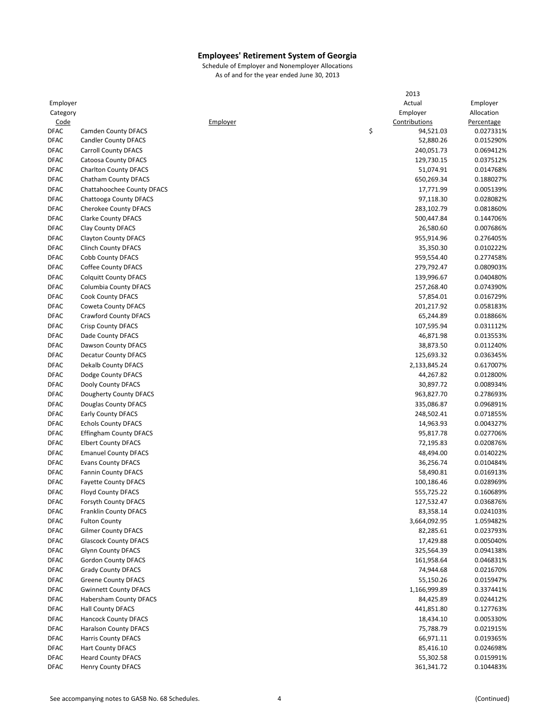|             |                               |          | 2013            |            |
|-------------|-------------------------------|----------|-----------------|------------|
| Employer    |                               |          | Actual          | Employer   |
| Category    |                               |          | Employer        | Allocation |
| Code        |                               | Employer | Contributions   | Percentage |
| <b>DFAC</b> | <b>Camden County DFACS</b>    |          | \$<br>94,521.03 | 0.027331%  |
| <b>DFAC</b> | <b>Candler County DFACS</b>   |          | 52,880.26       | 0.015290%  |
| <b>DFAC</b> | <b>Carroll County DFACS</b>   |          | 240,051.73      | 0.069412%  |
| <b>DFAC</b> | Catoosa County DFACS          |          | 129,730.15      | 0.037512%  |
| <b>DFAC</b> | <b>Charlton County DFACS</b>  |          | 51,074.91       | 0.014768%  |
| <b>DFAC</b> | Chatham County DFACS          |          | 650,269.34      | 0.188027%  |
| <b>DFAC</b> | Chattahoochee County DFACS    |          | 17,771.99       | 0.005139%  |
|             |                               |          |                 |            |
| <b>DFAC</b> | Chattooga County DFACS        |          | 97,118.30       | 0.028082%  |
| <b>DFAC</b> | <b>Cherokee County DFACS</b>  |          | 283,102.79      | 0.081860%  |
| <b>DFAC</b> | <b>Clarke County DFACS</b>    |          | 500,447.84      | 0.144706%  |
| <b>DFAC</b> | Clay County DFACS             |          | 26,580.60       | 0.007686%  |
| <b>DFAC</b> | <b>Clayton County DFACS</b>   |          | 955,914.96      | 0.276405%  |
| <b>DFAC</b> | <b>Clinch County DFACS</b>    |          | 35,350.30       | 0.010222%  |
| <b>DFAC</b> | Cobb County DFACS             |          | 959,554.40      | 0.277458%  |
| <b>DFAC</b> | Coffee County DFACS           |          | 279,792.47      | 0.080903%  |
| <b>DFAC</b> | <b>Colquitt County DFACS</b>  |          | 139,996.67      | 0.040480%  |
| <b>DFAC</b> | Columbia County DFACS         |          | 257,268.40      | 0.074390%  |
| <b>DFAC</b> | Cook County DFACS             |          | 57,854.01       | 0.016729%  |
| <b>DFAC</b> | Coweta County DFACS           |          | 201,217.92      | 0.058183%  |
| <b>DFAC</b> | Crawford County DFACS         |          | 65,244.89       | 0.018866%  |
| <b>DFAC</b> | <b>Crisp County DFACS</b>     |          | 107,595.94      | 0.031112%  |
| <b>DFAC</b> | Dade County DFACS             |          | 46,871.98       | 0.013553%  |
| <b>DFAC</b> | Dawson County DFACS           |          | 38,873.50       | 0.011240%  |
| <b>DFAC</b> | Decatur County DFACS          |          | 125,693.32      | 0.036345%  |
|             |                               |          |                 |            |
| <b>DFAC</b> | Dekalb County DFACS           |          | 2,133,845.24    | 0.617007%  |
| <b>DFAC</b> | Dodge County DFACS            |          | 44,267.82       | 0.012800%  |
| <b>DFAC</b> | Dooly County DFACS            |          | 30,897.72       | 0.008934%  |
| <b>DFAC</b> | Dougherty County DFACS        |          | 963,827.70      | 0.278693%  |
| <b>DFAC</b> | Douglas County DFACS          |          | 335,086.87      | 0.096891%  |
| <b>DFAC</b> | <b>Early County DFACS</b>     |          | 248,502.41      | 0.071855%  |
| <b>DFAC</b> | <b>Echols County DFACS</b>    |          | 14,963.93       | 0.004327%  |
| <b>DFAC</b> | <b>Effingham County DFACS</b> |          | 95,817.78       | 0.027706%  |
| <b>DFAC</b> | <b>Elbert County DFACS</b>    |          | 72,195.83       | 0.020876%  |
| <b>DFAC</b> | <b>Emanuel County DFACS</b>   |          | 48,494.00       | 0.014022%  |
| <b>DFAC</b> | <b>Evans County DFACS</b>     |          | 36,256.74       | 0.010484%  |
| <b>DFAC</b> | <b>Fannin County DFACS</b>    |          | 58,490.81       | 0.016913%  |
| <b>DFAC</b> | <b>Fayette County DFACS</b>   |          | 100,186.46      | 0.028969%  |
| <b>DFAC</b> | <b>Floyd County DFACS</b>     |          | 555,725.22      | 0.160689%  |
| <b>DFAC</b> | Forsyth County DFACS          |          | 127,532.47      | 0.036876%  |
| <b>DFAC</b> | <b>Franklin County DFACS</b>  |          | 83,358.14       | 0.024103%  |
| <b>DFAC</b> | <b>Fulton County</b>          |          | 3,664,092.95    | 1.059482%  |
| <b>DFAC</b> | <b>Gilmer County DFACS</b>    |          | 82,285.61       | 0.023793%  |
| <b>DFAC</b> | <b>Glascock County DFACS</b>  |          | 17,429.88       | 0.005040%  |
| <b>DFAC</b> | <b>Glynn County DFACS</b>     |          | 325,564.39      | 0.094138%  |
| <b>DFAC</b> | Gordon County DFACS           |          |                 |            |
|             |                               |          | 161,958.64      | 0.046831%  |
| <b>DFAC</b> | <b>Grady County DFACS</b>     |          | 74,944.68       | 0.021670%  |
| <b>DFAC</b> | <b>Greene County DFACS</b>    |          | 55,150.26       | 0.015947%  |
| <b>DFAC</b> | <b>Gwinnett County DFACS</b>  |          | 1,166,999.89    | 0.337441%  |
| <b>DFAC</b> | Habersham County DFACS        |          | 84,425.89       | 0.024412%  |
| <b>DFAC</b> | <b>Hall County DFACS</b>      |          | 441,851.80      | 0.127763%  |
| <b>DFAC</b> | Hancock County DFACS          |          | 18,434.10       | 0.005330%  |
| <b>DFAC</b> | <b>Haralson County DFACS</b>  |          | 75,788.79       | 0.021915%  |
| DFAC        | <b>Harris County DFACS</b>    |          | 66,971.11       | 0.019365%  |
| <b>DFAC</b> | <b>Hart County DFACS</b>      |          | 85,416.10       | 0.024698%  |
| <b>DFAC</b> | <b>Heard County DFACS</b>     |          | 55,302.58       | 0.015991%  |
| <b>DFAC</b> | <b>Henry County DFACS</b>     |          | 361,341.72      | 0.104483%  |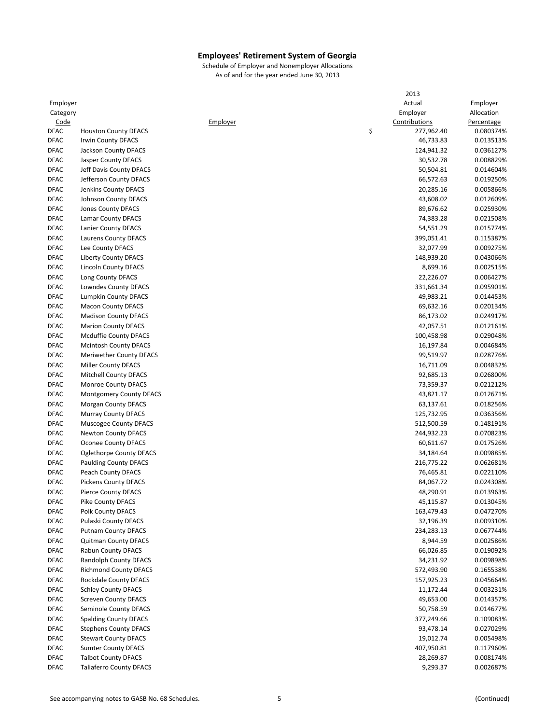|             |                                |          | 2013             |            |
|-------------|--------------------------------|----------|------------------|------------|
| Employer    |                                |          | Actual           | Employer   |
| Category    |                                |          | Employer         | Allocation |
| Code        |                                | Employer | Contributions    | Percentage |
| <b>DFAC</b> | <b>Houston County DFACS</b>    |          | \$<br>277,962.40 | 0.080374%  |
| <b>DFAC</b> | <b>Irwin County DFACS</b>      |          | 46,733.83        | 0.013513%  |
| <b>DFAC</b> | Jackson County DFACS           |          | 124,941.32       | 0.036127%  |
| <b>DFAC</b> | Jasper County DFACS            |          | 30,532.78        | 0.008829%  |
| <b>DFAC</b> | Jeff Davis County DFACS        |          | 50,504.81        | 0.014604%  |
| <b>DFAC</b> | Jefferson County DFACS         |          | 66,572.63        | 0.019250%  |
| <b>DFAC</b> | Jenkins County DFACS           |          | 20,285.16        | 0.005866%  |
| <b>DFAC</b> | Johnson County DFACS           |          | 43,608.02        | 0.012609%  |
| <b>DFAC</b> | Jones County DFACS             |          | 89,676.62        | 0.025930%  |
| <b>DFAC</b> | Lamar County DFACS             |          | 74,383.28        | 0.021508%  |
|             |                                |          |                  |            |
| <b>DFAC</b> | Lanier County DFACS            |          | 54,551.29        | 0.015774%  |
| <b>DFAC</b> | Laurens County DFACS           |          | 399,051.41       | 0.115387%  |
| <b>DFAC</b> | Lee County DFACS               |          | 32,077.99        | 0.009275%  |
| <b>DFAC</b> | Liberty County DFACS           |          | 148,939.20       | 0.043066%  |
| <b>DFAC</b> | <b>Lincoln County DFACS</b>    |          | 8,699.16         | 0.002515%  |
| <b>DFAC</b> | Long County DFACS              |          | 22,226.07        | 0.006427%  |
| <b>DFAC</b> | Lowndes County DFACS           |          | 331,661.34       | 0.095901%  |
| <b>DFAC</b> | <b>Lumpkin County DFACS</b>    |          | 49,983.21        | 0.014453%  |
| <b>DFAC</b> | <b>Macon County DFACS</b>      |          | 69,632.16        | 0.020134%  |
| <b>DFAC</b> | <b>Madison County DFACS</b>    |          | 86,173.02        | 0.024917%  |
| <b>DFAC</b> | <b>Marion County DFACS</b>     |          | 42,057.51        | 0.012161%  |
| <b>DFAC</b> | Mcduffie County DFACS          |          | 100,458.98       | 0.029048%  |
| <b>DFAC</b> | <b>Mcintosh County DFACS</b>   |          | 16,197.84        | 0.004684%  |
| <b>DFAC</b> | Meriwether County DFACS        |          | 99,519.97        | 0.028776%  |
| <b>DFAC</b> | <b>Miller County DFACS</b>     |          | 16,711.09        | 0.004832%  |
| <b>DFAC</b> | Mitchell County DFACS          |          | 92,685.13        | 0.026800%  |
| <b>DFAC</b> | <b>Monroe County DFACS</b>     |          | 73,359.37        | 0.021212%  |
| <b>DFAC</b> | Montgomery County DFACS        |          | 43,821.17        | 0.012671%  |
| <b>DFAC</b> | <b>Morgan County DFACS</b>     |          | 63,137.61        | 0.018256%  |
| <b>DFAC</b> | <b>Murray County DFACS</b>     |          | 125,732.95       | 0.036356%  |
|             |                                |          |                  |            |
| <b>DFAC</b> | Muscogee County DFACS          |          | 512,500.59       | 0.148191%  |
| <b>DFAC</b> | Newton County DFACS            |          | 244,932.23       | 0.070823%  |
| <b>DFAC</b> | <b>Oconee County DFACS</b>     |          | 60,611.67        | 0.017526%  |
| <b>DFAC</b> | <b>Oglethorpe County DFACS</b> |          | 34,184.64        | 0.009885%  |
| <b>DFAC</b> | <b>Paulding County DFACS</b>   |          | 216,775.22       | 0.062681%  |
| <b>DFAC</b> | Peach County DFACS             |          | 76,465.81        | 0.022110%  |
| <b>DFAC</b> | <b>Pickens County DFACS</b>    |          | 84,067.72        | 0.024308%  |
| <b>DFAC</b> | <b>Pierce County DFACS</b>     |          | 48,290.91        | 0.013963%  |
| <b>DFAC</b> | Pike County DFACS              |          | 45,115.87        | 0.013045%  |
| <b>DFAC</b> | Polk County DFACS              |          | 163,479.43       | 0.047270%  |
| DFAC        | Pulaski County DFACS           |          | 32,196.39        | 0.009310%  |
| <b>DFAC</b> | <b>Putnam County DFACS</b>     |          | 234,283.13       | 0.067744%  |
| <b>DFAC</b> | <b>Quitman County DFACS</b>    |          | 8,944.59         | 0.002586%  |
| <b>DFAC</b> | Rabun County DFACS             |          | 66,026.85        | 0.019092%  |
| <b>DFAC</b> | Randolph County DFACS          |          | 34,231.92        | 0.009898%  |
| DFAC        | <b>Richmond County DFACS</b>   |          | 572,493.90       | 0.165538%  |
| DFAC        | Rockdale County DFACS          |          | 157,925.23       | 0.045664%  |
| DFAC        | <b>Schley County DFACS</b>     |          | 11,172.44        | 0.003231%  |
| DFAC        | <b>Screven County DFACS</b>    |          | 49,653.00        | 0.014357%  |
| <b>DFAC</b> | Seminole County DFACS          |          | 50,758.59        | 0.014677%  |
| DFAC        | <b>Spalding County DFACS</b>   |          | 377,249.66       | 0.109083%  |
| <b>DFAC</b> | <b>Stephens County DFACS</b>   |          | 93,478.14        | 0.027029%  |
| DFAC        | <b>Stewart County DFACS</b>    |          | 19,012.74        | 0.005498%  |
|             | <b>Sumter County DFACS</b>     |          | 407,950.81       |            |
| DFAC        |                                |          |                  | 0.117960%  |
| <b>DFAC</b> | <b>Talbot County DFACS</b>     |          | 28,269.87        | 0.008174%  |
| <b>DFAC</b> | <b>Taliaferro County DFACS</b> |          | 9,293.37         | 0.002687%  |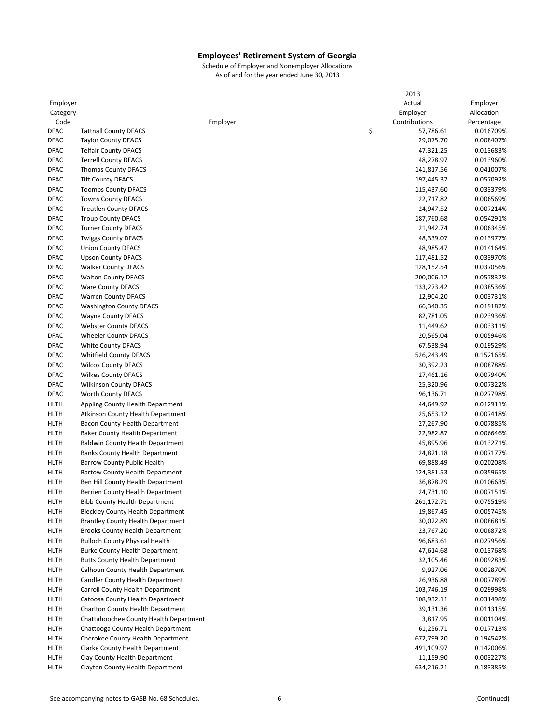|             |                                          |          | 2013            |            |
|-------------|------------------------------------------|----------|-----------------|------------|
| Employer    |                                          |          | Actual          | Employer   |
| Category    |                                          |          | Employer        | Allocation |
| Code        |                                          | Employer | Contributions   | Percentage |
| <b>DFAC</b> | <b>Tattnall County DFACS</b>             |          | \$<br>57,786.61 | 0.016709%  |
| <b>DFAC</b> | <b>Taylor County DFACS</b>               |          | 29,075.70       | 0.008407%  |
| <b>DFAC</b> | <b>Telfair County DFACS</b>              |          | 47,321.25       | 0.013683%  |
| <b>DFAC</b> | <b>Terrell County DFACS</b>              |          | 48,278.97       | 0.013960%  |
| <b>DFAC</b> | <b>Thomas County DFACS</b>               |          | 141,817.56      | 0.041007%  |
| <b>DFAC</b> | <b>Tift County DFACS</b>                 |          | 197,445.37      | 0.057092%  |
| <b>DFAC</b> | <b>Toombs County DFACS</b>               |          | 115,437.60      | 0.033379%  |
| <b>DFAC</b> | <b>Towns County DFACS</b>                |          | 22,717.82       | 0.006569%  |
| <b>DFAC</b> |                                          |          | 24,947.52       | 0.007214%  |
|             | <b>Treutlen County DFACS</b>             |          |                 |            |
| <b>DFAC</b> | <b>Troup County DFACS</b>                |          | 187,760.68      | 0.054291%  |
| <b>DFAC</b> | <b>Turner County DFACS</b>               |          | 21,942.74       | 0.006345%  |
| <b>DFAC</b> | <b>Twiggs County DFACS</b>               |          | 48,339.07       | 0.013977%  |
| <b>DFAC</b> | <b>Union County DFACS</b>                |          | 48,985.47       | 0.014164%  |
| <b>DFAC</b> | <b>Upson County DFACS</b>                |          | 117,481.52      | 0.033970%  |
| <b>DFAC</b> | <b>Walker County DFACS</b>               |          | 128,152.54      | 0.037056%  |
| <b>DFAC</b> | <b>Walton County DFACS</b>               |          | 200,006.12      | 0.057832%  |
| <b>DFAC</b> | <b>Ware County DFACS</b>                 |          | 133,273.42      | 0.038536%  |
| <b>DFAC</b> | <b>Warren County DFACS</b>               |          | 12,904.20       | 0.003731%  |
| <b>DFAC</b> | <b>Washington County DFACS</b>           |          | 66,340.35       | 0.019182%  |
| <b>DFAC</b> | <b>Wayne County DFACS</b>                |          | 82,781.05       | 0.023936%  |
| <b>DFAC</b> | <b>Webster County DFACS</b>              |          | 11,449.62       | 0.003311%  |
| <b>DFAC</b> | <b>Wheeler County DFACS</b>              |          | 20,565.04       | 0.005946%  |
| <b>DFAC</b> | <b>White County DFACS</b>                |          | 67,538.94       | 0.019529%  |
| <b>DFAC</b> | <b>Whitfield County DFACS</b>            |          | 526,243.49      | 0.152165%  |
| <b>DFAC</b> | <b>Wilcox County DFACS</b>               |          | 30,392.23       | 0.008788%  |
| <b>DFAC</b> | <b>Wilkes County DFACS</b>               |          | 27,461.16       | 0.007940%  |
| <b>DFAC</b> | <b>Wilkinson County DFACS</b>            |          | 25,320.96       | 0.007322%  |
| <b>DFAC</b> | Worth County DFACS                       |          | 96,136.71       | 0.027798%  |
| <b>HLTH</b> |                                          |          |                 |            |
|             | Appling County Health Department         |          | 44,649.92       | 0.012911%  |
| <b>HLTH</b> | Atkinson County Health Department        |          | 25,653.12       | 0.007418%  |
| <b>HLTH</b> | Bacon County Health Department           |          | 27,267.90       | 0.007885%  |
| <b>HLTH</b> | Baker County Health Department           |          | 22,982.87       | 0.006646%  |
| <b>HLTH</b> | <b>Baldwin County Health Department</b>  |          | 45,895.96       | 0.013271%  |
| <b>HLTH</b> | <b>Banks County Health Department</b>    |          | 24,821.18       | 0.007177%  |
| <b>HLTH</b> | Barrow County Public Health              |          | 69,888.49       | 0.020208%  |
| <b>HLTH</b> | Bartow County Health Department          |          | 124,381.53      | 0.035965%  |
| <b>HLTH</b> | Ben Hill County Health Department        |          | 36,878.29       | 0.010663%  |
| <b>HLTH</b> | Berrien County Health Department         |          | 24,731.10       | 0.007151%  |
| <b>HLTH</b> | <b>Bibb County Health Department</b>     |          | 261,172.71      | 0.075519%  |
| <b>HLTH</b> | <b>Bleckley County Health Department</b> |          | 19,867.45       | 0.005745%  |
| <b>HLTH</b> | <b>Brantley County Health Department</b> |          | 30,022.89       | 0.008681%  |
| <b>HLTH</b> | <b>Brooks County Health Department</b>   |          | 23,767.20       | 0.006872%  |
| <b>HLTH</b> | <b>Bulloch County Physical Health</b>    |          | 96,683.61       | 0.027956%  |
| <b>HLTH</b> | <b>Burke County Health Department</b>    |          | 47,614.68       | 0.013768%  |
| <b>HLTH</b> | <b>Butts County Health Department</b>    |          | 32,105.46       | 0.009283%  |
| <b>HLTH</b> | Calhoun County Health Department         |          | 9,927.06        | 0.002870%  |
| <b>HLTH</b> | Candler County Health Department         |          | 26,936.88       | 0.007789%  |
| <b>HLTH</b> | Carroll County Health Department         |          | 103,746.19      | 0.029998%  |
| HLTH        | Catoosa County Health Department         |          | 108,932.11      | 0.031498%  |
| <b>HLTH</b> | Charlton County Health Department        |          | 39,131.36       | 0.011315%  |
|             |                                          |          |                 |            |
| <b>HLTH</b> | Chattahoochee County Health Department   |          | 3,817.95        | 0.001104%  |
| <b>HLTH</b> | Chattooga County Health Department       |          | 61,256.71       | 0.017713%  |
| <b>HLTH</b> | Cherokee County Health Department        |          | 672,799.20      | 0.194542%  |
| <b>HLTH</b> | Clarke County Health Department          |          | 491,109.97      | 0.142006%  |
| <b>HLTH</b> | Clay County Health Department            |          | 11,159.90       | 0.003227%  |
| <b>HLTH</b> | Clayton County Health Department         |          | 634,216.21      | 0.183385%  |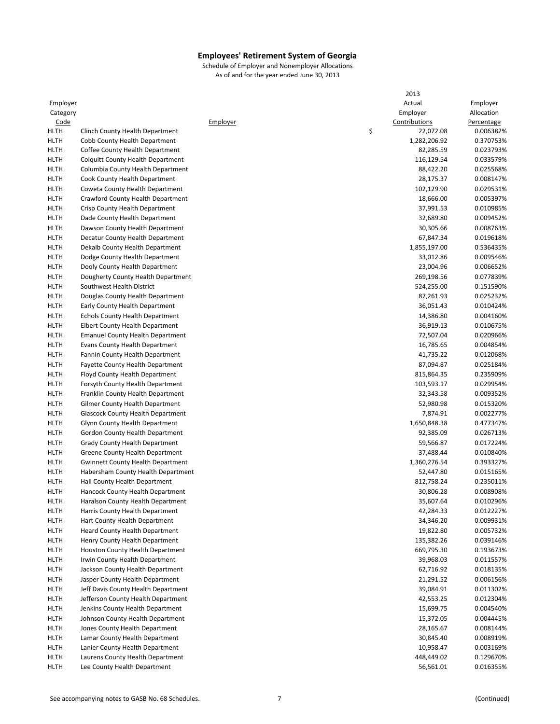|             |                                          |          | 2013            |            |
|-------------|------------------------------------------|----------|-----------------|------------|
| Employer    |                                          |          | Actual          | Employer   |
| Category    |                                          |          | Employer        | Allocation |
| <u>Code</u> |                                          | Employer | Contributions   | Percentage |
| <b>HLTH</b> | Clinch County Health Department          |          | \$<br>22,072.08 | 0.006382%  |
| <b>HLTH</b> |                                          |          |                 | 0.370753%  |
|             | Cobb County Health Department            |          | 1,282,206.92    |            |
| <b>HLTH</b> | Coffee County Health Department          |          | 82,285.59       | 0.023793%  |
| <b>HLTH</b> | Colquitt County Health Department        |          | 116,129.54      | 0.033579%  |
| <b>HLTH</b> | Columbia County Health Department        |          | 88,422.20       | 0.025568%  |
| <b>HLTH</b> | Cook County Health Department            |          | 28,175.37       | 0.008147%  |
| <b>HLTH</b> | Coweta County Health Department          |          | 102,129.90      | 0.029531%  |
| <b>HLTH</b> | Crawford County Health Department        |          | 18,666.00       | 0.005397%  |
| <b>HLTH</b> | Crisp County Health Department           |          | 37,991.53       | 0.010985%  |
| <b>HLTH</b> | Dade County Health Department            |          | 32,689.80       | 0.009452%  |
| <b>HLTH</b> | Dawson County Health Department          |          | 30,305.66       | 0.008763%  |
| <b>HLTH</b> | Decatur County Health Department         |          | 67,847.34       | 0.019618%  |
| <b>HLTH</b> | Dekalb County Health Department          |          | 1,855,197.00    | 0.536435%  |
|             |                                          |          |                 |            |
| <b>HLTH</b> | Dodge County Health Department           |          | 33,012.86       | 0.009546%  |
| <b>HLTH</b> | Dooly County Health Department           |          | 23,004.96       | 0.006652%  |
| <b>HLTH</b> | Dougherty County Health Department       |          | 269,198.56      | 0.077839%  |
| <b>HLTH</b> | Southwest Health District                |          | 524,255.00      | 0.151590%  |
| <b>HLTH</b> | Douglas County Health Department         |          | 87,261.93       | 0.025232%  |
| <b>HLTH</b> | Early County Health Department           |          | 36,051.43       | 0.010424%  |
| <b>HLTH</b> | <b>Echols County Health Department</b>   |          | 14,386.80       | 0.004160%  |
| <b>HLTH</b> | Elbert County Health Department          |          | 36,919.13       | 0.010675%  |
| <b>HLTH</b> | <b>Emanuel County Health Department</b>  |          | 72,507.04       | 0.020966%  |
| <b>HLTH</b> | Evans County Health Department           |          | 16,785.65       | 0.004854%  |
| <b>HLTH</b> | Fannin County Health Department          |          | 41,735.22       | 0.012068%  |
|             |                                          |          |                 |            |
| <b>HLTH</b> | Fayette County Health Department         |          | 87,094.87       | 0.025184%  |
| <b>HLTH</b> | Floyd County Health Department           |          | 815,864.35      | 0.235909%  |
| <b>HLTH</b> | Forsyth County Health Department         |          | 103,593.17      | 0.029954%  |
| <b>HLTH</b> | Franklin County Health Department        |          | 32,343.58       | 0.009352%  |
| <b>HLTH</b> | Gilmer County Health Department          |          | 52,980.98       | 0.015320%  |
| <b>HLTH</b> | <b>Glascock County Health Department</b> |          | 7,874.91        | 0.002277%  |
| <b>HLTH</b> | Glynn County Health Department           |          | 1,650,848.38    | 0.477347%  |
| <b>HLTH</b> | Gordon County Health Department          |          | 92,385.09       | 0.026713%  |
| <b>HLTH</b> | Grady County Health Department           |          | 59,566.87       | 0.017224%  |
| <b>HLTH</b> | Greene County Health Department          |          | 37,488.44       | 0.010840%  |
| <b>HLTH</b> | <b>Gwinnett County Health Department</b> |          | 1,360,276.54    | 0.393327%  |
| <b>HLTH</b> | Habersham County Health Department       |          | 52,447.80       | 0.015165%  |
| HLTH        | Hall County Health Department            |          | 812,758.24      | 0.235011%  |
| <b>HLTH</b> |                                          |          | 30,806.28       | 0.008908%  |
|             | Hancock County Health Department         |          |                 |            |
| <b>HLTH</b> | Haralson County Health Department        |          | 35,607.64       | 0.010296%  |
| HLTH        | Harris County Health Department          |          | 42,284.33       | 0.012227%  |
| HLTH        | Hart County Health Department            |          | 34,346.20       | 0.009931%  |
| <b>HLTH</b> | <b>Heard County Health Department</b>    |          | 19,822.80       | 0.005732%  |
| HLTH        | Henry County Health Department           |          | 135,382.26      | 0.039146%  |
| HLTH        | <b>Houston County Health Department</b>  |          | 669,795.30      | 0.193673%  |
| HLTH        | Irwin County Health Department           |          | 39,968.03       | 0.011557%  |
| HLTH        | Jackson County Health Department         |          | 62,716.92       | 0.018135%  |
| HLTH        | Jasper County Health Department          |          | 21,291.52       | 0.006156%  |
| HLTH        | Jeff Davis County Health Department      |          | 39,084.91       | 0.011302%  |
| HLTH        | Jefferson County Health Department       |          | 42,553.25       | 0.012304%  |
| HLTH        | Jenkins County Health Department         |          | 15,699.75       | 0.004540%  |
| HLTH        | Johnson County Health Department         |          | 15,372.05       | 0.004445%  |
|             |                                          |          |                 |            |
| HLTH        | Jones County Health Department           |          | 28,165.67       | 0.008144%  |
| HLTH        | Lamar County Health Department           |          | 30,845.40       | 0.008919%  |
| HLTH        | Lanier County Health Department          |          | 10,958.47       | 0.003169%  |
| <b>HLTH</b> | Laurens County Health Department         |          | 448,449.02      | 0.129670%  |
| <b>HLTH</b> | Lee County Health Department             |          | 56,561.01       | 0.016355%  |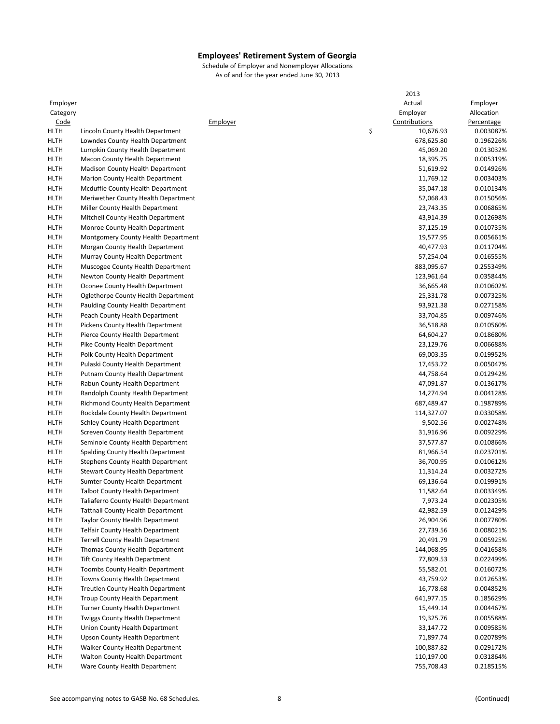|             |                                          |          | 2013            |            |
|-------------|------------------------------------------|----------|-----------------|------------|
| Employer    |                                          |          | Actual          | Employer   |
| Category    |                                          |          | Employer        | Allocation |
| Code        |                                          | Employer | Contributions   | Percentage |
| <b>HLTH</b> | Lincoln County Health Department         |          | \$<br>10,676.93 | 0.003087%  |
| <b>HLTH</b> | Lowndes County Health Department         |          | 678,625.80      | 0.196226%  |
| HLTH        | Lumpkin County Health Department         |          | 45,069.20       | 0.013032%  |
| HLTH        | Macon County Health Department           |          | 18,395.75       | 0.005319%  |
| HLTH        | <b>Madison County Health Department</b>  |          | 51,619.92       | 0.014926%  |
| <b>HLTH</b> | Marion County Health Department          |          | 11,769.12       | 0.003403%  |
| <b>HLTH</b> | Mcduffie County Health Department        |          | 35,047.18       | 0.010134%  |
| <b>HLTH</b> | Meriwether County Health Department      |          | 52,068.43       | 0.015056%  |
| <b>HLTH</b> | Miller County Health Department          |          | 23,743.35       | 0.006865%  |
| <b>HLTH</b> | Mitchell County Health Department        |          | 43,914.39       | 0.012698%  |
| <b>HLTH</b> | Monroe County Health Department          |          | 37,125.19       | 0.010735%  |
| <b>HLTH</b> |                                          |          |                 | 0.005661%  |
|             | Montgomery County Health Department      |          | 19,577.95       |            |
| <b>HLTH</b> | Morgan County Health Department          |          | 40,477.93       | 0.011704%  |
| <b>HLTH</b> | Murray County Health Department          |          | 57,254.04       | 0.016555%  |
| <b>HLTH</b> | Muscogee County Health Department        |          | 883,095.67      | 0.255349%  |
| <b>HLTH</b> | Newton County Health Department          |          | 123,961.64      | 0.035844%  |
| <b>HLTH</b> | Oconee County Health Department          |          | 36,665.48       | 0.010602%  |
| <b>HLTH</b> | Oglethorpe County Health Department      |          | 25,331.78       | 0.007325%  |
| <b>HLTH</b> | Paulding County Health Department        |          | 93,921.38       | 0.027158%  |
| <b>HLTH</b> | Peach County Health Department           |          | 33,704.85       | 0.009746%  |
| <b>HLTH</b> | Pickens County Health Department         |          | 36,518.88       | 0.010560%  |
| <b>HLTH</b> | Pierce County Health Department          |          | 64,604.27       | 0.018680%  |
| HLTH        | Pike County Health Department            |          | 23,129.76       | 0.006688%  |
| <b>HLTH</b> | Polk County Health Department            |          | 69,003.35       | 0.019952%  |
| <b>HLTH</b> | Pulaski County Health Department         |          | 17,453.72       | 0.005047%  |
| <b>HLTH</b> | Putnam County Health Department          |          | 44,758.64       | 0.012942%  |
| <b>HLTH</b> | Rabun County Health Department           |          | 47,091.87       | 0.013617%  |
| <b>HLTH</b> | Randolph County Health Department        |          | 14,274.94       | 0.004128%  |
| <b>HLTH</b> | <b>Richmond County Health Department</b> |          | 687,489.47      | 0.198789%  |
| HLTH        | Rockdale County Health Department        |          | 114,327.07      | 0.033058%  |
| <b>HLTH</b> | Schley County Health Department          |          | 9,502.56        | 0.002748%  |
| <b>HLTH</b> | Screven County Health Department         |          | 31,916.96       | 0.009229%  |
| <b>HLTH</b> | Seminole County Health Department        |          | 37,577.87       | 0.010866%  |
| <b>HLTH</b> | Spalding County Health Department        |          | 81,966.54       | 0.023701%  |
| <b>HLTH</b> | Stephens County Health Department        |          | 36,700.95       | 0.010612%  |
| <b>HLTH</b> | Stewart County Health Department         |          | 11,314.24       | 0.003272%  |
| <b>HLTH</b> | Sumter County Health Department          |          | 69,136.64       | 0.019991%  |
| <b>HLTH</b> | <b>Talbot County Health Department</b>   |          | 11,582.64       | 0.003349%  |
| HLTH        | Taliaferro County Health Department      |          | 7,973.24        | 0.002305%  |
| HLTH        | <b>Tattnall County Health Department</b> |          | 42,982.59       | 0.012429%  |
| <b>HLTH</b> | <b>Taylor County Health Department</b>   |          | 26,904.96       | 0.007780%  |
| HLTH        | <b>Telfair County Health Department</b>  |          | 27,739.56       | 0.008021%  |
|             |                                          |          |                 |            |
| HLTH        | <b>Terrell County Health Department</b>  |          | 20,491.79       | 0.005925%  |
| HLTH        | Thomas County Health Department          |          | 144,068.95      | 0.041658%  |
| <b>HLTH</b> | <b>Tift County Health Department</b>     |          | 77,809.53       | 0.022499%  |
| HLTH        | <b>Toombs County Health Department</b>   |          | 55,582.01       | 0.016072%  |
| <b>HLTH</b> | Towns County Health Department           |          | 43,759.92       | 0.012653%  |
| HLTH        | Treutlen County Health Department        |          | 16,778.68       | 0.004852%  |
| HLTH        | Troup County Health Department           |          | 641,977.15      | 0.185629%  |
| HLTH        | Turner County Health Department          |          | 15,449.14       | 0.004467%  |
| <b>HLTH</b> | <b>Twiggs County Health Department</b>   |          | 19,325.76       | 0.005588%  |
| HLTH        | Union County Health Department           |          | 33,147.72       | 0.009585%  |
| HLTH        | Upson County Health Department           |          | 71,897.74       | 0.020789%  |
| <b>HLTH</b> | <b>Walker County Health Department</b>   |          | 100,887.82      | 0.029172%  |
| HLTH        | Walton County Health Department          |          | 110,197.00      | 0.031864%  |
| HLTH        | Ware County Health Department            |          | 755,708.43      | 0.218515%  |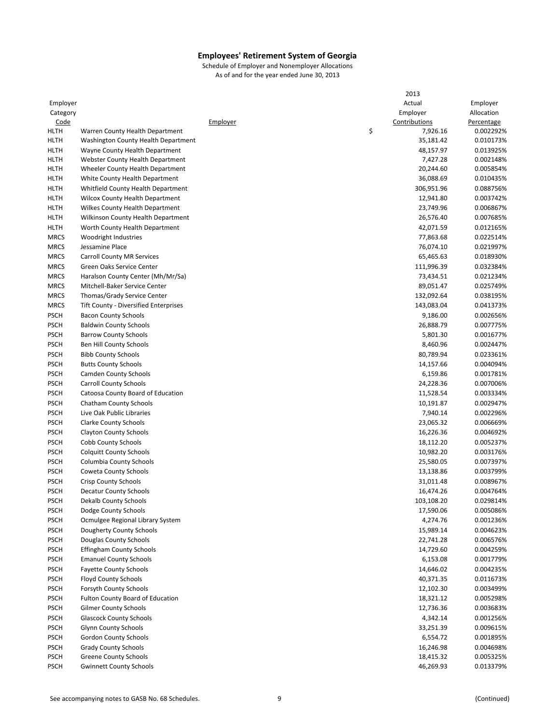| Employer<br>Actual<br>Employer<br>Employer<br>Allocation<br>Category<br>Contributions<br><u>Code</u><br>Employer<br>Percentage<br>\$<br>7,926.16<br>HLTH<br>Warren County Health Department<br>0.002292%<br>Washington County Health Department<br>35,181.42<br>0.010173%<br>HLTH<br>Wayne County Health Department<br>48,157.97<br>0.013925%<br>HLTH<br><b>HLTH</b><br>7,427.28<br>0.002148%<br>Webster County Health Department<br>HLTH<br>20,244.60<br>0.005854%<br>Wheeler County Health Department<br><b>HLTH</b><br>36,088.69<br>0.010435%<br>White County Health Department<br><b>HLTH</b><br>306,951.96<br>0.088756%<br>Whitfield County Health Department<br>0.003742%<br>HLTH<br><b>Wilcox County Health Department</b><br>12,941.80<br>23,749.96<br>0.006867%<br>HLTH<br><b>Wilkes County Health Department</b><br><b>HLTH</b><br>Wilkinson County Health Department<br>26,576.40<br>0.007685%<br><b>HLTH</b><br>Worth County Health Department<br>42,071.59<br>0.012165%<br><b>MRCS</b><br>Woodright Industries<br>77,863.68<br>0.022514%<br><b>MRCS</b><br>Jessamine Place<br>76,074.10<br>0.021997%<br>0.018930%<br><b>MRCS</b><br><b>Carroll County MR Services</b><br>65,465.63<br><b>MRCS</b><br>111,996.39<br>0.032384%<br>Green Oaks Service Center<br><b>MRCS</b><br>Haralson County Center (Mh/Mr/Sa)<br>73,434.51<br>0.021234%<br><b>MRCS</b><br>Mitchell-Baker Service Center<br>89,051.47<br>0.025749%<br><b>MRCS</b><br>Thomas/Grady Service Center<br>132,092.64<br>0.038195%<br><b>MRCS</b><br>Tift County - Diversified Enterprises<br>143,083.04<br>0.041373%<br><b>PSCH</b><br><b>Bacon County Schools</b><br>9,186.00<br>0.002656%<br><b>PSCH</b><br><b>Baldwin County Schools</b><br>26,888.79<br>0.007775%<br><b>PSCH</b><br><b>Barrow County Schools</b><br>5,801.30<br>0.001677%<br><b>PSCH</b><br>Ben Hill County Schools<br>8,460.96<br>0.002447%<br><b>PSCH</b><br><b>Bibb County Schools</b><br>80,789.94<br>0.023361%<br><b>PSCH</b><br><b>Butts County Schools</b><br>14,157.66<br>0.004094%<br><b>PSCH</b><br><b>Camden County Schools</b><br>6,159.86<br>0.001781%<br><b>PSCH</b><br><b>Carroll County Schools</b><br>24,228.36<br>0.007006%<br><b>PSCH</b><br>Catoosa County Board of Education<br>11,528.54<br>0.003334%<br><b>PSCH</b><br>Chatham County Schools<br>10,191.87<br>0.002947%<br><b>PSCH</b><br>Live Oak Public Libraries<br>7,940.14<br>0.002296%<br><b>PSCH</b><br><b>Clarke County Schools</b><br>23,065.32<br>0.006669%<br><b>PSCH</b><br>16,226.36<br>0.004692%<br><b>Clayton County Schools</b><br><b>PSCH</b><br><b>Cobb County Schools</b><br>0.005237%<br>18,112.20<br><b>PSCH</b><br><b>Colquitt County Schools</b><br>10,982.20<br>0.003176%<br><b>PSCH</b><br>Columbia County Schools<br>25,580.05<br>0.007397%<br><b>PSCH</b><br><b>Coweta County Schools</b><br>13,138.86<br>0.003799%<br><b>PSCH</b><br><b>Crisp County Schools</b><br>31,011.48<br>0.008967%<br>0.004764%<br><b>PSCH</b><br><b>Decatur County Schools</b><br>16,474.26<br><b>PSCH</b><br>Dekalb County Schools<br>103,108.20<br>0.029814%<br><b>PSCH</b><br>Dodge County Schools<br>17,590.06<br>0.005086%<br>4,274.76<br><b>PSCH</b><br>Ocmulgee Regional Library System<br>0.001236%<br><b>PSCH</b><br>Dougherty County Schools<br>15,989.14<br>0.004623%<br><b>PSCH</b><br>Douglas County Schools<br>22,741.28<br>0.006576%<br><b>PSCH</b><br><b>Effingham County Schools</b><br>14,729.60<br>0.004259%<br><b>Emanuel County Schools</b><br><b>PSCH</b><br>6,153.08<br>0.001779%<br><b>PSCH</b><br><b>Fayette County Schools</b><br>14,646.02<br>0.004235%<br><b>PSCH</b><br>Floyd County Schools<br>40,371.35<br>0.011673%<br><b>PSCH</b><br>Forsyth County Schools<br>12,102.30<br>0.003499%<br><b>PSCH</b><br><b>Fulton County Board of Education</b><br>18,321.12<br>0.005298%<br><b>PSCH</b><br><b>Gilmer County Schools</b><br>12,736.36<br>0.003683%<br><b>PSCH</b><br><b>Glascock County Schools</b><br>4,342.14<br>0.001256%<br><b>PSCH</b><br>Glynn County Schools<br>33,251.39<br>0.009615%<br><b>PSCH</b><br>Gordon County Schools<br>6,554.72<br>0.001895%<br><b>Grady County Schools</b><br><b>PSCH</b><br>16,246.98<br>0.004698%<br><b>PSCH</b><br><b>Greene County Schools</b><br>18,415.32<br>0.005325%<br><b>PSCH</b><br><b>Gwinnett County Schools</b><br>46,269.93<br>0.013379% |  |  | 2013 |  |
|---------------------------------------------------------------------------------------------------------------------------------------------------------------------------------------------------------------------------------------------------------------------------------------------------------------------------------------------------------------------------------------------------------------------------------------------------------------------------------------------------------------------------------------------------------------------------------------------------------------------------------------------------------------------------------------------------------------------------------------------------------------------------------------------------------------------------------------------------------------------------------------------------------------------------------------------------------------------------------------------------------------------------------------------------------------------------------------------------------------------------------------------------------------------------------------------------------------------------------------------------------------------------------------------------------------------------------------------------------------------------------------------------------------------------------------------------------------------------------------------------------------------------------------------------------------------------------------------------------------------------------------------------------------------------------------------------------------------------------------------------------------------------------------------------------------------------------------------------------------------------------------------------------------------------------------------------------------------------------------------------------------------------------------------------------------------------------------------------------------------------------------------------------------------------------------------------------------------------------------------------------------------------------------------------------------------------------------------------------------------------------------------------------------------------------------------------------------------------------------------------------------------------------------------------------------------------------------------------------------------------------------------------------------------------------------------------------------------------------------------------------------------------------------------------------------------------------------------------------------------------------------------------------------------------------------------------------------------------------------------------------------------------------------------------------------------------------------------------------------------------------------------------------------------------------------------------------------------------------------------------------------------------------------------------------------------------------------------------------------------------------------------------------------------------------------------------------------------------------------------------------------------------------------------------------------------------------------------------------------------------------------------------------------------------------------------------------------------------------------------------------------------------------------------------------------------------------------------------------------------------------------------------------------------------------------------------------------------------------------------------------------------------------------------------------------------------------------------------------------------------------------------------------------------------------------------------------------------------------------------------------------------------------------------------------------------------------------------------|--|--|------|--|
|                                                                                                                                                                                                                                                                                                                                                                                                                                                                                                                                                                                                                                                                                                                                                                                                                                                                                                                                                                                                                                                                                                                                                                                                                                                                                                                                                                                                                                                                                                                                                                                                                                                                                                                                                                                                                                                                                                                                                                                                                                                                                                                                                                                                                                                                                                                                                                                                                                                                                                                                                                                                                                                                                                                                                                                                                                                                                                                                                                                                                                                                                                                                                                                                                                                                                                                                                                                                                                                                                                                                                                                                                                                                                                                                                                                                                                                                                                                                                                                                                                                                                                                                                                                                                                                                                                                                                   |  |  |      |  |
|                                                                                                                                                                                                                                                                                                                                                                                                                                                                                                                                                                                                                                                                                                                                                                                                                                                                                                                                                                                                                                                                                                                                                                                                                                                                                                                                                                                                                                                                                                                                                                                                                                                                                                                                                                                                                                                                                                                                                                                                                                                                                                                                                                                                                                                                                                                                                                                                                                                                                                                                                                                                                                                                                                                                                                                                                                                                                                                                                                                                                                                                                                                                                                                                                                                                                                                                                                                                                                                                                                                                                                                                                                                                                                                                                                                                                                                                                                                                                                                                                                                                                                                                                                                                                                                                                                                                                   |  |  |      |  |
|                                                                                                                                                                                                                                                                                                                                                                                                                                                                                                                                                                                                                                                                                                                                                                                                                                                                                                                                                                                                                                                                                                                                                                                                                                                                                                                                                                                                                                                                                                                                                                                                                                                                                                                                                                                                                                                                                                                                                                                                                                                                                                                                                                                                                                                                                                                                                                                                                                                                                                                                                                                                                                                                                                                                                                                                                                                                                                                                                                                                                                                                                                                                                                                                                                                                                                                                                                                                                                                                                                                                                                                                                                                                                                                                                                                                                                                                                                                                                                                                                                                                                                                                                                                                                                                                                                                                                   |  |  |      |  |
|                                                                                                                                                                                                                                                                                                                                                                                                                                                                                                                                                                                                                                                                                                                                                                                                                                                                                                                                                                                                                                                                                                                                                                                                                                                                                                                                                                                                                                                                                                                                                                                                                                                                                                                                                                                                                                                                                                                                                                                                                                                                                                                                                                                                                                                                                                                                                                                                                                                                                                                                                                                                                                                                                                                                                                                                                                                                                                                                                                                                                                                                                                                                                                                                                                                                                                                                                                                                                                                                                                                                                                                                                                                                                                                                                                                                                                                                                                                                                                                                                                                                                                                                                                                                                                                                                                                                                   |  |  |      |  |
|                                                                                                                                                                                                                                                                                                                                                                                                                                                                                                                                                                                                                                                                                                                                                                                                                                                                                                                                                                                                                                                                                                                                                                                                                                                                                                                                                                                                                                                                                                                                                                                                                                                                                                                                                                                                                                                                                                                                                                                                                                                                                                                                                                                                                                                                                                                                                                                                                                                                                                                                                                                                                                                                                                                                                                                                                                                                                                                                                                                                                                                                                                                                                                                                                                                                                                                                                                                                                                                                                                                                                                                                                                                                                                                                                                                                                                                                                                                                                                                                                                                                                                                                                                                                                                                                                                                                                   |  |  |      |  |
|                                                                                                                                                                                                                                                                                                                                                                                                                                                                                                                                                                                                                                                                                                                                                                                                                                                                                                                                                                                                                                                                                                                                                                                                                                                                                                                                                                                                                                                                                                                                                                                                                                                                                                                                                                                                                                                                                                                                                                                                                                                                                                                                                                                                                                                                                                                                                                                                                                                                                                                                                                                                                                                                                                                                                                                                                                                                                                                                                                                                                                                                                                                                                                                                                                                                                                                                                                                                                                                                                                                                                                                                                                                                                                                                                                                                                                                                                                                                                                                                                                                                                                                                                                                                                                                                                                                                                   |  |  |      |  |
|                                                                                                                                                                                                                                                                                                                                                                                                                                                                                                                                                                                                                                                                                                                                                                                                                                                                                                                                                                                                                                                                                                                                                                                                                                                                                                                                                                                                                                                                                                                                                                                                                                                                                                                                                                                                                                                                                                                                                                                                                                                                                                                                                                                                                                                                                                                                                                                                                                                                                                                                                                                                                                                                                                                                                                                                                                                                                                                                                                                                                                                                                                                                                                                                                                                                                                                                                                                                                                                                                                                                                                                                                                                                                                                                                                                                                                                                                                                                                                                                                                                                                                                                                                                                                                                                                                                                                   |  |  |      |  |
|                                                                                                                                                                                                                                                                                                                                                                                                                                                                                                                                                                                                                                                                                                                                                                                                                                                                                                                                                                                                                                                                                                                                                                                                                                                                                                                                                                                                                                                                                                                                                                                                                                                                                                                                                                                                                                                                                                                                                                                                                                                                                                                                                                                                                                                                                                                                                                                                                                                                                                                                                                                                                                                                                                                                                                                                                                                                                                                                                                                                                                                                                                                                                                                                                                                                                                                                                                                                                                                                                                                                                                                                                                                                                                                                                                                                                                                                                                                                                                                                                                                                                                                                                                                                                                                                                                                                                   |  |  |      |  |
|                                                                                                                                                                                                                                                                                                                                                                                                                                                                                                                                                                                                                                                                                                                                                                                                                                                                                                                                                                                                                                                                                                                                                                                                                                                                                                                                                                                                                                                                                                                                                                                                                                                                                                                                                                                                                                                                                                                                                                                                                                                                                                                                                                                                                                                                                                                                                                                                                                                                                                                                                                                                                                                                                                                                                                                                                                                                                                                                                                                                                                                                                                                                                                                                                                                                                                                                                                                                                                                                                                                                                                                                                                                                                                                                                                                                                                                                                                                                                                                                                                                                                                                                                                                                                                                                                                                                                   |  |  |      |  |
|                                                                                                                                                                                                                                                                                                                                                                                                                                                                                                                                                                                                                                                                                                                                                                                                                                                                                                                                                                                                                                                                                                                                                                                                                                                                                                                                                                                                                                                                                                                                                                                                                                                                                                                                                                                                                                                                                                                                                                                                                                                                                                                                                                                                                                                                                                                                                                                                                                                                                                                                                                                                                                                                                                                                                                                                                                                                                                                                                                                                                                                                                                                                                                                                                                                                                                                                                                                                                                                                                                                                                                                                                                                                                                                                                                                                                                                                                                                                                                                                                                                                                                                                                                                                                                                                                                                                                   |  |  |      |  |
|                                                                                                                                                                                                                                                                                                                                                                                                                                                                                                                                                                                                                                                                                                                                                                                                                                                                                                                                                                                                                                                                                                                                                                                                                                                                                                                                                                                                                                                                                                                                                                                                                                                                                                                                                                                                                                                                                                                                                                                                                                                                                                                                                                                                                                                                                                                                                                                                                                                                                                                                                                                                                                                                                                                                                                                                                                                                                                                                                                                                                                                                                                                                                                                                                                                                                                                                                                                                                                                                                                                                                                                                                                                                                                                                                                                                                                                                                                                                                                                                                                                                                                                                                                                                                                                                                                                                                   |  |  |      |  |
|                                                                                                                                                                                                                                                                                                                                                                                                                                                                                                                                                                                                                                                                                                                                                                                                                                                                                                                                                                                                                                                                                                                                                                                                                                                                                                                                                                                                                                                                                                                                                                                                                                                                                                                                                                                                                                                                                                                                                                                                                                                                                                                                                                                                                                                                                                                                                                                                                                                                                                                                                                                                                                                                                                                                                                                                                                                                                                                                                                                                                                                                                                                                                                                                                                                                                                                                                                                                                                                                                                                                                                                                                                                                                                                                                                                                                                                                                                                                                                                                                                                                                                                                                                                                                                                                                                                                                   |  |  |      |  |
|                                                                                                                                                                                                                                                                                                                                                                                                                                                                                                                                                                                                                                                                                                                                                                                                                                                                                                                                                                                                                                                                                                                                                                                                                                                                                                                                                                                                                                                                                                                                                                                                                                                                                                                                                                                                                                                                                                                                                                                                                                                                                                                                                                                                                                                                                                                                                                                                                                                                                                                                                                                                                                                                                                                                                                                                                                                                                                                                                                                                                                                                                                                                                                                                                                                                                                                                                                                                                                                                                                                                                                                                                                                                                                                                                                                                                                                                                                                                                                                                                                                                                                                                                                                                                                                                                                                                                   |  |  |      |  |
|                                                                                                                                                                                                                                                                                                                                                                                                                                                                                                                                                                                                                                                                                                                                                                                                                                                                                                                                                                                                                                                                                                                                                                                                                                                                                                                                                                                                                                                                                                                                                                                                                                                                                                                                                                                                                                                                                                                                                                                                                                                                                                                                                                                                                                                                                                                                                                                                                                                                                                                                                                                                                                                                                                                                                                                                                                                                                                                                                                                                                                                                                                                                                                                                                                                                                                                                                                                                                                                                                                                                                                                                                                                                                                                                                                                                                                                                                                                                                                                                                                                                                                                                                                                                                                                                                                                                                   |  |  |      |  |
|                                                                                                                                                                                                                                                                                                                                                                                                                                                                                                                                                                                                                                                                                                                                                                                                                                                                                                                                                                                                                                                                                                                                                                                                                                                                                                                                                                                                                                                                                                                                                                                                                                                                                                                                                                                                                                                                                                                                                                                                                                                                                                                                                                                                                                                                                                                                                                                                                                                                                                                                                                                                                                                                                                                                                                                                                                                                                                                                                                                                                                                                                                                                                                                                                                                                                                                                                                                                                                                                                                                                                                                                                                                                                                                                                                                                                                                                                                                                                                                                                                                                                                                                                                                                                                                                                                                                                   |  |  |      |  |
|                                                                                                                                                                                                                                                                                                                                                                                                                                                                                                                                                                                                                                                                                                                                                                                                                                                                                                                                                                                                                                                                                                                                                                                                                                                                                                                                                                                                                                                                                                                                                                                                                                                                                                                                                                                                                                                                                                                                                                                                                                                                                                                                                                                                                                                                                                                                                                                                                                                                                                                                                                                                                                                                                                                                                                                                                                                                                                                                                                                                                                                                                                                                                                                                                                                                                                                                                                                                                                                                                                                                                                                                                                                                                                                                                                                                                                                                                                                                                                                                                                                                                                                                                                                                                                                                                                                                                   |  |  |      |  |
|                                                                                                                                                                                                                                                                                                                                                                                                                                                                                                                                                                                                                                                                                                                                                                                                                                                                                                                                                                                                                                                                                                                                                                                                                                                                                                                                                                                                                                                                                                                                                                                                                                                                                                                                                                                                                                                                                                                                                                                                                                                                                                                                                                                                                                                                                                                                                                                                                                                                                                                                                                                                                                                                                                                                                                                                                                                                                                                                                                                                                                                                                                                                                                                                                                                                                                                                                                                                                                                                                                                                                                                                                                                                                                                                                                                                                                                                                                                                                                                                                                                                                                                                                                                                                                                                                                                                                   |  |  |      |  |
|                                                                                                                                                                                                                                                                                                                                                                                                                                                                                                                                                                                                                                                                                                                                                                                                                                                                                                                                                                                                                                                                                                                                                                                                                                                                                                                                                                                                                                                                                                                                                                                                                                                                                                                                                                                                                                                                                                                                                                                                                                                                                                                                                                                                                                                                                                                                                                                                                                                                                                                                                                                                                                                                                                                                                                                                                                                                                                                                                                                                                                                                                                                                                                                                                                                                                                                                                                                                                                                                                                                                                                                                                                                                                                                                                                                                                                                                                                                                                                                                                                                                                                                                                                                                                                                                                                                                                   |  |  |      |  |
|                                                                                                                                                                                                                                                                                                                                                                                                                                                                                                                                                                                                                                                                                                                                                                                                                                                                                                                                                                                                                                                                                                                                                                                                                                                                                                                                                                                                                                                                                                                                                                                                                                                                                                                                                                                                                                                                                                                                                                                                                                                                                                                                                                                                                                                                                                                                                                                                                                                                                                                                                                                                                                                                                                                                                                                                                                                                                                                                                                                                                                                                                                                                                                                                                                                                                                                                                                                                                                                                                                                                                                                                                                                                                                                                                                                                                                                                                                                                                                                                                                                                                                                                                                                                                                                                                                                                                   |  |  |      |  |
|                                                                                                                                                                                                                                                                                                                                                                                                                                                                                                                                                                                                                                                                                                                                                                                                                                                                                                                                                                                                                                                                                                                                                                                                                                                                                                                                                                                                                                                                                                                                                                                                                                                                                                                                                                                                                                                                                                                                                                                                                                                                                                                                                                                                                                                                                                                                                                                                                                                                                                                                                                                                                                                                                                                                                                                                                                                                                                                                                                                                                                                                                                                                                                                                                                                                                                                                                                                                                                                                                                                                                                                                                                                                                                                                                                                                                                                                                                                                                                                                                                                                                                                                                                                                                                                                                                                                                   |  |  |      |  |
|                                                                                                                                                                                                                                                                                                                                                                                                                                                                                                                                                                                                                                                                                                                                                                                                                                                                                                                                                                                                                                                                                                                                                                                                                                                                                                                                                                                                                                                                                                                                                                                                                                                                                                                                                                                                                                                                                                                                                                                                                                                                                                                                                                                                                                                                                                                                                                                                                                                                                                                                                                                                                                                                                                                                                                                                                                                                                                                                                                                                                                                                                                                                                                                                                                                                                                                                                                                                                                                                                                                                                                                                                                                                                                                                                                                                                                                                                                                                                                                                                                                                                                                                                                                                                                                                                                                                                   |  |  |      |  |
|                                                                                                                                                                                                                                                                                                                                                                                                                                                                                                                                                                                                                                                                                                                                                                                                                                                                                                                                                                                                                                                                                                                                                                                                                                                                                                                                                                                                                                                                                                                                                                                                                                                                                                                                                                                                                                                                                                                                                                                                                                                                                                                                                                                                                                                                                                                                                                                                                                                                                                                                                                                                                                                                                                                                                                                                                                                                                                                                                                                                                                                                                                                                                                                                                                                                                                                                                                                                                                                                                                                                                                                                                                                                                                                                                                                                                                                                                                                                                                                                                                                                                                                                                                                                                                                                                                                                                   |  |  |      |  |
|                                                                                                                                                                                                                                                                                                                                                                                                                                                                                                                                                                                                                                                                                                                                                                                                                                                                                                                                                                                                                                                                                                                                                                                                                                                                                                                                                                                                                                                                                                                                                                                                                                                                                                                                                                                                                                                                                                                                                                                                                                                                                                                                                                                                                                                                                                                                                                                                                                                                                                                                                                                                                                                                                                                                                                                                                                                                                                                                                                                                                                                                                                                                                                                                                                                                                                                                                                                                                                                                                                                                                                                                                                                                                                                                                                                                                                                                                                                                                                                                                                                                                                                                                                                                                                                                                                                                                   |  |  |      |  |
|                                                                                                                                                                                                                                                                                                                                                                                                                                                                                                                                                                                                                                                                                                                                                                                                                                                                                                                                                                                                                                                                                                                                                                                                                                                                                                                                                                                                                                                                                                                                                                                                                                                                                                                                                                                                                                                                                                                                                                                                                                                                                                                                                                                                                                                                                                                                                                                                                                                                                                                                                                                                                                                                                                                                                                                                                                                                                                                                                                                                                                                                                                                                                                                                                                                                                                                                                                                                                                                                                                                                                                                                                                                                                                                                                                                                                                                                                                                                                                                                                                                                                                                                                                                                                                                                                                                                                   |  |  |      |  |
|                                                                                                                                                                                                                                                                                                                                                                                                                                                                                                                                                                                                                                                                                                                                                                                                                                                                                                                                                                                                                                                                                                                                                                                                                                                                                                                                                                                                                                                                                                                                                                                                                                                                                                                                                                                                                                                                                                                                                                                                                                                                                                                                                                                                                                                                                                                                                                                                                                                                                                                                                                                                                                                                                                                                                                                                                                                                                                                                                                                                                                                                                                                                                                                                                                                                                                                                                                                                                                                                                                                                                                                                                                                                                                                                                                                                                                                                                                                                                                                                                                                                                                                                                                                                                                                                                                                                                   |  |  |      |  |
|                                                                                                                                                                                                                                                                                                                                                                                                                                                                                                                                                                                                                                                                                                                                                                                                                                                                                                                                                                                                                                                                                                                                                                                                                                                                                                                                                                                                                                                                                                                                                                                                                                                                                                                                                                                                                                                                                                                                                                                                                                                                                                                                                                                                                                                                                                                                                                                                                                                                                                                                                                                                                                                                                                                                                                                                                                                                                                                                                                                                                                                                                                                                                                                                                                                                                                                                                                                                                                                                                                                                                                                                                                                                                                                                                                                                                                                                                                                                                                                                                                                                                                                                                                                                                                                                                                                                                   |  |  |      |  |
|                                                                                                                                                                                                                                                                                                                                                                                                                                                                                                                                                                                                                                                                                                                                                                                                                                                                                                                                                                                                                                                                                                                                                                                                                                                                                                                                                                                                                                                                                                                                                                                                                                                                                                                                                                                                                                                                                                                                                                                                                                                                                                                                                                                                                                                                                                                                                                                                                                                                                                                                                                                                                                                                                                                                                                                                                                                                                                                                                                                                                                                                                                                                                                                                                                                                                                                                                                                                                                                                                                                                                                                                                                                                                                                                                                                                                                                                                                                                                                                                                                                                                                                                                                                                                                                                                                                                                   |  |  |      |  |
|                                                                                                                                                                                                                                                                                                                                                                                                                                                                                                                                                                                                                                                                                                                                                                                                                                                                                                                                                                                                                                                                                                                                                                                                                                                                                                                                                                                                                                                                                                                                                                                                                                                                                                                                                                                                                                                                                                                                                                                                                                                                                                                                                                                                                                                                                                                                                                                                                                                                                                                                                                                                                                                                                                                                                                                                                                                                                                                                                                                                                                                                                                                                                                                                                                                                                                                                                                                                                                                                                                                                                                                                                                                                                                                                                                                                                                                                                                                                                                                                                                                                                                                                                                                                                                                                                                                                                   |  |  |      |  |
|                                                                                                                                                                                                                                                                                                                                                                                                                                                                                                                                                                                                                                                                                                                                                                                                                                                                                                                                                                                                                                                                                                                                                                                                                                                                                                                                                                                                                                                                                                                                                                                                                                                                                                                                                                                                                                                                                                                                                                                                                                                                                                                                                                                                                                                                                                                                                                                                                                                                                                                                                                                                                                                                                                                                                                                                                                                                                                                                                                                                                                                                                                                                                                                                                                                                                                                                                                                                                                                                                                                                                                                                                                                                                                                                                                                                                                                                                                                                                                                                                                                                                                                                                                                                                                                                                                                                                   |  |  |      |  |
|                                                                                                                                                                                                                                                                                                                                                                                                                                                                                                                                                                                                                                                                                                                                                                                                                                                                                                                                                                                                                                                                                                                                                                                                                                                                                                                                                                                                                                                                                                                                                                                                                                                                                                                                                                                                                                                                                                                                                                                                                                                                                                                                                                                                                                                                                                                                                                                                                                                                                                                                                                                                                                                                                                                                                                                                                                                                                                                                                                                                                                                                                                                                                                                                                                                                                                                                                                                                                                                                                                                                                                                                                                                                                                                                                                                                                                                                                                                                                                                                                                                                                                                                                                                                                                                                                                                                                   |  |  |      |  |
|                                                                                                                                                                                                                                                                                                                                                                                                                                                                                                                                                                                                                                                                                                                                                                                                                                                                                                                                                                                                                                                                                                                                                                                                                                                                                                                                                                                                                                                                                                                                                                                                                                                                                                                                                                                                                                                                                                                                                                                                                                                                                                                                                                                                                                                                                                                                                                                                                                                                                                                                                                                                                                                                                                                                                                                                                                                                                                                                                                                                                                                                                                                                                                                                                                                                                                                                                                                                                                                                                                                                                                                                                                                                                                                                                                                                                                                                                                                                                                                                                                                                                                                                                                                                                                                                                                                                                   |  |  |      |  |
|                                                                                                                                                                                                                                                                                                                                                                                                                                                                                                                                                                                                                                                                                                                                                                                                                                                                                                                                                                                                                                                                                                                                                                                                                                                                                                                                                                                                                                                                                                                                                                                                                                                                                                                                                                                                                                                                                                                                                                                                                                                                                                                                                                                                                                                                                                                                                                                                                                                                                                                                                                                                                                                                                                                                                                                                                                                                                                                                                                                                                                                                                                                                                                                                                                                                                                                                                                                                                                                                                                                                                                                                                                                                                                                                                                                                                                                                                                                                                                                                                                                                                                                                                                                                                                                                                                                                                   |  |  |      |  |
|                                                                                                                                                                                                                                                                                                                                                                                                                                                                                                                                                                                                                                                                                                                                                                                                                                                                                                                                                                                                                                                                                                                                                                                                                                                                                                                                                                                                                                                                                                                                                                                                                                                                                                                                                                                                                                                                                                                                                                                                                                                                                                                                                                                                                                                                                                                                                                                                                                                                                                                                                                                                                                                                                                                                                                                                                                                                                                                                                                                                                                                                                                                                                                                                                                                                                                                                                                                                                                                                                                                                                                                                                                                                                                                                                                                                                                                                                                                                                                                                                                                                                                                                                                                                                                                                                                                                                   |  |  |      |  |
|                                                                                                                                                                                                                                                                                                                                                                                                                                                                                                                                                                                                                                                                                                                                                                                                                                                                                                                                                                                                                                                                                                                                                                                                                                                                                                                                                                                                                                                                                                                                                                                                                                                                                                                                                                                                                                                                                                                                                                                                                                                                                                                                                                                                                                                                                                                                                                                                                                                                                                                                                                                                                                                                                                                                                                                                                                                                                                                                                                                                                                                                                                                                                                                                                                                                                                                                                                                                                                                                                                                                                                                                                                                                                                                                                                                                                                                                                                                                                                                                                                                                                                                                                                                                                                                                                                                                                   |  |  |      |  |
|                                                                                                                                                                                                                                                                                                                                                                                                                                                                                                                                                                                                                                                                                                                                                                                                                                                                                                                                                                                                                                                                                                                                                                                                                                                                                                                                                                                                                                                                                                                                                                                                                                                                                                                                                                                                                                                                                                                                                                                                                                                                                                                                                                                                                                                                                                                                                                                                                                                                                                                                                                                                                                                                                                                                                                                                                                                                                                                                                                                                                                                                                                                                                                                                                                                                                                                                                                                                                                                                                                                                                                                                                                                                                                                                                                                                                                                                                                                                                                                                                                                                                                                                                                                                                                                                                                                                                   |  |  |      |  |
|                                                                                                                                                                                                                                                                                                                                                                                                                                                                                                                                                                                                                                                                                                                                                                                                                                                                                                                                                                                                                                                                                                                                                                                                                                                                                                                                                                                                                                                                                                                                                                                                                                                                                                                                                                                                                                                                                                                                                                                                                                                                                                                                                                                                                                                                                                                                                                                                                                                                                                                                                                                                                                                                                                                                                                                                                                                                                                                                                                                                                                                                                                                                                                                                                                                                                                                                                                                                                                                                                                                                                                                                                                                                                                                                                                                                                                                                                                                                                                                                                                                                                                                                                                                                                                                                                                                                                   |  |  |      |  |
|                                                                                                                                                                                                                                                                                                                                                                                                                                                                                                                                                                                                                                                                                                                                                                                                                                                                                                                                                                                                                                                                                                                                                                                                                                                                                                                                                                                                                                                                                                                                                                                                                                                                                                                                                                                                                                                                                                                                                                                                                                                                                                                                                                                                                                                                                                                                                                                                                                                                                                                                                                                                                                                                                                                                                                                                                                                                                                                                                                                                                                                                                                                                                                                                                                                                                                                                                                                                                                                                                                                                                                                                                                                                                                                                                                                                                                                                                                                                                                                                                                                                                                                                                                                                                                                                                                                                                   |  |  |      |  |
|                                                                                                                                                                                                                                                                                                                                                                                                                                                                                                                                                                                                                                                                                                                                                                                                                                                                                                                                                                                                                                                                                                                                                                                                                                                                                                                                                                                                                                                                                                                                                                                                                                                                                                                                                                                                                                                                                                                                                                                                                                                                                                                                                                                                                                                                                                                                                                                                                                                                                                                                                                                                                                                                                                                                                                                                                                                                                                                                                                                                                                                                                                                                                                                                                                                                                                                                                                                                                                                                                                                                                                                                                                                                                                                                                                                                                                                                                                                                                                                                                                                                                                                                                                                                                                                                                                                                                   |  |  |      |  |
|                                                                                                                                                                                                                                                                                                                                                                                                                                                                                                                                                                                                                                                                                                                                                                                                                                                                                                                                                                                                                                                                                                                                                                                                                                                                                                                                                                                                                                                                                                                                                                                                                                                                                                                                                                                                                                                                                                                                                                                                                                                                                                                                                                                                                                                                                                                                                                                                                                                                                                                                                                                                                                                                                                                                                                                                                                                                                                                                                                                                                                                                                                                                                                                                                                                                                                                                                                                                                                                                                                                                                                                                                                                                                                                                                                                                                                                                                                                                                                                                                                                                                                                                                                                                                                                                                                                                                   |  |  |      |  |
|                                                                                                                                                                                                                                                                                                                                                                                                                                                                                                                                                                                                                                                                                                                                                                                                                                                                                                                                                                                                                                                                                                                                                                                                                                                                                                                                                                                                                                                                                                                                                                                                                                                                                                                                                                                                                                                                                                                                                                                                                                                                                                                                                                                                                                                                                                                                                                                                                                                                                                                                                                                                                                                                                                                                                                                                                                                                                                                                                                                                                                                                                                                                                                                                                                                                                                                                                                                                                                                                                                                                                                                                                                                                                                                                                                                                                                                                                                                                                                                                                                                                                                                                                                                                                                                                                                                                                   |  |  |      |  |
|                                                                                                                                                                                                                                                                                                                                                                                                                                                                                                                                                                                                                                                                                                                                                                                                                                                                                                                                                                                                                                                                                                                                                                                                                                                                                                                                                                                                                                                                                                                                                                                                                                                                                                                                                                                                                                                                                                                                                                                                                                                                                                                                                                                                                                                                                                                                                                                                                                                                                                                                                                                                                                                                                                                                                                                                                                                                                                                                                                                                                                                                                                                                                                                                                                                                                                                                                                                                                                                                                                                                                                                                                                                                                                                                                                                                                                                                                                                                                                                                                                                                                                                                                                                                                                                                                                                                                   |  |  |      |  |
|                                                                                                                                                                                                                                                                                                                                                                                                                                                                                                                                                                                                                                                                                                                                                                                                                                                                                                                                                                                                                                                                                                                                                                                                                                                                                                                                                                                                                                                                                                                                                                                                                                                                                                                                                                                                                                                                                                                                                                                                                                                                                                                                                                                                                                                                                                                                                                                                                                                                                                                                                                                                                                                                                                                                                                                                                                                                                                                                                                                                                                                                                                                                                                                                                                                                                                                                                                                                                                                                                                                                                                                                                                                                                                                                                                                                                                                                                                                                                                                                                                                                                                                                                                                                                                                                                                                                                   |  |  |      |  |
|                                                                                                                                                                                                                                                                                                                                                                                                                                                                                                                                                                                                                                                                                                                                                                                                                                                                                                                                                                                                                                                                                                                                                                                                                                                                                                                                                                                                                                                                                                                                                                                                                                                                                                                                                                                                                                                                                                                                                                                                                                                                                                                                                                                                                                                                                                                                                                                                                                                                                                                                                                                                                                                                                                                                                                                                                                                                                                                                                                                                                                                                                                                                                                                                                                                                                                                                                                                                                                                                                                                                                                                                                                                                                                                                                                                                                                                                                                                                                                                                                                                                                                                                                                                                                                                                                                                                                   |  |  |      |  |
|                                                                                                                                                                                                                                                                                                                                                                                                                                                                                                                                                                                                                                                                                                                                                                                                                                                                                                                                                                                                                                                                                                                                                                                                                                                                                                                                                                                                                                                                                                                                                                                                                                                                                                                                                                                                                                                                                                                                                                                                                                                                                                                                                                                                                                                                                                                                                                                                                                                                                                                                                                                                                                                                                                                                                                                                                                                                                                                                                                                                                                                                                                                                                                                                                                                                                                                                                                                                                                                                                                                                                                                                                                                                                                                                                                                                                                                                                                                                                                                                                                                                                                                                                                                                                                                                                                                                                   |  |  |      |  |
|                                                                                                                                                                                                                                                                                                                                                                                                                                                                                                                                                                                                                                                                                                                                                                                                                                                                                                                                                                                                                                                                                                                                                                                                                                                                                                                                                                                                                                                                                                                                                                                                                                                                                                                                                                                                                                                                                                                                                                                                                                                                                                                                                                                                                                                                                                                                                                                                                                                                                                                                                                                                                                                                                                                                                                                                                                                                                                                                                                                                                                                                                                                                                                                                                                                                                                                                                                                                                                                                                                                                                                                                                                                                                                                                                                                                                                                                                                                                                                                                                                                                                                                                                                                                                                                                                                                                                   |  |  |      |  |
|                                                                                                                                                                                                                                                                                                                                                                                                                                                                                                                                                                                                                                                                                                                                                                                                                                                                                                                                                                                                                                                                                                                                                                                                                                                                                                                                                                                                                                                                                                                                                                                                                                                                                                                                                                                                                                                                                                                                                                                                                                                                                                                                                                                                                                                                                                                                                                                                                                                                                                                                                                                                                                                                                                                                                                                                                                                                                                                                                                                                                                                                                                                                                                                                                                                                                                                                                                                                                                                                                                                                                                                                                                                                                                                                                                                                                                                                                                                                                                                                                                                                                                                                                                                                                                                                                                                                                   |  |  |      |  |
|                                                                                                                                                                                                                                                                                                                                                                                                                                                                                                                                                                                                                                                                                                                                                                                                                                                                                                                                                                                                                                                                                                                                                                                                                                                                                                                                                                                                                                                                                                                                                                                                                                                                                                                                                                                                                                                                                                                                                                                                                                                                                                                                                                                                                                                                                                                                                                                                                                                                                                                                                                                                                                                                                                                                                                                                                                                                                                                                                                                                                                                                                                                                                                                                                                                                                                                                                                                                                                                                                                                                                                                                                                                                                                                                                                                                                                                                                                                                                                                                                                                                                                                                                                                                                                                                                                                                                   |  |  |      |  |
|                                                                                                                                                                                                                                                                                                                                                                                                                                                                                                                                                                                                                                                                                                                                                                                                                                                                                                                                                                                                                                                                                                                                                                                                                                                                                                                                                                                                                                                                                                                                                                                                                                                                                                                                                                                                                                                                                                                                                                                                                                                                                                                                                                                                                                                                                                                                                                                                                                                                                                                                                                                                                                                                                                                                                                                                                                                                                                                                                                                                                                                                                                                                                                                                                                                                                                                                                                                                                                                                                                                                                                                                                                                                                                                                                                                                                                                                                                                                                                                                                                                                                                                                                                                                                                                                                                                                                   |  |  |      |  |
|                                                                                                                                                                                                                                                                                                                                                                                                                                                                                                                                                                                                                                                                                                                                                                                                                                                                                                                                                                                                                                                                                                                                                                                                                                                                                                                                                                                                                                                                                                                                                                                                                                                                                                                                                                                                                                                                                                                                                                                                                                                                                                                                                                                                                                                                                                                                                                                                                                                                                                                                                                                                                                                                                                                                                                                                                                                                                                                                                                                                                                                                                                                                                                                                                                                                                                                                                                                                                                                                                                                                                                                                                                                                                                                                                                                                                                                                                                                                                                                                                                                                                                                                                                                                                                                                                                                                                   |  |  |      |  |
|                                                                                                                                                                                                                                                                                                                                                                                                                                                                                                                                                                                                                                                                                                                                                                                                                                                                                                                                                                                                                                                                                                                                                                                                                                                                                                                                                                                                                                                                                                                                                                                                                                                                                                                                                                                                                                                                                                                                                                                                                                                                                                                                                                                                                                                                                                                                                                                                                                                                                                                                                                                                                                                                                                                                                                                                                                                                                                                                                                                                                                                                                                                                                                                                                                                                                                                                                                                                                                                                                                                                                                                                                                                                                                                                                                                                                                                                                                                                                                                                                                                                                                                                                                                                                                                                                                                                                   |  |  |      |  |
|                                                                                                                                                                                                                                                                                                                                                                                                                                                                                                                                                                                                                                                                                                                                                                                                                                                                                                                                                                                                                                                                                                                                                                                                                                                                                                                                                                                                                                                                                                                                                                                                                                                                                                                                                                                                                                                                                                                                                                                                                                                                                                                                                                                                                                                                                                                                                                                                                                                                                                                                                                                                                                                                                                                                                                                                                                                                                                                                                                                                                                                                                                                                                                                                                                                                                                                                                                                                                                                                                                                                                                                                                                                                                                                                                                                                                                                                                                                                                                                                                                                                                                                                                                                                                                                                                                                                                   |  |  |      |  |
|                                                                                                                                                                                                                                                                                                                                                                                                                                                                                                                                                                                                                                                                                                                                                                                                                                                                                                                                                                                                                                                                                                                                                                                                                                                                                                                                                                                                                                                                                                                                                                                                                                                                                                                                                                                                                                                                                                                                                                                                                                                                                                                                                                                                                                                                                                                                                                                                                                                                                                                                                                                                                                                                                                                                                                                                                                                                                                                                                                                                                                                                                                                                                                                                                                                                                                                                                                                                                                                                                                                                                                                                                                                                                                                                                                                                                                                                                                                                                                                                                                                                                                                                                                                                                                                                                                                                                   |  |  |      |  |
|                                                                                                                                                                                                                                                                                                                                                                                                                                                                                                                                                                                                                                                                                                                                                                                                                                                                                                                                                                                                                                                                                                                                                                                                                                                                                                                                                                                                                                                                                                                                                                                                                                                                                                                                                                                                                                                                                                                                                                                                                                                                                                                                                                                                                                                                                                                                                                                                                                                                                                                                                                                                                                                                                                                                                                                                                                                                                                                                                                                                                                                                                                                                                                                                                                                                                                                                                                                                                                                                                                                                                                                                                                                                                                                                                                                                                                                                                                                                                                                                                                                                                                                                                                                                                                                                                                                                                   |  |  |      |  |
|                                                                                                                                                                                                                                                                                                                                                                                                                                                                                                                                                                                                                                                                                                                                                                                                                                                                                                                                                                                                                                                                                                                                                                                                                                                                                                                                                                                                                                                                                                                                                                                                                                                                                                                                                                                                                                                                                                                                                                                                                                                                                                                                                                                                                                                                                                                                                                                                                                                                                                                                                                                                                                                                                                                                                                                                                                                                                                                                                                                                                                                                                                                                                                                                                                                                                                                                                                                                                                                                                                                                                                                                                                                                                                                                                                                                                                                                                                                                                                                                                                                                                                                                                                                                                                                                                                                                                   |  |  |      |  |
|                                                                                                                                                                                                                                                                                                                                                                                                                                                                                                                                                                                                                                                                                                                                                                                                                                                                                                                                                                                                                                                                                                                                                                                                                                                                                                                                                                                                                                                                                                                                                                                                                                                                                                                                                                                                                                                                                                                                                                                                                                                                                                                                                                                                                                                                                                                                                                                                                                                                                                                                                                                                                                                                                                                                                                                                                                                                                                                                                                                                                                                                                                                                                                                                                                                                                                                                                                                                                                                                                                                                                                                                                                                                                                                                                                                                                                                                                                                                                                                                                                                                                                                                                                                                                                                                                                                                                   |  |  |      |  |
|                                                                                                                                                                                                                                                                                                                                                                                                                                                                                                                                                                                                                                                                                                                                                                                                                                                                                                                                                                                                                                                                                                                                                                                                                                                                                                                                                                                                                                                                                                                                                                                                                                                                                                                                                                                                                                                                                                                                                                                                                                                                                                                                                                                                                                                                                                                                                                                                                                                                                                                                                                                                                                                                                                                                                                                                                                                                                                                                                                                                                                                                                                                                                                                                                                                                                                                                                                                                                                                                                                                                                                                                                                                                                                                                                                                                                                                                                                                                                                                                                                                                                                                                                                                                                                                                                                                                                   |  |  |      |  |
|                                                                                                                                                                                                                                                                                                                                                                                                                                                                                                                                                                                                                                                                                                                                                                                                                                                                                                                                                                                                                                                                                                                                                                                                                                                                                                                                                                                                                                                                                                                                                                                                                                                                                                                                                                                                                                                                                                                                                                                                                                                                                                                                                                                                                                                                                                                                                                                                                                                                                                                                                                                                                                                                                                                                                                                                                                                                                                                                                                                                                                                                                                                                                                                                                                                                                                                                                                                                                                                                                                                                                                                                                                                                                                                                                                                                                                                                                                                                                                                                                                                                                                                                                                                                                                                                                                                                                   |  |  |      |  |
|                                                                                                                                                                                                                                                                                                                                                                                                                                                                                                                                                                                                                                                                                                                                                                                                                                                                                                                                                                                                                                                                                                                                                                                                                                                                                                                                                                                                                                                                                                                                                                                                                                                                                                                                                                                                                                                                                                                                                                                                                                                                                                                                                                                                                                                                                                                                                                                                                                                                                                                                                                                                                                                                                                                                                                                                                                                                                                                                                                                                                                                                                                                                                                                                                                                                                                                                                                                                                                                                                                                                                                                                                                                                                                                                                                                                                                                                                                                                                                                                                                                                                                                                                                                                                                                                                                                                                   |  |  |      |  |
|                                                                                                                                                                                                                                                                                                                                                                                                                                                                                                                                                                                                                                                                                                                                                                                                                                                                                                                                                                                                                                                                                                                                                                                                                                                                                                                                                                                                                                                                                                                                                                                                                                                                                                                                                                                                                                                                                                                                                                                                                                                                                                                                                                                                                                                                                                                                                                                                                                                                                                                                                                                                                                                                                                                                                                                                                                                                                                                                                                                                                                                                                                                                                                                                                                                                                                                                                                                                                                                                                                                                                                                                                                                                                                                                                                                                                                                                                                                                                                                                                                                                                                                                                                                                                                                                                                                                                   |  |  |      |  |
|                                                                                                                                                                                                                                                                                                                                                                                                                                                                                                                                                                                                                                                                                                                                                                                                                                                                                                                                                                                                                                                                                                                                                                                                                                                                                                                                                                                                                                                                                                                                                                                                                                                                                                                                                                                                                                                                                                                                                                                                                                                                                                                                                                                                                                                                                                                                                                                                                                                                                                                                                                                                                                                                                                                                                                                                                                                                                                                                                                                                                                                                                                                                                                                                                                                                                                                                                                                                                                                                                                                                                                                                                                                                                                                                                                                                                                                                                                                                                                                                                                                                                                                                                                                                                                                                                                                                                   |  |  |      |  |
|                                                                                                                                                                                                                                                                                                                                                                                                                                                                                                                                                                                                                                                                                                                                                                                                                                                                                                                                                                                                                                                                                                                                                                                                                                                                                                                                                                                                                                                                                                                                                                                                                                                                                                                                                                                                                                                                                                                                                                                                                                                                                                                                                                                                                                                                                                                                                                                                                                                                                                                                                                                                                                                                                                                                                                                                                                                                                                                                                                                                                                                                                                                                                                                                                                                                                                                                                                                                                                                                                                                                                                                                                                                                                                                                                                                                                                                                                                                                                                                                                                                                                                                                                                                                                                                                                                                                                   |  |  |      |  |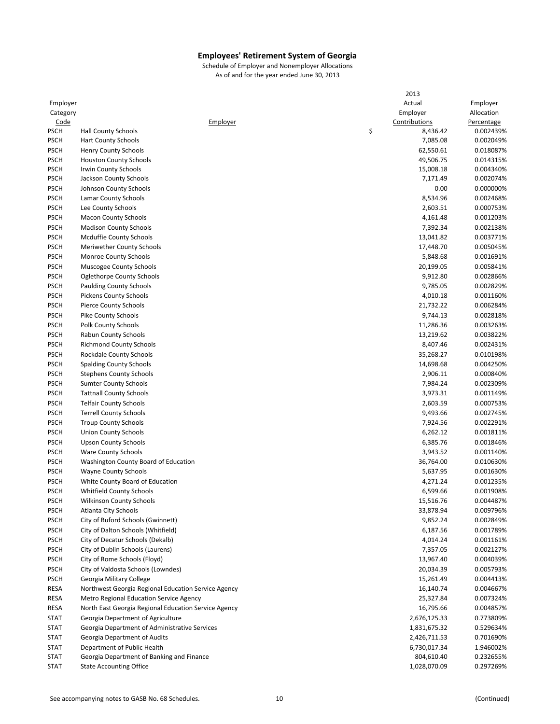|                            |                                                      | 2013                  |                        |
|----------------------------|------------------------------------------------------|-----------------------|------------------------|
| Employer                   |                                                      | Actual                | Employer               |
| Category                   |                                                      | Employer              | Allocation             |
| <b>Code</b>                | Employer                                             | Contributions         | Percentage             |
| <b>PSCH</b>                | <b>Hall County Schools</b>                           | \$<br>8,436.42        | 0.002439%              |
| <b>PSCH</b>                | <b>Hart County Schools</b>                           | 7,085.08              | 0.002049%              |
| <b>PSCH</b>                | Henry County Schools                                 | 62,550.61             | 0.018087%              |
|                            |                                                      |                       |                        |
| <b>PSCH</b>                | <b>Houston County Schools</b>                        | 49,506.75             | 0.014315%              |
| <b>PSCH</b><br><b>PSCH</b> | <b>Irwin County Schools</b>                          | 15,008.18<br>7,171.49 | 0.004340%<br>0.002074% |
|                            | Jackson County Schools                               |                       |                        |
| <b>PSCH</b>                | Johnson County Schools                               | 0.00                  | 0.000000%              |
| <b>PSCH</b>                | Lamar County Schools                                 | 8,534.96              | 0.002468%              |
| <b>PSCH</b>                | Lee County Schools                                   | 2,603.51              | 0.000753%              |
| <b>PSCH</b>                | <b>Macon County Schools</b>                          | 4,161.48              | 0.001203%              |
| <b>PSCH</b>                | <b>Madison County Schools</b>                        | 7,392.34              | 0.002138%              |
| <b>PSCH</b>                | Mcduffie County Schools                              | 13,041.82             | 0.003771%              |
| <b>PSCH</b>                | Meriwether County Schools                            | 17,448.70             | 0.005045%              |
| <b>PSCH</b>                | Monroe County Schools                                | 5,848.68              | 0.001691%              |
| <b>PSCH</b>                | Muscogee County Schools                              | 20,199.05             | 0.005841%              |
| <b>PSCH</b>                | <b>Oglethorpe County Schools</b>                     | 9,912.80              | 0.002866%              |
| <b>PSCH</b>                | <b>Paulding County Schools</b>                       | 9,785.05              | 0.002829%              |
| <b>PSCH</b>                | <b>Pickens County Schools</b>                        | 4,010.18              | 0.001160%              |
| <b>PSCH</b>                | <b>Pierce County Schools</b>                         | 21,732.22             | 0.006284%              |
| <b>PSCH</b>                | <b>Pike County Schools</b>                           | 9,744.13              | 0.002818%              |
|                            |                                                      | 11,286.36             |                        |
| <b>PSCH</b>                | <b>Polk County Schools</b>                           |                       | 0.003263%              |
| <b>PSCH</b>                | Rabun County Schools                                 | 13,219.62             | 0.003822%              |
| <b>PSCH</b>                | <b>Richmond County Schools</b>                       | 8,407.46              | 0.002431%              |
| <b>PSCH</b>                | Rockdale County Schools                              | 35,268.27             | 0.010198%              |
| <b>PSCH</b>                | <b>Spalding County Schools</b>                       | 14,698.68             | 0.004250%              |
| <b>PSCH</b>                | <b>Stephens County Schools</b>                       | 2,906.11              | 0.000840%              |
| <b>PSCH</b>                | <b>Sumter County Schools</b>                         | 7,984.24              | 0.002309%              |
| <b>PSCH</b>                | <b>Tattnall County Schools</b>                       | 3,973.31              | 0.001149%              |
| <b>PSCH</b>                | <b>Telfair County Schools</b>                        | 2,603.59              | 0.000753%              |
| <b>PSCH</b>                | <b>Terrell County Schools</b>                        | 9,493.66              | 0.002745%              |
| <b>PSCH</b>                | <b>Troup County Schools</b>                          | 7,924.56              | 0.002291%              |
| <b>PSCH</b>                | <b>Union County Schools</b>                          | 6,262.12              | 0.001811%              |
| <b>PSCH</b>                | <b>Upson County Schools</b>                          | 6,385.76              | 0.001846%              |
| <b>PSCH</b>                | <b>Ware County Schools</b>                           | 3,943.52              | 0.001140%              |
| <b>PSCH</b>                | Washington County Board of Education                 | 36,764.00             | 0.010630%              |
|                            |                                                      |                       |                        |
| <b>PSCH</b>                | Wayne County Schools                                 | 5,637.95              | 0.001630%              |
| <b>PSCH</b>                | White County Board of Education                      | 4,271.24              | 0.001235%              |
| <b>PSCH</b>                | <b>Whitfield County Schools</b>                      | 6,599.66              | 0.001908%              |
| <b>PSCH</b>                | <b>Wilkinson County Schools</b>                      | 15,516.76             | 0.004487%              |
| <b>PSCH</b>                | Atlanta City Schools                                 | 33,878.94             | 0.009796%              |
| <b>PSCH</b>                | City of Buford Schools (Gwinnett)                    | 9,852.24              | 0.002849%              |
| <b>PSCH</b>                | City of Dalton Schools (Whitfield)                   | 6,187.56              | 0.001789%              |
| <b>PSCH</b>                | City of Decatur Schools (Dekalb)                     | 4,014.24              | 0.001161%              |
| <b>PSCH</b>                | City of Dublin Schools (Laurens)                     | 7,357.05              | 0.002127%              |
| <b>PSCH</b>                | City of Rome Schools (Floyd)                         | 13,967.40             | 0.004039%              |
| <b>PSCH</b>                | City of Valdosta Schools (Lowndes)                   | 20,034.39             | 0.005793%              |
| <b>PSCH</b>                | Georgia Military College                             | 15,261.49             | 0.004413%              |
| RESA                       | Northwest Georgia Regional Education Service Agency  | 16,140.74             | 0.004667%              |
| RESA                       | Metro Regional Education Service Agency              | 25,327.84             | 0.007324%              |
|                            |                                                      |                       |                        |
| RESA                       | North East Georgia Regional Education Service Agency | 16,795.66             | 0.004857%              |
| <b>STAT</b>                | Georgia Department of Agriculture                    | 2,676,125.33          | 0.773809%              |
| STAT                       | Georgia Department of Administrative Services        | 1,831,675.32          | 0.529634%              |
| <b>STAT</b>                | Georgia Department of Audits                         | 2,426,711.53          | 0.701690%              |
| <b>STAT</b>                | Department of Public Health                          | 6,730,017.34          | 1.946002%              |
| <b>STAT</b>                | Georgia Department of Banking and Finance            | 804,610.40            | 0.232655%              |
| <b>STAT</b>                | <b>State Accounting Office</b>                       | 1,028,070.09          | 0.297269%              |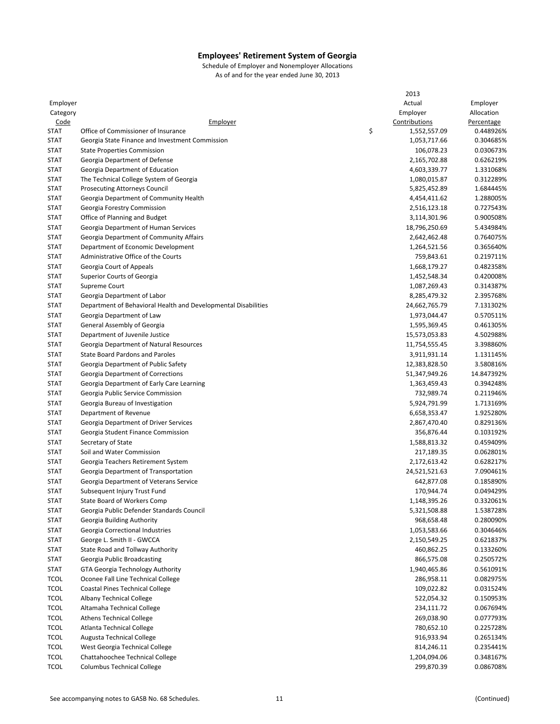|             |                                                                | 2013               |                        |
|-------------|----------------------------------------------------------------|--------------------|------------------------|
| Employer    |                                                                | Actual             | Employer               |
| Category    |                                                                | Employer           | Allocation             |
| <u>Code</u> | Employer                                                       | Contributions      | Percentage             |
| <b>STAT</b> | Office of Commissioner of Insurance                            | \$<br>1,552,557.09 | 0.448926%              |
| <b>STAT</b> | Georgia State Finance and Investment Commission                | 1,053,717.66       | 0.304685%              |
| <b>STAT</b> | <b>State Properties Commission</b>                             | 106,078.23         | 0.030673%              |
| <b>STAT</b> | Georgia Department of Defense                                  | 2,165,702.88       | 0.626219%              |
|             |                                                                |                    |                        |
| <b>STAT</b> | Georgia Department of Education                                | 4,603,339.77       | 1.331068%<br>0.312289% |
| <b>STAT</b> | The Technical College System of Georgia                        | 1,080,015.87       |                        |
| <b>STAT</b> | <b>Prosecuting Attorneys Council</b>                           | 5,825,452.89       | 1.684445%              |
| <b>STAT</b> | Georgia Department of Community Health                         | 4,454,411.62       | 1.288005%              |
| <b>STAT</b> | Georgia Forestry Commission                                    | 2,516,123.18       | 0.727543%              |
| <b>STAT</b> | Office of Planning and Budget                                  | 3,114,301.96       | 0.900508%              |
| <b>STAT</b> | Georgia Department of Human Services                           | 18,796,250.69      | 5.434984%              |
| <b>STAT</b> | Georgia Department of Community Affairs                        | 2,642,462.48       | 0.764075%              |
| <b>STAT</b> | Department of Economic Development                             | 1,264,521.56       | 0.365640%              |
| <b>STAT</b> | Administrative Office of the Courts                            | 759,843.61         | 0.219711%              |
| <b>STAT</b> | Georgia Court of Appeals                                       | 1,668,179.27       | 0.482358%              |
| <b>STAT</b> | Superior Courts of Georgia                                     | 1,452,548.34       | 0.420008%              |
| <b>STAT</b> | Supreme Court                                                  | 1,087,269.43       | 0.314387%              |
| <b>STAT</b> | Georgia Department of Labor                                    | 8,285,479.32       | 2.395768%              |
| <b>STAT</b> | Department of Behavioral Health and Developmental Disabilities | 24,662,765.79      | 7.131302%              |
| <b>STAT</b> | Georgia Department of Law                                      | 1,973,044.47       | 0.570511%              |
| <b>STAT</b> | General Assembly of Georgia                                    | 1,595,369.45       | 0.461305%              |
| <b>STAT</b> | Department of Juvenile Justice                                 | 15,573,053.83      | 4.502988%              |
| <b>STAT</b> | Georgia Department of Natural Resources                        | 11,754,555.45      | 3.398860%              |
| <b>STAT</b> | <b>State Board Pardons and Paroles</b>                         |                    | 1.131145%              |
|             |                                                                | 3,911,931.14       |                        |
| <b>STAT</b> | Georgia Department of Public Safety                            | 12,383,828.50      | 3.580816%              |
| <b>STAT</b> | Georgia Department of Corrections                              | 51,347,949.26      | 14.847392%             |
| <b>STAT</b> | Georgia Department of Early Care Learning                      | 1,363,459.43       | 0.394248%              |
| <b>STAT</b> | Georgia Public Service Commission                              | 732,989.74         | 0.211946%              |
| <b>STAT</b> | Georgia Bureau of Investigation                                | 5,924,791.99       | 1.713169%              |
| <b>STAT</b> | Department of Revenue                                          | 6,658,353.47       | 1.925280%              |
| <b>STAT</b> | Georgia Department of Driver Services                          | 2,867,470.40       | 0.829136%              |
| <b>STAT</b> | Georgia Student Finance Commission                             | 356,876.44         | 0.103192%              |
| <b>STAT</b> | Secretary of State                                             | 1,588,813.32       | 0.459409%              |
| <b>STAT</b> | Soil and Water Commission                                      | 217,189.35         | 0.062801%              |
| <b>STAT</b> | Georgia Teachers Retirement System                             | 2,172,613.42       | 0.628217%              |
| <b>STAT</b> | Georgia Department of Transportation                           | 24,521,521.63      | 7.090461%              |
| <b>STAT</b> | Georgia Department of Veterans Service                         | 642,877.08         | 0.185890%              |
| <b>STAT</b> | Subsequent Injury Trust Fund                                   | 170,944.74         | 0.049429%              |
| <b>STAT</b> | State Board of Workers Comp                                    | 1,148,395.26       | 0.332061%              |
| <b>STAT</b> | Georgia Public Defender Standards Council                      | 5,321,508.88       | 1.538728%              |
| <b>STAT</b> | Georgia Building Authority                                     | 968,658.48         | 0.280090%              |
| <b>STAT</b> | Georgia Correctional Industries                                | 1,053,583.66       | 0.304646%              |
| <b>STAT</b> | George L. Smith II - GWCCA                                     | 2,150,549.25       | 0.621837%              |
|             |                                                                |                    | 0.133260%              |
| <b>STAT</b> | State Road and Tollway Authority                               | 460,862.25         |                        |
| <b>STAT</b> | Georgia Public Broadcasting                                    | 866,575.08         | 0.250572%              |
| <b>STAT</b> | GTA Georgia Technology Authority                               | 1,940,465.86       | 0.561091%              |
| <b>TCOL</b> | Oconee Fall Line Technical College                             | 286,958.11         | 0.082975%              |
| <b>TCOL</b> | Coastal Pines Technical College                                | 109,022.82         | 0.031524%              |
| <b>TCOL</b> | Albany Technical College                                       | 522,054.32         | 0.150953%              |
| <b>TCOL</b> | Altamaha Technical College                                     | 234,111.72         | 0.067694%              |
| <b>TCOL</b> | <b>Athens Technical College</b>                                | 269,038.90         | 0.077793%              |
| <b>TCOL</b> | Atlanta Technical College                                      | 780,652.10         | 0.225728%              |
| <b>TCOL</b> | <b>Augusta Technical College</b>                               | 916,933.94         | 0.265134%              |
| <b>TCOL</b> | West Georgia Technical College                                 | 814,246.11         | 0.235441%              |
| <b>TCOL</b> | Chattahoochee Technical College                                | 1,204,094.06       | 0.348167%              |
| <b>TCOL</b> | <b>Columbus Technical College</b>                              | 299,870.39         | 0.086708%              |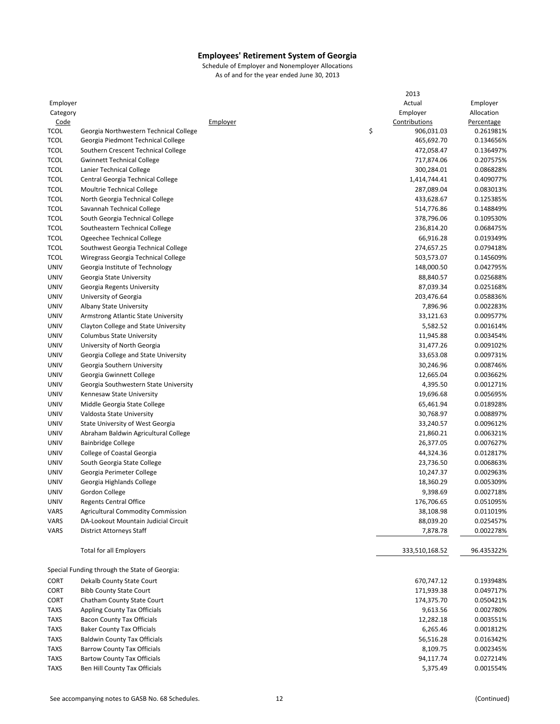|             |                                               |          | 2013             |            |
|-------------|-----------------------------------------------|----------|------------------|------------|
| Employer    |                                               |          | Actual           | Employer   |
| Category    |                                               |          | Employer         | Allocation |
| <u>Code</u> |                                               | Employer | Contributions    | Percentage |
| <b>TCOL</b> | Georgia Northwestern Technical College        |          | \$<br>906,031.03 | 0.261981%  |
| <b>TCOL</b> | Georgia Piedmont Technical College            |          | 465,692.70       | 0.134656%  |
| <b>TCOL</b> | Southern Crescent Technical College           |          | 472,058.47       | 0.136497%  |
| <b>TCOL</b> | <b>Gwinnett Technical College</b>             |          | 717,874.06       | 0.207575%  |
| <b>TCOL</b> | Lanier Technical College                      |          | 300,284.01       | 0.086828%  |
| <b>TCOL</b> | Central Georgia Technical College             |          | 1,414,744.41     | 0.409077%  |
| <b>TCOL</b> | Moultrie Technical College                    |          | 287,089.04       | 0.083013%  |
| <b>TCOL</b> |                                               |          |                  |            |
|             | North Georgia Technical College               |          | 433,628.67       | 0.125385%  |
| <b>TCOL</b> | Savannah Technical College                    |          | 514,776.86       | 0.148849%  |
| <b>TCOL</b> | South Georgia Technical College               |          | 378,796.06       | 0.109530%  |
| <b>TCOL</b> | Southeastern Technical College                |          | 236,814.20       | 0.068475%  |
| <b>TCOL</b> | Ogeechee Technical College                    |          | 66,916.28        | 0.019349%  |
| <b>TCOL</b> | Southwest Georgia Technical College           |          | 274,657.25       | 0.079418%  |
| <b>TCOL</b> | Wiregrass Georgia Technical College           |          | 503,573.07       | 0.145609%  |
| <b>UNIV</b> | Georgia Institute of Technology               |          | 148,000.50       | 0.042795%  |
| <b>UNIV</b> | Georgia State University                      |          | 88,840.57        | 0.025688%  |
| <b>UNIV</b> | Georgia Regents University                    |          | 87,039.34        | 0.025168%  |
| <b>UNIV</b> | University of Georgia                         |          | 203,476.64       | 0.058836%  |
| <b>UNIV</b> | Albany State University                       |          | 7,896.96         | 0.002283%  |
| <b>UNIV</b> | Armstrong Atlantic State University           |          | 33,121.63        | 0.009577%  |
| <b>UNIV</b> | Clayton College and State University          |          | 5,582.52         | 0.001614%  |
| <b>UNIV</b> | <b>Columbus State University</b>              |          | 11,945.88        | 0.003454%  |
| <b>UNIV</b> | University of North Georgia                   |          | 31,477.26        | 0.009102%  |
| <b>UNIV</b> | Georgia College and State University          |          | 33,653.08        | 0.009731%  |
| <b>UNIV</b> | Georgia Southern University                   |          | 30,246.96        | 0.008746%  |
| <b>UNIV</b> | Georgia Gwinnett College                      |          | 12,665.04        | 0.003662%  |
| UNIV        | Georgia Southwestern State University         |          | 4,395.50         | 0.001271%  |
| UNIV        | Kennesaw State University                     |          | 19,696.68        | 0.005695%  |
| <b>UNIV</b> |                                               |          | 65,461.94        | 0.018928%  |
|             | Middle Georgia State College                  |          |                  |            |
| <b>UNIV</b> | Valdosta State University                     |          | 30,768.97        | 0.008897%  |
| <b>UNIV</b> | <b>State University of West Georgia</b>       |          | 33,240.57        | 0.009612%  |
| <b>UNIV</b> | Abraham Baldwin Agricultural College          |          | 21,860.21        | 0.006321%  |
| UNIV        | <b>Bainbridge College</b>                     |          | 26,377.05        | 0.007627%  |
| <b>UNIV</b> | College of Coastal Georgia                    |          | 44,324.36        | 0.012817%  |
| <b>UNIV</b> | South Georgia State College                   |          | 23,736.50        | 0.006863%  |
| UNIV        | Georgia Perimeter College                     |          | 10,247.37        | 0.002963%  |
| UNIV        | Georgia Highlands College                     |          | 18,360.29        | 0.005309%  |
| UNIV        | Gordon College                                |          | 9,398.69         | 0.002718%  |
| <b>UNIV</b> | <b>Regents Central Office</b>                 |          | 176,706.65       | 0.051095%  |
| VARS        | <b>Agricultural Commodity Commission</b>      |          | 38,108.98        | 0.011019%  |
| VARS        | DA-Lookout Mountain Judicial Circuit          |          | 88,039.20        | 0.025457%  |
| VARS        | District Attorneys Staff                      |          | 7,878.78         | 0.002278%  |
|             | <b>Total for all Employers</b>                |          | 333,510,168.52   | 96.435322% |
|             |                                               |          |                  |            |
|             | Special Funding through the State of Georgia: |          |                  |            |
| <b>CORT</b> | Dekalb County State Court                     |          | 670,747.12       | 0.193948%  |
| <b>CORT</b> | <b>Bibb County State Court</b>                |          | 171,939.38       | 0.049717%  |
| <b>CORT</b> | Chatham County State Court                    |          | 174,375.70       | 0.050421%  |
| <b>TAXS</b> | Appling County Tax Officials                  |          | 9,613.56         | 0.002780%  |
| <b>TAXS</b> | <b>Bacon County Tax Officials</b>             |          | 12,282.18        | 0.003551%  |
| <b>TAXS</b> | <b>Baker County Tax Officials</b>             |          | 6,265.46         | 0.001812%  |
| <b>TAXS</b> | <b>Baldwin County Tax Officials</b>           |          | 56,516.28        | 0.016342%  |
| <b>TAXS</b> | <b>Barrow County Tax Officials</b>            |          | 8,109.75         | 0.002345%  |
| <b>TAXS</b> | <b>Bartow County Tax Officials</b>            |          | 94,117.74        | 0.027214%  |
| <b>TAXS</b> | Ben Hill County Tax Officials                 |          | 5,375.49         | 0.001554%  |
|             |                                               |          |                  |            |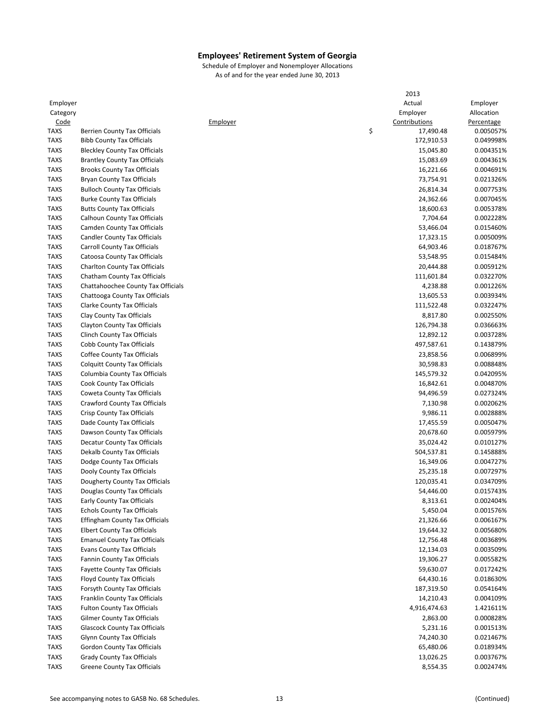|             |                                       |          | 2013            |            |
|-------------|---------------------------------------|----------|-----------------|------------|
| Employer    |                                       |          | Actual          | Employer   |
| Category    |                                       |          | Employer        | Allocation |
| Code        |                                       | Employer | Contributions   | Percentage |
| <b>TAXS</b> | Berrien County Tax Officials          |          | \$<br>17,490.48 | 0.005057%  |
| <b>TAXS</b> |                                       |          |                 | 0.049998%  |
|             | <b>Bibb County Tax Officials</b>      |          | 172,910.53      |            |
| <b>TAXS</b> | <b>Bleckley County Tax Officials</b>  |          | 15,045.80       | 0.004351%  |
| <b>TAXS</b> | <b>Brantley County Tax Officials</b>  |          | 15,083.69       | 0.004361%  |
| <b>TAXS</b> | <b>Brooks County Tax Officials</b>    |          | 16,221.66       | 0.004691%  |
| <b>TAXS</b> | <b>Bryan County Tax Officials</b>     |          | 73,754.91       | 0.021326%  |
| <b>TAXS</b> | <b>Bulloch County Tax Officials</b>   |          | 26,814.34       | 0.007753%  |
| <b>TAXS</b> | <b>Burke County Tax Officials</b>     |          | 24,362.66       | 0.007045%  |
| <b>TAXS</b> | <b>Butts County Tax Officials</b>     |          | 18,600.63       | 0.005378%  |
| <b>TAXS</b> | Calhoun County Tax Officials          |          | 7,704.64        | 0.002228%  |
| <b>TAXS</b> | Camden County Tax Officials           |          | 53,466.04       | 0.015460%  |
| <b>TAXS</b> | <b>Candler County Tax Officials</b>   |          | 17,323.15       | 0.005009%  |
| <b>TAXS</b> | Carroll County Tax Officials          |          | 64,903.46       | 0.018767%  |
| <b>TAXS</b> |                                       |          | 53,548.95       | 0.015484%  |
|             | Catoosa County Tax Officials          |          |                 |            |
| <b>TAXS</b> | Charlton County Tax Officials         |          | 20,444.88       | 0.005912%  |
| <b>TAXS</b> | Chatham County Tax Officials          |          | 111,601.84      | 0.032270%  |
| <b>TAXS</b> | Chattahoochee County Tax Officials    |          | 4,238.88        | 0.001226%  |
| <b>TAXS</b> | Chattooga County Tax Officials        |          | 13,605.53       | 0.003934%  |
| <b>TAXS</b> | Clarke County Tax Officials           |          | 111,522.48      | 0.032247%  |
| <b>TAXS</b> | Clay County Tax Officials             |          | 8,817.80        | 0.002550%  |
| <b>TAXS</b> | Clayton County Tax Officials          |          | 126,794.38      | 0.036663%  |
| <b>TAXS</b> | Clinch County Tax Officials           |          | 12,892.12       | 0.003728%  |
| <b>TAXS</b> | Cobb County Tax Officials             |          | 497,587.61      | 0.143879%  |
| <b>TAXS</b> | Coffee County Tax Officials           |          | 23,858.56       | 0.006899%  |
|             |                                       |          |                 |            |
| <b>TAXS</b> | <b>Colquitt County Tax Officials</b>  |          | 30,598.83       | 0.008848%  |
| <b>TAXS</b> | Columbia County Tax Officials         |          | 145,579.32      | 0.042095%  |
| <b>TAXS</b> | Cook County Tax Officials             |          | 16,842.61       | 0.004870%  |
| <b>TAXS</b> | Coweta County Tax Officials           |          | 94,496.59       | 0.027324%  |
| <b>TAXS</b> | Crawford County Tax Officials         |          | 7,130.98        | 0.002062%  |
| <b>TAXS</b> | Crisp County Tax Officials            |          | 9,986.11        | 0.002888%  |
| <b>TAXS</b> | Dade County Tax Officials             |          | 17,455.59       | 0.005047%  |
| <b>TAXS</b> | Dawson County Tax Officials           |          | 20,678.60       | 0.005979%  |
| <b>TAXS</b> | Decatur County Tax Officials          |          | 35,024.42       | 0.010127%  |
| <b>TAXS</b> | Dekalb County Tax Officials           |          | 504,537.81      | 0.145888%  |
| <b>TAXS</b> | Dodge County Tax Officials            |          | 16,349.06       | 0.004727%  |
| <b>TAXS</b> | Dooly County Tax Officials            |          | 25,235.18       | 0.007297%  |
| <b>TAXS</b> | Dougherty County Tax Officials        |          | 120,035.41      | 0.034709%  |
|             |                                       |          |                 |            |
| <b>TAXS</b> | Douglas County Tax Officials          |          | 54,446.00       | 0.015743%  |
| TAXS        | Early County Tax Officials            |          | 8,313.61        | 0.002404%  |
| <b>TAXS</b> | <b>Echols County Tax Officials</b>    |          | 5,450.04        | 0.001576%  |
| <b>TAXS</b> | <b>Effingham County Tax Officials</b> |          | 21,326.66       | 0.006167%  |
| <b>TAXS</b> | <b>Elbert County Tax Officials</b>    |          | 19,644.32       | 0.005680%  |
| <b>TAXS</b> | <b>Emanuel County Tax Officials</b>   |          | 12,756.48       | 0.003689%  |
| <b>TAXS</b> | <b>Evans County Tax Officials</b>     |          | 12,134.03       | 0.003509%  |
| <b>TAXS</b> | Fannin County Tax Officials           |          | 19,306.27       | 0.005582%  |
| <b>TAXS</b> | <b>Fayette County Tax Officials</b>   |          | 59,630.07       | 0.017242%  |
| <b>TAXS</b> | Floyd County Tax Officials            |          | 64,430.16       | 0.018630%  |
| <b>TAXS</b> | Forsyth County Tax Officials          |          | 187,319.50      | 0.054164%  |
|             |                                       |          |                 |            |
| <b>TAXS</b> | Franklin County Tax Officials         |          | 14,210.43       | 0.004109%  |
| <b>TAXS</b> | <b>Fulton County Tax Officials</b>    |          | 4,916,474.63    | 1.421611%  |
| <b>TAXS</b> | <b>Gilmer County Tax Officials</b>    |          | 2,863.00        | 0.000828%  |
| <b>TAXS</b> | <b>Glascock County Tax Officials</b>  |          | 5,231.16        | 0.001513%  |
| <b>TAXS</b> | Glynn County Tax Officials            |          | 74,240.30       | 0.021467%  |
| <b>TAXS</b> | Gordon County Tax Officials           |          | 65,480.06       | 0.018934%  |
| <b>TAXS</b> | <b>Grady County Tax Officials</b>     |          | 13,026.25       | 0.003767%  |
| <b>TAXS</b> | Greene County Tax Officials           |          | 8,554.35        | 0.002474%  |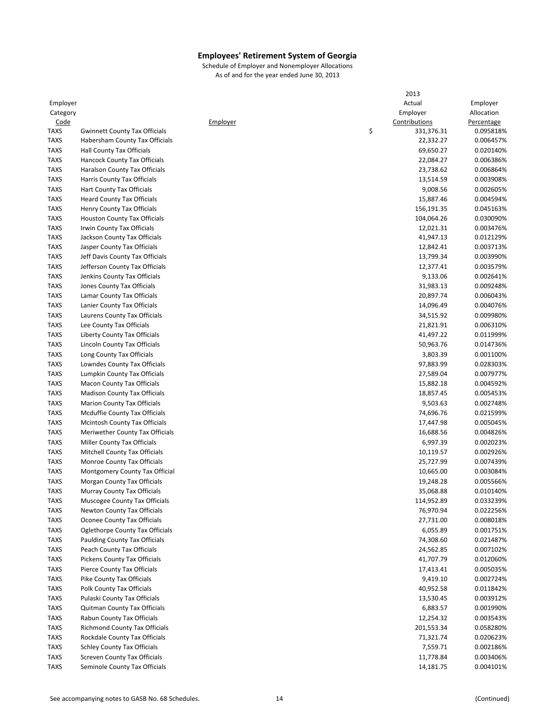|             |                                      |          | 2013             |            |
|-------------|--------------------------------------|----------|------------------|------------|
| Employer    |                                      |          | Actual           | Employer   |
| Category    |                                      |          | Employer         | Allocation |
| Code        |                                      | Employer | Contributions    | Percentage |
| <b>TAXS</b> | <b>Gwinnett County Tax Officials</b> |          | \$<br>331,376.31 | 0.095818%  |
| <b>TAXS</b> | Habersham County Tax Officials       |          | 22,332.27        | 0.006457%  |
| <b>TAXS</b> | Hall County Tax Officials            |          | 69,650.27        | 0.020140%  |
| <b>TAXS</b> | Hancock County Tax Officials         |          | 22,084.27        | 0.006386%  |
| <b>TAXS</b> | Haralson County Tax Officials        |          | 23,738.62        | 0.006864%  |
| <b>TAXS</b> | Harris County Tax Officials          |          | 13,514.59        | 0.003908%  |
| <b>TAXS</b> |                                      |          |                  |            |
|             | Hart County Tax Officials            |          | 9,008.56         | 0.002605%  |
| <b>TAXS</b> | <b>Heard County Tax Officials</b>    |          | 15,887.46        | 0.004594%  |
| <b>TAXS</b> | Henry County Tax Officials           |          | 156,191.35       | 0.045163%  |
| <b>TAXS</b> | <b>Houston County Tax Officials</b>  |          | 104,064.26       | 0.030090%  |
| <b>TAXS</b> | Irwin County Tax Officials           |          | 12,021.31        | 0.003476%  |
| <b>TAXS</b> | Jackson County Tax Officials         |          | 41,947.13        | 0.012129%  |
| <b>TAXS</b> | Jasper County Tax Officials          |          | 12,842.41        | 0.003713%  |
| <b>TAXS</b> | Jeff Davis County Tax Officials      |          | 13,799.34        | 0.003990%  |
| <b>TAXS</b> | Jefferson County Tax Officials       |          | 12,377.41        | 0.003579%  |
| <b>TAXS</b> | Jenkins County Tax Officials         |          | 9,133.06         | 0.002641%  |
| <b>TAXS</b> | Jones County Tax Officials           |          | 31,983.13        | 0.009248%  |
| <b>TAXS</b> | Lamar County Tax Officials           |          | 20,897.74        | 0.006043%  |
| <b>TAXS</b> | Lanier County Tax Officials          |          | 14,096.49        | 0.004076%  |
| <b>TAXS</b> | Laurens County Tax Officials         |          | 34,515.92        | 0.009980%  |
| <b>TAXS</b> | Lee County Tax Officials             |          | 21,821.91        | 0.006310%  |
| <b>TAXS</b> | Liberty County Tax Officials         |          | 41,497.22        | 0.011999%  |
| <b>TAXS</b> | Lincoln County Tax Officials         |          | 50,963.76        | 0.014736%  |
| <b>TAXS</b> | Long County Tax Officials            |          | 3,803.39         | 0.001100%  |
| <b>TAXS</b> | Lowndes County Tax Officials         |          | 97,883.99        | 0.028303%  |
| <b>TAXS</b> |                                      |          |                  | 0.007977%  |
|             | Lumpkin County Tax Officials         |          | 27,589.04        |            |
| <b>TAXS</b> | <b>Macon County Tax Officials</b>    |          | 15,882.18        | 0.004592%  |
| <b>TAXS</b> | <b>Madison County Tax Officials</b>  |          | 18,857.45        | 0.005453%  |
| <b>TAXS</b> | <b>Marion County Tax Officials</b>   |          | 9,503.63         | 0.002748%  |
| <b>TAXS</b> | Mcduffie County Tax Officials        |          | 74,696.76        | 0.021599%  |
| <b>TAXS</b> | Mcintosh County Tax Officials        |          | 17,447.98        | 0.005045%  |
| <b>TAXS</b> | Meriwether County Tax Officials      |          | 16,688.56        | 0.004826%  |
| <b>TAXS</b> | Miller County Tax Officials          |          | 6,997.39         | 0.002023%  |
| <b>TAXS</b> | Mitchell County Tax Officials        |          | 10,119.57        | 0.002926%  |
| <b>TAXS</b> | Monroe County Tax Officials          |          | 25,727.99        | 0.007439%  |
| <b>TAXS</b> | Montgomery County Tax Official       |          | 10,665.00        | 0.003084%  |
| <b>TAXS</b> | Morgan County Tax Officials          |          | 19,248.28        | 0.005566%  |
| <b>TAXS</b> | Murray County Tax Officials          |          | 35,068.88        | 0.010140%  |
| TAXS        | Muscogee County Tax Officials        |          | 114,952.89       | 0.033239%  |
| <b>TAXS</b> | Newton County Tax Officials          |          | 76,970.94        | 0.022256%  |
| <b>TAXS</b> | Oconee County Tax Officials          |          | 27,731.00        | 0.008018%  |
| <b>TAXS</b> | Oglethorpe County Tax Officials      |          | 6,055.89         | 0.001751%  |
| <b>TAXS</b> | <b>Paulding County Tax Officials</b> |          | 74,308.60        | 0.021487%  |
| <b>TAXS</b> | Peach County Tax Officials           |          | 24,562.85        | 0.007102%  |
| <b>TAXS</b> | Pickens County Tax Officials         |          | 41,707.79        | 0.012060%  |
| <b>TAXS</b> | Pierce County Tax Officials          |          | 17,413.41        | 0.005035%  |
|             | Pike County Tax Officials            |          |                  |            |
| <b>TAXS</b> |                                      |          | 9,419.10         | 0.002724%  |
| <b>TAXS</b> | Polk County Tax Officials            |          | 40,952.58        | 0.011842%  |
| <b>TAXS</b> | Pulaski County Tax Officials         |          | 13,530.45        | 0.003912%  |
| <b>TAXS</b> | Quitman County Tax Officials         |          | 6,883.57         | 0.001990%  |
| <b>TAXS</b> | Rabun County Tax Officials           |          | 12,254.32        | 0.003543%  |
| <b>TAXS</b> | Richmond County Tax Officials        |          | 201,553.34       | 0.058280%  |
| <b>TAXS</b> | Rockdale County Tax Officials        |          | 71,321.74        | 0.020623%  |
| <b>TAXS</b> | <b>Schley County Tax Officials</b>   |          | 7,559.71         | 0.002186%  |
| <b>TAXS</b> | <b>Screven County Tax Officials</b>  |          | 11,778.84        | 0.003406%  |
| <b>TAXS</b> | Seminole County Tax Officials        |          | 14,181.75        | 0.004101%  |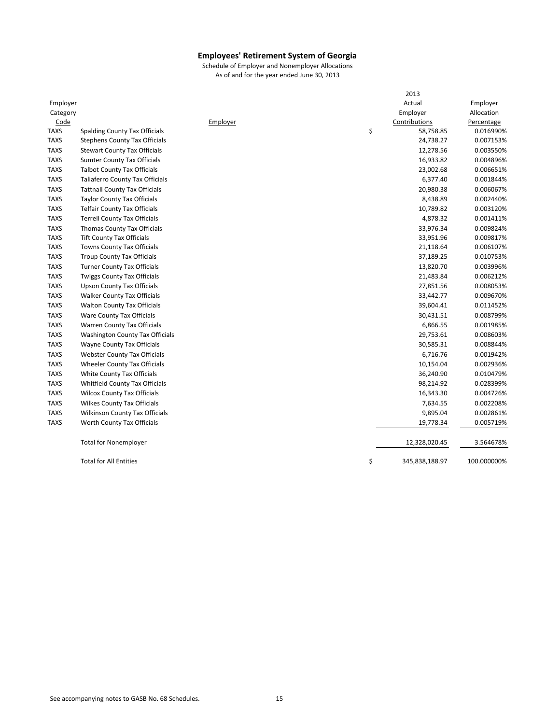|             |                                        |          | 2013                 |             |
|-------------|----------------------------------------|----------|----------------------|-------------|
| Employer    |                                        |          | Actual               | Employer    |
| Category    |                                        |          | Employer             | Allocation  |
| Code        |                                        | Employer | Contributions        | Percentage  |
| <b>TAXS</b> | Spalding County Tax Officials          |          | \$<br>58,758.85      | 0.016990%   |
| <b>TAXS</b> | <b>Stephens County Tax Officials</b>   |          | 24,738.27            | 0.007153%   |
| <b>TAXS</b> | <b>Stewart County Tax Officials</b>    |          | 12,278.56            | 0.003550%   |
| <b>TAXS</b> | <b>Sumter County Tax Officials</b>     |          | 16,933.82            | 0.004896%   |
| <b>TAXS</b> | <b>Talbot County Tax Officials</b>     |          | 23,002.68            | 0.006651%   |
| <b>TAXS</b> | <b>Taliaferro County Tax Officials</b> |          | 6,377.40             | 0.001844%   |
| <b>TAXS</b> | <b>Tattnall County Tax Officials</b>   |          | 20,980.38            | 0.006067%   |
| <b>TAXS</b> | <b>Taylor County Tax Officials</b>     |          | 8,438.89             | 0.002440%   |
| <b>TAXS</b> | <b>Telfair County Tax Officials</b>    |          | 10,789.82            | 0.003120%   |
| <b>TAXS</b> | <b>Terrell County Tax Officials</b>    |          | 4,878.32             | 0.001411%   |
| <b>TAXS</b> | Thomas County Tax Officials            |          | 33,976.34            | 0.009824%   |
| <b>TAXS</b> | <b>Tift County Tax Officials</b>       |          | 33,951.96            | 0.009817%   |
| <b>TAXS</b> | Towns County Tax Officials             |          | 21,118.64            | 0.006107%   |
| <b>TAXS</b> | <b>Troup County Tax Officials</b>      |          | 37,189.25            | 0.010753%   |
| <b>TAXS</b> | <b>Turner County Tax Officials</b>     |          | 13,820.70            | 0.003996%   |
| <b>TAXS</b> | <b>Twiggs County Tax Officials</b>     |          | 21,483.84            | 0.006212%   |
| <b>TAXS</b> | <b>Upson County Tax Officials</b>      |          | 27,851.56            | 0.008053%   |
| <b>TAXS</b> | <b>Walker County Tax Officials</b>     |          | 33,442.77            | 0.009670%   |
| <b>TAXS</b> | <b>Walton County Tax Officials</b>     |          | 39,604.41            | 0.011452%   |
| <b>TAXS</b> | Ware County Tax Officials              |          | 30,431.51            | 0.008799%   |
| <b>TAXS</b> | <b>Warren County Tax Officials</b>     |          | 6,866.55             | 0.001985%   |
| <b>TAXS</b> | <b>Washington County Tax Officials</b> |          | 29,753.61            | 0.008603%   |
| <b>TAXS</b> | Wayne County Tax Officials             |          | 30,585.31            | 0.008844%   |
| <b>TAXS</b> | <b>Webster County Tax Officials</b>    |          | 6,716.76             | 0.001942%   |
| <b>TAXS</b> | Wheeler County Tax Officials           |          | 10,154.04            | 0.002936%   |
| <b>TAXS</b> | White County Tax Officials             |          | 36,240.90            | 0.010479%   |
| <b>TAXS</b> | Whitfield County Tax Officials         |          | 98,214.92            | 0.028399%   |
| <b>TAXS</b> | <b>Wilcox County Tax Officials</b>     |          | 16,343.30            | 0.004726%   |
| <b>TAXS</b> | <b>Wilkes County Tax Officials</b>     |          | 7,634.55             | 0.002208%   |
| <b>TAXS</b> | Wilkinson County Tax Officials         |          | 9,895.04             | 0.002861%   |
| <b>TAXS</b> | Worth County Tax Officials             |          | 19,778.34            | 0.005719%   |
|             | <b>Total for Nonemployer</b>           |          | 12,328,020.45        | 3.564678%   |
|             | <b>Total for All Entities</b>          |          | \$<br>345,838,188.97 | 100.000000% |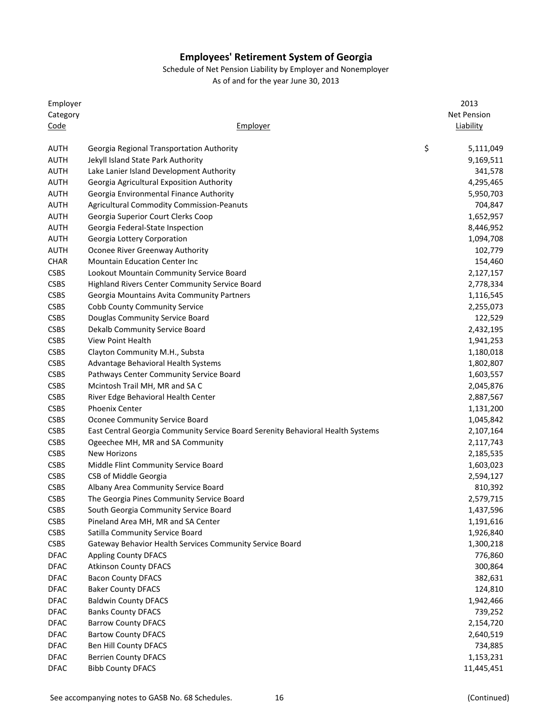Schedule of Net Pension Liability by Employer and Nonemployer

| Employer    |                                                                                 | 2013               |
|-------------|---------------------------------------------------------------------------------|--------------------|
| Category    |                                                                                 | <b>Net Pension</b> |
| Code        | Employer                                                                        | <b>Liability</b>   |
|             |                                                                                 |                    |
| <b>AUTH</b> | Georgia Regional Transportation Authority                                       | \$<br>5,111,049    |
| <b>AUTH</b> | Jekyll Island State Park Authority                                              | 9,169,511          |
| <b>AUTH</b> | Lake Lanier Island Development Authority                                        | 341,578            |
| <b>AUTH</b> | Georgia Agricultural Exposition Authority                                       | 4,295,465          |
| <b>AUTH</b> | Georgia Environmental Finance Authority                                         | 5,950,703          |
| <b>AUTH</b> | <b>Agricultural Commodity Commission-Peanuts</b>                                | 704,847            |
| <b>AUTH</b> | Georgia Superior Court Clerks Coop                                              | 1,652,957          |
| <b>AUTH</b> | Georgia Federal-State Inspection                                                | 8,446,952          |
| <b>AUTH</b> | Georgia Lottery Corporation                                                     | 1,094,708          |
| <b>AUTH</b> | Oconee River Greenway Authority                                                 | 102,779            |
| <b>CHAR</b> | <b>Mountain Education Center Inc</b>                                            | 154,460            |
| <b>CSBS</b> | Lookout Mountain Community Service Board                                        | 2,127,157          |
| <b>CSBS</b> | <b>Highland Rivers Center Community Service Board</b>                           | 2,778,334          |
| <b>CSBS</b> | Georgia Mountains Avita Community Partners                                      | 1,116,545          |
| <b>CSBS</b> | <b>Cobb County Community Service</b>                                            | 2,255,073          |
| <b>CSBS</b> | Douglas Community Service Board                                                 | 122,529            |
| <b>CSBS</b> | Dekalb Community Service Board                                                  | 2,432,195          |
| <b>CSBS</b> | View Point Health                                                               | 1,941,253          |
| <b>CSBS</b> | Clayton Community M.H., Substa                                                  | 1,180,018          |
| <b>CSBS</b> | Advantage Behavioral Health Systems                                             | 1,802,807          |
| <b>CSBS</b> | Pathways Center Community Service Board                                         | 1,603,557          |
| <b>CSBS</b> | Mcintosh Trail MH, MR and SA C                                                  | 2,045,876          |
| <b>CSBS</b> | River Edge Behavioral Health Center                                             | 2,887,567          |
| <b>CSBS</b> | <b>Phoenix Center</b>                                                           | 1,131,200          |
| <b>CSBS</b> | Oconee Community Service Board                                                  | 1,045,842          |
| <b>CSBS</b> | East Central Georgia Community Service Board Serenity Behavioral Health Systems | 2,107,164          |
| <b>CSBS</b> | Ogeechee MH, MR and SA Community                                                | 2,117,743          |
| <b>CSBS</b> | <b>New Horizons</b>                                                             | 2,185,535          |
| CSBS        | Middle Flint Community Service Board                                            | 1,603,023          |
| <b>CSBS</b> |                                                                                 | 2,594,127          |
|             | CSB of Middle Georgia<br>Albany Area Community Service Board                    |                    |
| <b>CSBS</b> |                                                                                 | 810,392            |
| <b>CSBS</b> | The Georgia Pines Community Service Board                                       | 2,579,715          |
| <b>CSBS</b> | South Georgia Community Service Board                                           | 1,437,596          |
| <b>CSBS</b> | Pineland Area MH, MR and SA Center                                              | 1,191,616          |
| <b>CSBS</b> | Satilla Community Service Board                                                 | 1,926,840          |
| <b>CSBS</b> | Gateway Behavior Health Services Community Service Board                        | 1,300,218          |
| <b>DFAC</b> | <b>Appling County DFACS</b>                                                     | 776,860            |
| <b>DFAC</b> | <b>Atkinson County DFACS</b>                                                    | 300,864            |
| <b>DFAC</b> | <b>Bacon County DFACS</b>                                                       | 382,631            |
| <b>DFAC</b> | <b>Baker County DFACS</b>                                                       | 124,810            |
| <b>DFAC</b> | <b>Baldwin County DFACS</b>                                                     | 1,942,466          |
| <b>DFAC</b> | <b>Banks County DFACS</b>                                                       | 739,252            |
| <b>DFAC</b> | <b>Barrow County DFACS</b>                                                      | 2,154,720          |
| <b>DFAC</b> | <b>Bartow County DFACS</b>                                                      | 2,640,519          |
| <b>DFAC</b> | Ben Hill County DFACS                                                           | 734,885            |
| <b>DFAC</b> | <b>Berrien County DFACS</b>                                                     | 1,153,231          |
| <b>DFAC</b> | <b>Bibb County DFACS</b>                                                        | 11,445,451         |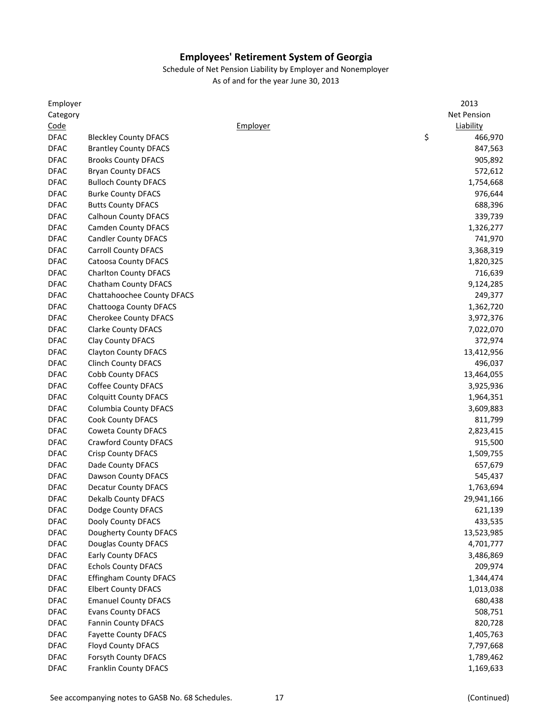| Employer                   |                               |          | 2013          |
|----------------------------|-------------------------------|----------|---------------|
| Category                   |                               |          | Net Pension   |
| Code                       |                               | Employer | Liability     |
| <b>DFAC</b>                | <b>Bleckley County DFACS</b>  |          | \$<br>466,970 |
| <b>DFAC</b>                | <b>Brantley County DFACS</b>  |          | 847,563       |
| <b>DFAC</b>                | <b>Brooks County DFACS</b>    |          | 905,892       |
| <b>DFAC</b>                | <b>Bryan County DFACS</b>     |          | 572,612       |
| <b>DFAC</b>                | <b>Bulloch County DFACS</b>   |          | 1,754,668     |
| <b>DFAC</b>                | <b>Burke County DFACS</b>     |          | 976,644       |
| <b>DFAC</b>                | <b>Butts County DFACS</b>     |          | 688,396       |
| <b>DFAC</b>                | <b>Calhoun County DFACS</b>   |          | 339,739       |
| <b>DFAC</b>                | <b>Camden County DFACS</b>    |          | 1,326,277     |
| <b>DFAC</b>                | <b>Candler County DFACS</b>   |          | 741,970       |
| <b>DFAC</b>                | <b>Carroll County DFACS</b>   |          | 3,368,319     |
| <b>DFAC</b>                | <b>Catoosa County DFACS</b>   |          | 1,820,325     |
| <b>DFAC</b>                | <b>Charlton County DFACS</b>  |          | 716,639       |
| <b>DFAC</b>                | Chatham County DFACS          |          | 9,124,285     |
| <b>DFAC</b>                | Chattahoochee County DFACS    |          | 249,377       |
| <b>DFAC</b>                | Chattooga County DFACS        |          | 1,362,720     |
| <b>DFAC</b>                | <b>Cherokee County DFACS</b>  |          | 3,972,376     |
| <b>DFAC</b>                | <b>Clarke County DFACS</b>    |          | 7,022,070     |
| <b>DFAC</b>                | Clay County DFACS             |          | 372,974       |
| <b>DFAC</b>                | <b>Clayton County DFACS</b>   |          | 13,412,956    |
| <b>DFAC</b>                | <b>Clinch County DFACS</b>    |          | 496,037       |
| <b>DFAC</b>                | Cobb County DFACS             |          | 13,464,055    |
| <b>DFAC</b>                | <b>Coffee County DFACS</b>    |          | 3,925,936     |
| <b>DFAC</b>                | <b>Colquitt County DFACS</b>  |          | 1,964,351     |
| <b>DFAC</b>                | <b>Columbia County DFACS</b>  |          | 3,609,883     |
| <b>DFAC</b>                | Cook County DFACS             |          | 811,799       |
| <b>DFAC</b>                |                               |          |               |
|                            | Coweta County DFACS           |          | 2,823,415     |
| <b>DFAC</b>                | <b>Crawford County DFACS</b>  |          | 915,500       |
| <b>DFAC</b><br><b>DFAC</b> | <b>Crisp County DFACS</b>     |          | 1,509,755     |
|                            | Dade County DFACS             |          | 657,679       |
| <b>DFAC</b>                | Dawson County DFACS           |          | 545,437       |
| <b>DFAC</b>                | <b>Decatur County DFACS</b>   |          | 1,763,694     |
| <b>DFAC</b>                | <b>Dekalb County DFACS</b>    |          | 29,941,166    |
| <b>DFAC</b>                | Dodge County DFACS            |          | 621,139       |
| <b>DFAC</b>                | Dooly County DFACS            |          | 433,535       |
| <b>DFAC</b>                | Dougherty County DFACS        |          | 13,523,985    |
| <b>DFAC</b>                | Douglas County DFACS          |          | 4,701,777     |
| <b>DFAC</b>                | <b>Early County DFACS</b>     |          | 3,486,869     |
| <b>DFAC</b>                | <b>Echols County DFACS</b>    |          | 209,974       |
| <b>DFAC</b>                | <b>Effingham County DFACS</b> |          | 1,344,474     |
| <b>DFAC</b>                | <b>Elbert County DFACS</b>    |          | 1,013,038     |
| <b>DFAC</b>                | <b>Emanuel County DFACS</b>   |          | 680,438       |
| <b>DFAC</b>                | <b>Evans County DFACS</b>     |          | 508,751       |
| <b>DFAC</b>                | <b>Fannin County DFACS</b>    |          | 820,728       |
| <b>DFAC</b>                | <b>Fayette County DFACS</b>   |          | 1,405,763     |
| <b>DFAC</b>                | Floyd County DFACS            |          | 7,797,668     |
| <b>DFAC</b>                | Forsyth County DFACS          |          | 1,789,462     |
| <b>DFAC</b>                | Franklin County DFACS         |          | 1,169,633     |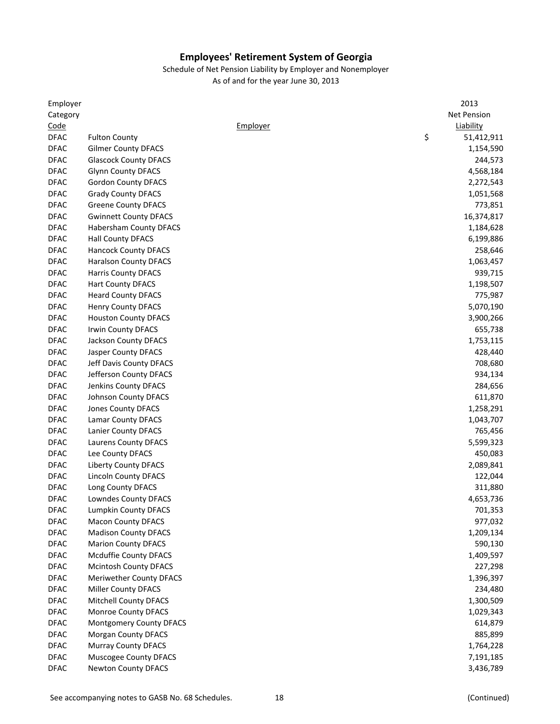| Employer    |                                |          | 2013             |
|-------------|--------------------------------|----------|------------------|
| Category    |                                |          | Net Pension      |
| Code        |                                | Employer | Liability        |
| <b>DFAC</b> | <b>Fulton County</b>           |          | \$<br>51,412,911 |
| <b>DFAC</b> | <b>Gilmer County DFACS</b>     |          | 1,154,590        |
| <b>DFAC</b> | <b>Glascock County DFACS</b>   |          | 244,573          |
| <b>DFAC</b> | <b>Glynn County DFACS</b>      |          | 4,568,184        |
| <b>DFAC</b> | Gordon County DFACS            |          | 2,272,543        |
| <b>DFAC</b> | <b>Grady County DFACS</b>      |          | 1,051,568        |
| <b>DFAC</b> | <b>Greene County DFACS</b>     |          | 773,851          |
| <b>DFAC</b> | <b>Gwinnett County DFACS</b>   |          | 16,374,817       |
| <b>DFAC</b> | Habersham County DFACS         |          | 1,184,628        |
| <b>DFAC</b> | <b>Hall County DFACS</b>       |          | 6,199,886        |
| <b>DFAC</b> | <b>Hancock County DFACS</b>    |          | 258,646          |
| <b>DFAC</b> | <b>Haralson County DFACS</b>   |          | 1,063,457        |
| <b>DFAC</b> | <b>Harris County DFACS</b>     |          | 939,715          |
| <b>DFAC</b> | <b>Hart County DFACS</b>       |          | 1,198,507        |
| <b>DFAC</b> | <b>Heard County DFACS</b>      |          | 775,987          |
| <b>DFAC</b> | <b>Henry County DFACS</b>      |          | 5,070,190        |
| <b>DFAC</b> | <b>Houston County DFACS</b>    |          | 3,900,266        |
| <b>DFAC</b> | Irwin County DFACS             |          | 655,738          |
| <b>DFAC</b> | Jackson County DFACS           |          | 1,753,115        |
| <b>DFAC</b> | Jasper County DFACS            |          | 428,440          |
| <b>DFAC</b> | Jeff Davis County DFACS        |          | 708,680          |
| <b>DFAC</b> | Jefferson County DFACS         |          | 934,134          |
| <b>DFAC</b> | Jenkins County DFACS           |          | 284,656          |
| <b>DFAC</b> | <b>Johnson County DFACS</b>    |          | 611,870          |
| <b>DFAC</b> | <b>Jones County DFACS</b>      |          | 1,258,291        |
| <b>DFAC</b> | Lamar County DFACS             |          | 1,043,707        |
| <b>DFAC</b> | Lanier County DFACS            |          | 765,456          |
| <b>DFAC</b> | Laurens County DFACS           |          | 5,599,323        |
| <b>DFAC</b> | Lee County DFACS               |          | 450,083          |
| <b>DFAC</b> | <b>Liberty County DFACS</b>    |          | 2,089,841        |
| <b>DFAC</b> | <b>Lincoln County DFACS</b>    |          | 122,044          |
| <b>DFAC</b> | Long County DFACS              |          | 311,880          |
| <b>DFAC</b> | Lowndes County DFACS           |          | 4,653,736        |
| <b>DFAC</b> | Lumpkin County DFACS           |          | 701,353          |
| <b>DFAC</b> | <b>Macon County DFACS</b>      |          | 977,032          |
| <b>DFAC</b> | <b>Madison County DFACS</b>    |          | 1,209,134        |
| <b>DFAC</b> | <b>Marion County DFACS</b>     |          | 590,130          |
| <b>DFAC</b> | Mcduffie County DFACS          |          | 1,409,597        |
| <b>DFAC</b> | <b>Mcintosh County DFACS</b>   |          | 227,298          |
| <b>DFAC</b> | Meriwether County DFACS        |          | 1,396,397        |
| <b>DFAC</b> | <b>Miller County DFACS</b>     |          | 234,480          |
| <b>DFAC</b> | <b>Mitchell County DFACS</b>   |          |                  |
|             |                                |          | 1,300,509        |
| <b>DFAC</b> | <b>Monroe County DFACS</b>     |          | 1,029,343        |
| <b>DFAC</b> | <b>Montgomery County DFACS</b> |          | 614,879          |
| <b>DFAC</b> | <b>Morgan County DFACS</b>     |          | 885,899          |
| <b>DFAC</b> | <b>Murray County DFACS</b>     |          | 1,764,228        |
| <b>DFAC</b> | <b>Muscogee County DFACS</b>   |          | 7,191,185        |
| <b>DFAC</b> | <b>Newton County DFACS</b>     |          | 3,436,789        |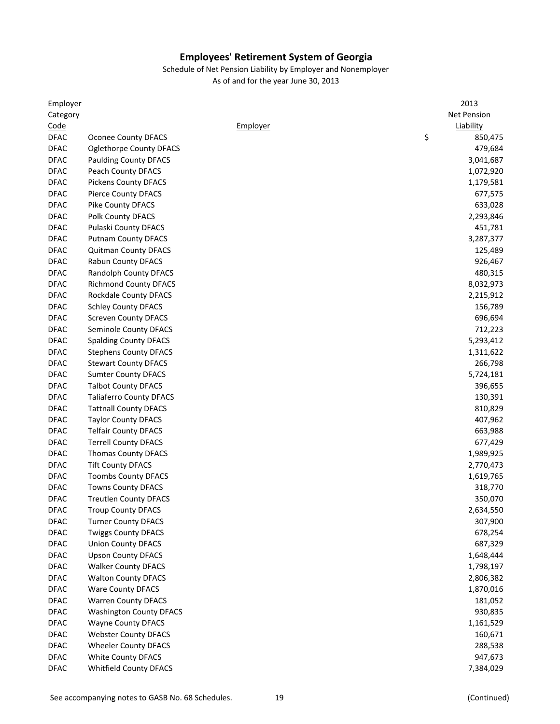| Employer    |                                |          | 2013          |
|-------------|--------------------------------|----------|---------------|
| Category    |                                |          | Net Pension   |
| Code        |                                | Employer | Liability     |
| <b>DFAC</b> | <b>Oconee County DFACS</b>     |          | \$<br>850,475 |
| <b>DFAC</b> | Oglethorpe County DFACS        |          | 479,684       |
| <b>DFAC</b> | <b>Paulding County DFACS</b>   |          | 3,041,687     |
| <b>DFAC</b> | Peach County DFACS             |          | 1,072,920     |
| <b>DFAC</b> | <b>Pickens County DFACS</b>    |          | 1,179,581     |
| <b>DFAC</b> | <b>Pierce County DFACS</b>     |          | 677,575       |
| <b>DFAC</b> | Pike County DFACS              |          | 633,028       |
| <b>DFAC</b> | Polk County DFACS              |          | 2,293,846     |
| <b>DFAC</b> | <b>Pulaski County DFACS</b>    |          | 451,781       |
| <b>DFAC</b> | <b>Putnam County DFACS</b>     |          | 3,287,377     |
| <b>DFAC</b> | <b>Quitman County DFACS</b>    |          | 125,489       |
| <b>DFAC</b> | <b>Rabun County DFACS</b>      |          | 926,467       |
| <b>DFAC</b> | Randolph County DFACS          |          | 480,315       |
| <b>DFAC</b> | <b>Richmond County DFACS</b>   |          | 8,032,973     |
| <b>DFAC</b> | Rockdale County DFACS          |          | 2,215,912     |
| <b>DFAC</b> | <b>Schley County DFACS</b>     |          | 156,789       |
| <b>DFAC</b> | <b>Screven County DFACS</b>    |          | 696,694       |
| <b>DFAC</b> | Seminole County DFACS          |          | 712,223       |
| <b>DFAC</b> | <b>Spalding County DFACS</b>   |          | 5,293,412     |
| <b>DFAC</b> | <b>Stephens County DFACS</b>   |          | 1,311,622     |
| <b>DFAC</b> | <b>Stewart County DFACS</b>    |          | 266,798       |
| <b>DFAC</b> | <b>Sumter County DFACS</b>     |          | 5,724,181     |
| <b>DFAC</b> | <b>Talbot County DFACS</b>     |          | 396,655       |
| <b>DFAC</b> | <b>Taliaferro County DFACS</b> |          | 130,391       |
| <b>DFAC</b> | <b>Tattnall County DFACS</b>   |          | 810,829       |
| <b>DFAC</b> | <b>Taylor County DFACS</b>     |          | 407,962       |
| <b>DFAC</b> | <b>Telfair County DFACS</b>    |          | 663,988       |
| <b>DFAC</b> | <b>Terrell County DFACS</b>    |          | 677,429       |
| <b>DFAC</b> | <b>Thomas County DFACS</b>     |          | 1,989,925     |
| <b>DFAC</b> | <b>Tift County DFACS</b>       |          | 2,770,473     |
| <b>DFAC</b> | <b>Toombs County DFACS</b>     |          | 1,619,765     |
| <b>DFAC</b> | <b>Towns County DFACS</b>      |          | 318,770       |
| <b>DFAC</b> | <b>Treutlen County DFACS</b>   |          | 350,070       |
| <b>DFAC</b> | <b>Troup County DFACS</b>      |          | 2,634,550     |
| <b>DFAC</b> | <b>Turner County DFACS</b>     |          | 307,900       |
| <b>DFAC</b> | <b>Twiggs County DFACS</b>     |          | 678,254       |
| <b>DFAC</b> | <b>Union County DFACS</b>      |          | 687,329       |
| <b>DFAC</b> | <b>Upson County DFACS</b>      |          | 1,648,444     |
| <b>DFAC</b> | <b>Walker County DFACS</b>     |          | 1,798,197     |
| <b>DFAC</b> | <b>Walton County DFACS</b>     |          | 2,806,382     |
| <b>DFAC</b> | <b>Ware County DFACS</b>       |          | 1,870,016     |
| <b>DFAC</b> | <b>Warren County DFACS</b>     |          | 181,052       |
| <b>DFAC</b> | <b>Washington County DFACS</b> |          | 930,835       |
| <b>DFAC</b> | <b>Wayne County DFACS</b>      |          | 1,161,529     |
| <b>DFAC</b> | <b>Webster County DFACS</b>    |          | 160,671       |
| <b>DFAC</b> | <b>Wheeler County DFACS</b>    |          | 288,538       |
| <b>DFAC</b> | <b>White County DFACS</b>      |          | 947,673       |
| <b>DFAC</b> | <b>Whitfield County DFACS</b>  |          | 7,384,029     |
|             |                                |          |               |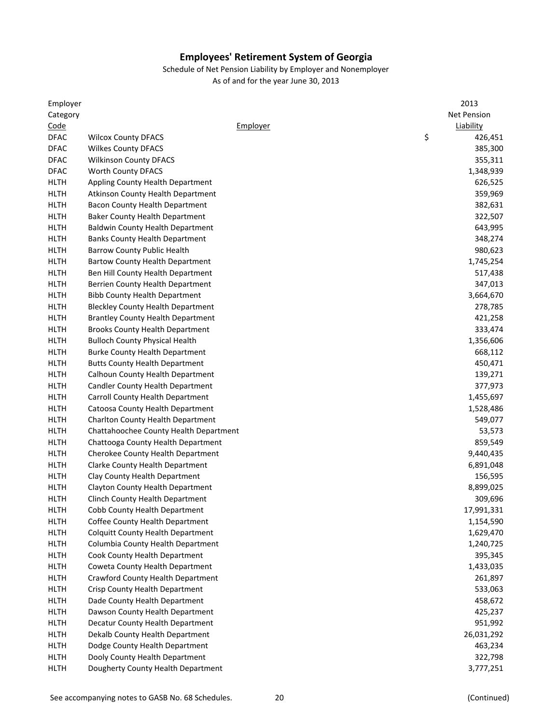| Employer    |                                          | 2013               |
|-------------|------------------------------------------|--------------------|
| Category    |                                          | <b>Net Pension</b> |
| Code        | Employer                                 | Liability          |
| <b>DFAC</b> | <b>Wilcox County DFACS</b>               | \$<br>426,451      |
| <b>DFAC</b> | <b>Wilkes County DFACS</b>               | 385,300            |
| <b>DFAC</b> | <b>Wilkinson County DFACS</b>            | 355,311            |
| <b>DFAC</b> | Worth County DFACS                       | 1,348,939          |
| <b>HLTH</b> | Appling County Health Department         | 626,525            |
| <b>HLTH</b> | <b>Atkinson County Health Department</b> | 359,969            |
| <b>HLTH</b> | Bacon County Health Department           | 382,631            |
| <b>HLTH</b> | <b>Baker County Health Department</b>    | 322,507            |
| <b>HLTH</b> | <b>Baldwin County Health Department</b>  | 643,995            |
| <b>HLTH</b> | <b>Banks County Health Department</b>    | 348,274            |
| <b>HLTH</b> | Barrow County Public Health              | 980,623            |
| <b>HLTH</b> | <b>Bartow County Health Department</b>   | 1,745,254          |
| <b>HLTH</b> | Ben Hill County Health Department        | 517,438            |
| <b>HLTH</b> | Berrien County Health Department         | 347,013            |
| <b>HLTH</b> | <b>Bibb County Health Department</b>     | 3,664,670          |
| <b>HLTH</b> | <b>Bleckley County Health Department</b> | 278,785            |
| <b>HLTH</b> | <b>Brantley County Health Department</b> | 421,258            |
| <b>HLTH</b> | <b>Brooks County Health Department</b>   | 333,474            |
| <b>HLTH</b> | <b>Bulloch County Physical Health</b>    | 1,356,606          |
| <b>HLTH</b> | <b>Burke County Health Department</b>    | 668,112            |
| <b>HLTH</b> | <b>Butts County Health Department</b>    | 450,471            |
| <b>HLTH</b> | Calhoun County Health Department         | 139,271            |
| <b>HLTH</b> | <b>Candler County Health Department</b>  | 377,973            |
| <b>HLTH</b> | Carroll County Health Department         | 1,455,697          |
| <b>HLTH</b> | Catoosa County Health Department         | 1,528,486          |
| <b>HLTH</b> | <b>Charlton County Health Department</b> | 549,077            |
| <b>HLTH</b> | Chattahoochee County Health Department   | 53,573             |
| <b>HLTH</b> | Chattooga County Health Department       | 859,549            |
| HLTH        | Cherokee County Health Department        | 9,440,435          |
| <b>HLTH</b> | Clarke County Health Department          | 6,891,048          |
| <b>HLTH</b> | Clay County Health Department            | 156,595            |
| <b>HLTH</b> | Clayton County Health Department         | 8,899,025          |
| <b>HLTH</b> | Clinch County Health Department          | 309,696            |
| <b>HLTH</b> | Cobb County Health Department            | 17,991,331         |
| <b>HLTH</b> | Coffee County Health Department          | 1,154,590          |
| <b>HLTH</b> | <b>Colquitt County Health Department</b> | 1,629,470          |
| <b>HLTH</b> | Columbia County Health Department        | 1,240,725          |
| <b>HLTH</b> | Cook County Health Department            | 395,345            |
| <b>HLTH</b> | Coweta County Health Department          | 1,433,035          |
| <b>HLTH</b> | Crawford County Health Department        | 261,897            |
| <b>HLTH</b> | Crisp County Health Department           | 533,063            |
| <b>HLTH</b> | Dade County Health Department            | 458,672            |
| <b>HLTH</b> | Dawson County Health Department          | 425,237            |
| <b>HLTH</b> | Decatur County Health Department         | 951,992            |
| <b>HLTH</b> | Dekalb County Health Department          | 26,031,292         |
| <b>HLTH</b> | Dodge County Health Department           | 463,234            |
| <b>HLTH</b> | Dooly County Health Department           | 322,798            |
| <b>HLTH</b> | Dougherty County Health Department       | 3,777,251          |
|             |                                          |                    |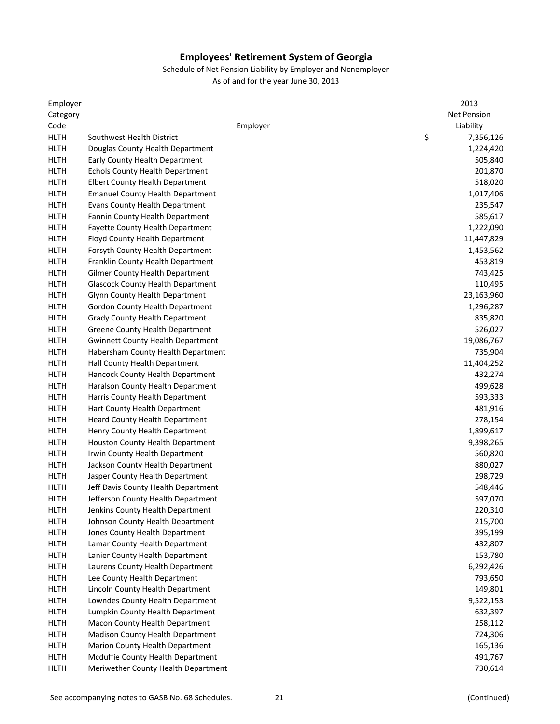| Employer    |                                          |          | 2013               |
|-------------|------------------------------------------|----------|--------------------|
| Category    |                                          |          | <b>Net Pension</b> |
| Code        |                                          | Employer | Liability          |
| <b>HLTH</b> | Southwest Health District                |          | \$<br>7,356,126    |
| <b>HLTH</b> | Douglas County Health Department         |          | 1,224,420          |
| <b>HLTH</b> | Early County Health Department           |          | 505,840            |
| <b>HLTH</b> | <b>Echols County Health Department</b>   |          | 201,870            |
| <b>HLTH</b> | <b>Elbert County Health Department</b>   |          | 518,020            |
| <b>HLTH</b> | <b>Emanuel County Health Department</b>  |          | 1,017,406          |
| <b>HLTH</b> | <b>Evans County Health Department</b>    |          | 235,547            |
| <b>HLTH</b> | Fannin County Health Department          |          | 585,617            |
| <b>HLTH</b> | Fayette County Health Department         |          | 1,222,090          |
| <b>HLTH</b> | Floyd County Health Department           |          | 11,447,829         |
| <b>HLTH</b> | Forsyth County Health Department         |          | 1,453,562          |
| <b>HLTH</b> | Franklin County Health Department        |          | 453,819            |
| <b>HLTH</b> | Gilmer County Health Department          |          | 743,425            |
| <b>HLTH</b> | <b>Glascock County Health Department</b> |          | 110,495            |
| <b>HLTH</b> | Glynn County Health Department           |          | 23,163,960         |
| <b>HLTH</b> | Gordon County Health Department          |          | 1,296,287          |
| <b>HLTH</b> | <b>Grady County Health Department</b>    |          | 835,820            |
| <b>HLTH</b> | <b>Greene County Health Department</b>   |          | 526,027            |
| <b>HLTH</b> | <b>Gwinnett County Health Department</b> |          | 19,086,767         |
| <b>HLTH</b> | Habersham County Health Department       |          | 735,904            |
| <b>HLTH</b> | Hall County Health Department            |          | 11,404,252         |
| <b>HLTH</b> | Hancock County Health Department         |          | 432,274            |
| <b>HLTH</b> | Haralson County Health Department        |          | 499,628            |
| <b>HLTH</b> | Harris County Health Department          |          | 593,333            |
| <b>HLTH</b> | Hart County Health Department            |          | 481,916            |
| <b>HLTH</b> | <b>Heard County Health Department</b>    |          | 278,154            |
| <b>HLTH</b> | Henry County Health Department           |          | 1,899,617          |
| <b>HLTH</b> | Houston County Health Department         |          | 9,398,265          |
| <b>HLTH</b> | Irwin County Health Department           |          | 560,820            |
| <b>HLTH</b> | Jackson County Health Department         |          | 880,027            |
| <b>HLTH</b> | Jasper County Health Department          |          | 298,729            |
| <b>HLTH</b> | Jeff Davis County Health Department      |          | 548,446            |
| <b>HLTH</b> | Jefferson County Health Department       |          | 597,070            |
| <b>HLTH</b> | Jenkins County Health Department         |          | 220,310            |
| <b>HLTH</b> | Johnson County Health Department         |          | 215,700            |
| <b>HLTH</b> | Jones County Health Department           |          | 395,199            |
| <b>HLTH</b> | Lamar County Health Department           |          | 432,807            |
| <b>HLTH</b> | Lanier County Health Department          |          | 153,780            |
| <b>HLTH</b> | Laurens County Health Department         |          | 6,292,426          |
| <b>HLTH</b> | Lee County Health Department             |          | 793,650            |
| <b>HLTH</b> | Lincoln County Health Department         |          | 149,801            |
| <b>HLTH</b> | Lowndes County Health Department         |          | 9,522,153          |
| <b>HLTH</b> | Lumpkin County Health Department         |          | 632,397            |
| <b>HLTH</b> | Macon County Health Department           |          | 258,112            |
| <b>HLTH</b> | <b>Madison County Health Department</b>  |          | 724,306            |
| <b>HLTH</b> | Marion County Health Department          |          | 165,136            |
| <b>HLTH</b> | Mcduffie County Health Department        |          | 491,767            |
| <b>HLTH</b> | Meriwether County Health Department      |          | 730,614            |
|             |                                          |          |                    |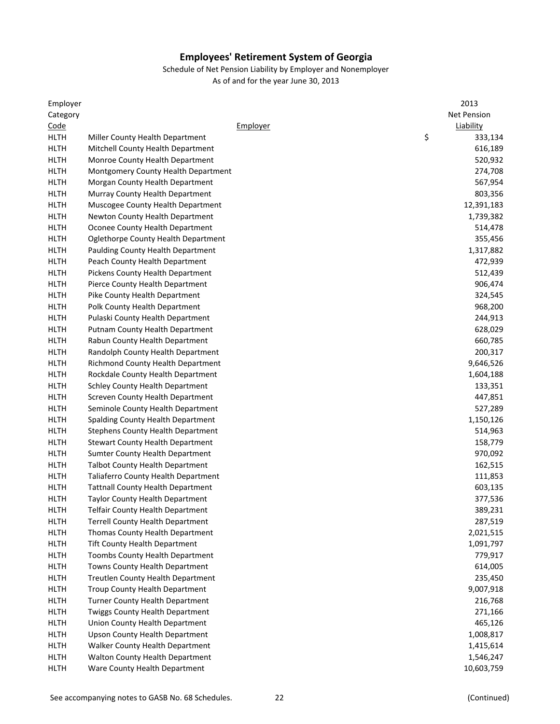| Category<br><b>Net Pension</b><br>Code<br>Liability<br>Employer<br>\$<br><b>HLTH</b><br>333,134<br>Miller County Health Department<br><b>HLTH</b><br>616,189<br>Mitchell County Health Department<br><b>HLTH</b><br>Monroe County Health Department<br>520,932<br><b>HLTH</b><br>Montgomery County Health Department<br>274,708<br><b>HLTH</b><br>Morgan County Health Department<br>567,954<br><b>HLTH</b><br>Murray County Health Department<br>803,356<br><b>HLTH</b><br>Muscogee County Health Department<br>12,391,183<br><b>HLTH</b><br>Newton County Health Department<br>1,739,382<br><b>HLTH</b><br>Oconee County Health Department<br>514,478<br><b>HLTH</b><br>Oglethorpe County Health Department<br>355,456<br><b>HLTH</b><br><b>Paulding County Health Department</b><br>1,317,882<br><b>HLTH</b><br>472,939<br>Peach County Health Department<br><b>HLTH</b><br>Pickens County Health Department<br>512,439<br><b>HLTH</b><br>Pierce County Health Department<br>906,474<br>324,545<br><b>HLTH</b><br>Pike County Health Department<br>968,200<br><b>HLTH</b><br>Polk County Health Department<br><b>HLTH</b><br>244,913<br>Pulaski County Health Department<br><b>HLTH</b><br>628,029<br><b>Putnam County Health Department</b><br><b>HLTH</b><br>660,785<br>Rabun County Health Department<br><b>HLTH</b><br>200,317<br>Randolph County Health Department<br><b>HLTH</b><br>9,646,526<br><b>Richmond County Health Department</b> |
|----------------------------------------------------------------------------------------------------------------------------------------------------------------------------------------------------------------------------------------------------------------------------------------------------------------------------------------------------------------------------------------------------------------------------------------------------------------------------------------------------------------------------------------------------------------------------------------------------------------------------------------------------------------------------------------------------------------------------------------------------------------------------------------------------------------------------------------------------------------------------------------------------------------------------------------------------------------------------------------------------------------------------------------------------------------------------------------------------------------------------------------------------------------------------------------------------------------------------------------------------------------------------------------------------------------------------------------------------------------------------------------------------------------------------------------------------|
|                                                                                                                                                                                                                                                                                                                                                                                                                                                                                                                                                                                                                                                                                                                                                                                                                                                                                                                                                                                                                                                                                                                                                                                                                                                                                                                                                                                                                                                    |
|                                                                                                                                                                                                                                                                                                                                                                                                                                                                                                                                                                                                                                                                                                                                                                                                                                                                                                                                                                                                                                                                                                                                                                                                                                                                                                                                                                                                                                                    |
|                                                                                                                                                                                                                                                                                                                                                                                                                                                                                                                                                                                                                                                                                                                                                                                                                                                                                                                                                                                                                                                                                                                                                                                                                                                                                                                                                                                                                                                    |
|                                                                                                                                                                                                                                                                                                                                                                                                                                                                                                                                                                                                                                                                                                                                                                                                                                                                                                                                                                                                                                                                                                                                                                                                                                                                                                                                                                                                                                                    |
|                                                                                                                                                                                                                                                                                                                                                                                                                                                                                                                                                                                                                                                                                                                                                                                                                                                                                                                                                                                                                                                                                                                                                                                                                                                                                                                                                                                                                                                    |
|                                                                                                                                                                                                                                                                                                                                                                                                                                                                                                                                                                                                                                                                                                                                                                                                                                                                                                                                                                                                                                                                                                                                                                                                                                                                                                                                                                                                                                                    |
|                                                                                                                                                                                                                                                                                                                                                                                                                                                                                                                                                                                                                                                                                                                                                                                                                                                                                                                                                                                                                                                                                                                                                                                                                                                                                                                                                                                                                                                    |
|                                                                                                                                                                                                                                                                                                                                                                                                                                                                                                                                                                                                                                                                                                                                                                                                                                                                                                                                                                                                                                                                                                                                                                                                                                                                                                                                                                                                                                                    |
|                                                                                                                                                                                                                                                                                                                                                                                                                                                                                                                                                                                                                                                                                                                                                                                                                                                                                                                                                                                                                                                                                                                                                                                                                                                                                                                                                                                                                                                    |
|                                                                                                                                                                                                                                                                                                                                                                                                                                                                                                                                                                                                                                                                                                                                                                                                                                                                                                                                                                                                                                                                                                                                                                                                                                                                                                                                                                                                                                                    |
|                                                                                                                                                                                                                                                                                                                                                                                                                                                                                                                                                                                                                                                                                                                                                                                                                                                                                                                                                                                                                                                                                                                                                                                                                                                                                                                                                                                                                                                    |
|                                                                                                                                                                                                                                                                                                                                                                                                                                                                                                                                                                                                                                                                                                                                                                                                                                                                                                                                                                                                                                                                                                                                                                                                                                                                                                                                                                                                                                                    |
|                                                                                                                                                                                                                                                                                                                                                                                                                                                                                                                                                                                                                                                                                                                                                                                                                                                                                                                                                                                                                                                                                                                                                                                                                                                                                                                                                                                                                                                    |
|                                                                                                                                                                                                                                                                                                                                                                                                                                                                                                                                                                                                                                                                                                                                                                                                                                                                                                                                                                                                                                                                                                                                                                                                                                                                                                                                                                                                                                                    |
|                                                                                                                                                                                                                                                                                                                                                                                                                                                                                                                                                                                                                                                                                                                                                                                                                                                                                                                                                                                                                                                                                                                                                                                                                                                                                                                                                                                                                                                    |
|                                                                                                                                                                                                                                                                                                                                                                                                                                                                                                                                                                                                                                                                                                                                                                                                                                                                                                                                                                                                                                                                                                                                                                                                                                                                                                                                                                                                                                                    |
|                                                                                                                                                                                                                                                                                                                                                                                                                                                                                                                                                                                                                                                                                                                                                                                                                                                                                                                                                                                                                                                                                                                                                                                                                                                                                                                                                                                                                                                    |
|                                                                                                                                                                                                                                                                                                                                                                                                                                                                                                                                                                                                                                                                                                                                                                                                                                                                                                                                                                                                                                                                                                                                                                                                                                                                                                                                                                                                                                                    |
|                                                                                                                                                                                                                                                                                                                                                                                                                                                                                                                                                                                                                                                                                                                                                                                                                                                                                                                                                                                                                                                                                                                                                                                                                                                                                                                                                                                                                                                    |
|                                                                                                                                                                                                                                                                                                                                                                                                                                                                                                                                                                                                                                                                                                                                                                                                                                                                                                                                                                                                                                                                                                                                                                                                                                                                                                                                                                                                                                                    |
|                                                                                                                                                                                                                                                                                                                                                                                                                                                                                                                                                                                                                                                                                                                                                                                                                                                                                                                                                                                                                                                                                                                                                                                                                                                                                                                                                                                                                                                    |
|                                                                                                                                                                                                                                                                                                                                                                                                                                                                                                                                                                                                                                                                                                                                                                                                                                                                                                                                                                                                                                                                                                                                                                                                                                                                                                                                                                                                                                                    |
|                                                                                                                                                                                                                                                                                                                                                                                                                                                                                                                                                                                                                                                                                                                                                                                                                                                                                                                                                                                                                                                                                                                                                                                                                                                                                                                                                                                                                                                    |
| <b>HLTH</b><br>Rockdale County Health Department<br>1,604,188                                                                                                                                                                                                                                                                                                                                                                                                                                                                                                                                                                                                                                                                                                                                                                                                                                                                                                                                                                                                                                                                                                                                                                                                                                                                                                                                                                                      |
| <b>HLTH</b><br><b>Schley County Health Department</b><br>133,351                                                                                                                                                                                                                                                                                                                                                                                                                                                                                                                                                                                                                                                                                                                                                                                                                                                                                                                                                                                                                                                                                                                                                                                                                                                                                                                                                                                   |
| <b>HLTH</b><br>Screven County Health Department<br>447,851                                                                                                                                                                                                                                                                                                                                                                                                                                                                                                                                                                                                                                                                                                                                                                                                                                                                                                                                                                                                                                                                                                                                                                                                                                                                                                                                                                                         |
| <b>HLTH</b><br>527,289<br>Seminole County Health Department                                                                                                                                                                                                                                                                                                                                                                                                                                                                                                                                                                                                                                                                                                                                                                                                                                                                                                                                                                                                                                                                                                                                                                                                                                                                                                                                                                                        |
| <b>HLTH</b><br>1,150,126<br><b>Spalding County Health Department</b>                                                                                                                                                                                                                                                                                                                                                                                                                                                                                                                                                                                                                                                                                                                                                                                                                                                                                                                                                                                                                                                                                                                                                                                                                                                                                                                                                                               |
| <b>HLTH</b><br><b>Stephens County Health Department</b><br>514,963                                                                                                                                                                                                                                                                                                                                                                                                                                                                                                                                                                                                                                                                                                                                                                                                                                                                                                                                                                                                                                                                                                                                                                                                                                                                                                                                                                                 |
| <b>HLTH</b><br>158,779<br><b>Stewart County Health Department</b>                                                                                                                                                                                                                                                                                                                                                                                                                                                                                                                                                                                                                                                                                                                                                                                                                                                                                                                                                                                                                                                                                                                                                                                                                                                                                                                                                                                  |
| <b>HLTH</b><br><b>Sumter County Health Department</b><br>970,092                                                                                                                                                                                                                                                                                                                                                                                                                                                                                                                                                                                                                                                                                                                                                                                                                                                                                                                                                                                                                                                                                                                                                                                                                                                                                                                                                                                   |
| <b>HLTH</b><br><b>Talbot County Health Department</b><br>162,515                                                                                                                                                                                                                                                                                                                                                                                                                                                                                                                                                                                                                                                                                                                                                                                                                                                                                                                                                                                                                                                                                                                                                                                                                                                                                                                                                                                   |
| <b>HLTH</b><br>111,853<br><b>Taliaferro County Health Department</b>                                                                                                                                                                                                                                                                                                                                                                                                                                                                                                                                                                                                                                                                                                                                                                                                                                                                                                                                                                                                                                                                                                                                                                                                                                                                                                                                                                               |
| <b>HLTH</b><br><b>Tattnall County Health Department</b><br>603,135                                                                                                                                                                                                                                                                                                                                                                                                                                                                                                                                                                                                                                                                                                                                                                                                                                                                                                                                                                                                                                                                                                                                                                                                                                                                                                                                                                                 |
| <b>HLTH</b><br>377,536<br><b>Taylor County Health Department</b>                                                                                                                                                                                                                                                                                                                                                                                                                                                                                                                                                                                                                                                                                                                                                                                                                                                                                                                                                                                                                                                                                                                                                                                                                                                                                                                                                                                   |
| 389,231<br><b>HLTH</b><br>Telfair County Health Department                                                                                                                                                                                                                                                                                                                                                                                                                                                                                                                                                                                                                                                                                                                                                                                                                                                                                                                                                                                                                                                                                                                                                                                                                                                                                                                                                                                         |
| 287,519<br><b>HLTH</b><br><b>Terrell County Health Department</b>                                                                                                                                                                                                                                                                                                                                                                                                                                                                                                                                                                                                                                                                                                                                                                                                                                                                                                                                                                                                                                                                                                                                                                                                                                                                                                                                                                                  |
| <b>HLTH</b><br>Thomas County Health Department<br>2,021,515                                                                                                                                                                                                                                                                                                                                                                                                                                                                                                                                                                                                                                                                                                                                                                                                                                                                                                                                                                                                                                                                                                                                                                                                                                                                                                                                                                                        |
| <b>HLTH</b><br><b>Tift County Health Department</b><br>1,091,797                                                                                                                                                                                                                                                                                                                                                                                                                                                                                                                                                                                                                                                                                                                                                                                                                                                                                                                                                                                                                                                                                                                                                                                                                                                                                                                                                                                   |
| <b>HLTH</b><br>Toombs County Health Department<br>779,917                                                                                                                                                                                                                                                                                                                                                                                                                                                                                                                                                                                                                                                                                                                                                                                                                                                                                                                                                                                                                                                                                                                                                                                                                                                                                                                                                                                          |
| <b>HLTH</b><br>Towns County Health Department<br>614,005                                                                                                                                                                                                                                                                                                                                                                                                                                                                                                                                                                                                                                                                                                                                                                                                                                                                                                                                                                                                                                                                                                                                                                                                                                                                                                                                                                                           |
| <b>HLTH</b><br>Treutlen County Health Department<br>235,450                                                                                                                                                                                                                                                                                                                                                                                                                                                                                                                                                                                                                                                                                                                                                                                                                                                                                                                                                                                                                                                                                                                                                                                                                                                                                                                                                                                        |
| <b>HLTH</b><br>Troup County Health Department<br>9,007,918                                                                                                                                                                                                                                                                                                                                                                                                                                                                                                                                                                                                                                                                                                                                                                                                                                                                                                                                                                                                                                                                                                                                                                                                                                                                                                                                                                                         |
| <b>HLTH</b><br>Turner County Health Department<br>216,768                                                                                                                                                                                                                                                                                                                                                                                                                                                                                                                                                                                                                                                                                                                                                                                                                                                                                                                                                                                                                                                                                                                                                                                                                                                                                                                                                                                          |
| <b>HLTH</b><br>Twiggs County Health Department<br>271,166                                                                                                                                                                                                                                                                                                                                                                                                                                                                                                                                                                                                                                                                                                                                                                                                                                                                                                                                                                                                                                                                                                                                                                                                                                                                                                                                                                                          |
| <b>HLTH</b><br>Union County Health Department<br>465,126                                                                                                                                                                                                                                                                                                                                                                                                                                                                                                                                                                                                                                                                                                                                                                                                                                                                                                                                                                                                                                                                                                                                                                                                                                                                                                                                                                                           |
| <b>HLTH</b><br><b>Upson County Health Department</b><br>1,008,817                                                                                                                                                                                                                                                                                                                                                                                                                                                                                                                                                                                                                                                                                                                                                                                                                                                                                                                                                                                                                                                                                                                                                                                                                                                                                                                                                                                  |
| <b>HLTH</b><br>Walker County Health Department<br>1,415,614                                                                                                                                                                                                                                                                                                                                                                                                                                                                                                                                                                                                                                                                                                                                                                                                                                                                                                                                                                                                                                                                                                                                                                                                                                                                                                                                                                                        |
| <b>HLTH</b><br>Walton County Health Department<br>1,546,247                                                                                                                                                                                                                                                                                                                                                                                                                                                                                                                                                                                                                                                                                                                                                                                                                                                                                                                                                                                                                                                                                                                                                                                                                                                                                                                                                                                        |
| <b>HLTH</b><br>Ware County Health Department<br>10,603,759                                                                                                                                                                                                                                                                                                                                                                                                                                                                                                                                                                                                                                                                                                                                                                                                                                                                                                                                                                                                                                                                                                                                                                                                                                                                                                                                                                                         |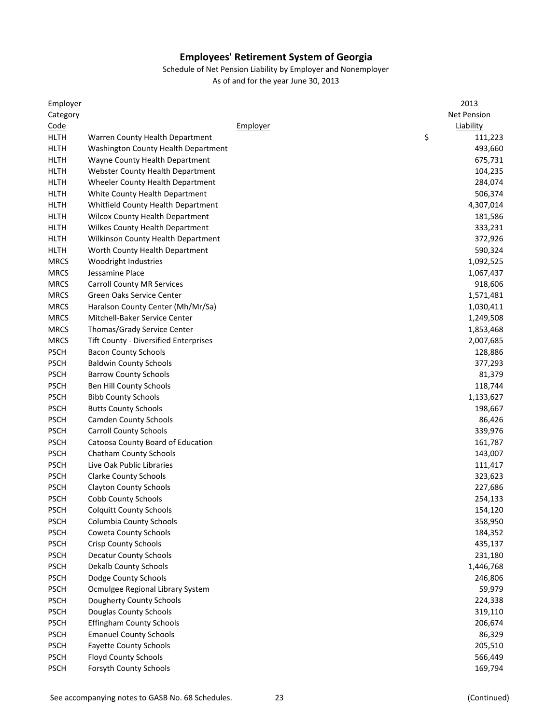#### Schedule of Net Pension Liability by Employer and Nonemployer As of and for the year June 30, 2013

Employer 2013 Category Net Pension Code Employer Liability HLTH Warren County Health Department **111,223** 3 111,223 HLTH Washington County Health Department 493,660 HLTH Wayne County Health Department 675,731 HLTH Webster County Health Department 104,235 HLTH Wheeler County Health Department 284,074 HLTH White County Health Department 506,374 HLTH Whitfield County Health Department 4,307,014 HLTH Wilcox County Health Department 181,586 and 181,586 HLTH Wilkes County Health Department 333,231 HLTH Wilkinson County Health Department 372,926 HLTH Worth County Health Department 590,324 MRCS Woodright Industries 1,092,525 MRCS Jessamine Place 1,067,437 MRCS Carroll County MR Services 618,606 and 2018,606 and 2018,606 and 2018,606 and 2018,606 and 2018,606 and 2018,606 and 2018,606 and 2018,606 and 2018,606 and 2018,606 and 2018,606 and 2018,606 and 2018 and 2018 and 2018 MRCS Green Oaks Service Center 1,571,481 MRCS Haralson County Center (Mh/Mr/Sa) 1,030,411 MRCS Mitchell-Baker Service Center 1,249,508 MRCS Thomas/Grady Service Center 1,853,468 MRCS Tift County - Diversified Enterprises 2,007,685 PSCH Bacon County Schools **128,886** PSCH Baldwin County Schools 377,293 PSCH Barrow County Schools 81,379 PSCH Ben Hill County Schools **118,744** PSCH Bibb County Schools 1,133,627 PSCH Butts County Schools **198,667** PSCH Camden County Schools **86,426** PSCH Carroll County Schools 239,976 PSCH Catoosa County Board of Education 161,787 PSCH Chatham County Schools **143,007 Chatham County Schools** 15 PSCH Live Oak Public Libraries 111,417 PSCH Clarke County Schools **323,623** PSCH Clayton County Schools 227,686 PSCH Cobb County Schools 254,133 PSCH Colquitt County Schools 154,120 PSCH Columbia County Schools 358,950 PSCH Coweta County Schools **184,352** PSCH Crisp County Schools 435,137 PSCH Decatur County Schools 231,180 PSCH Dekalb County Schools **1,446,768** PSCH Dodge County Schools 2006 2006 2007 2007 2007 2008 2007 2007 2008 2007 2008 2007 2008 2007 2008 2007 2008 201 PSCH Ocmulgee Regional Library System 59,979 PSCH Dougherty County Schools 224,338 PSCH Douglas County Schools 319,110 PSCH Effingham County Schools 206,674 PSCH Emanuel County Schools **Emanuel County Schools** 86,329 PSCH Fayette County Schools 205,510 PSCH Floyd County Schools 566,449 PSCH Forsyth County Schools **169,794** PSCH Forsyth County Schools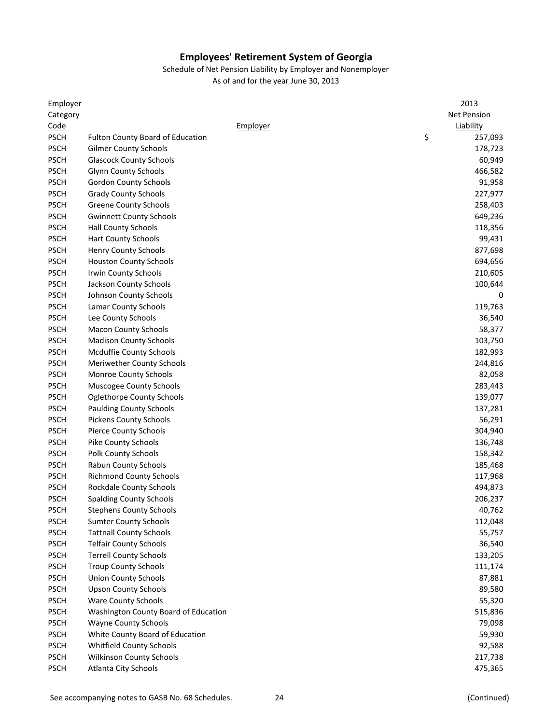| Employer    |                                      | 2013          |
|-------------|--------------------------------------|---------------|
| Category    |                                      | Net Pension   |
| Code        | Employer                             | Liability     |
| <b>PSCH</b> | Fulton County Board of Education     | \$<br>257,093 |
| <b>PSCH</b> | <b>Gilmer County Schools</b>         | 178,723       |
| <b>PSCH</b> | <b>Glascock County Schools</b>       | 60,949        |
| <b>PSCH</b> | <b>Glynn County Schools</b>          | 466,582       |
| <b>PSCH</b> | <b>Gordon County Schools</b>         | 91,958        |
| <b>PSCH</b> | <b>Grady County Schools</b>          | 227,977       |
| <b>PSCH</b> | <b>Greene County Schools</b>         | 258,403       |
| <b>PSCH</b> | <b>Gwinnett County Schools</b>       | 649,236       |
| <b>PSCH</b> | <b>Hall County Schools</b>           | 118,356       |
| <b>PSCH</b> | <b>Hart County Schools</b>           | 99,431        |
| <b>PSCH</b> | <b>Henry County Schools</b>          | 877,698       |
| <b>PSCH</b> | <b>Houston County Schools</b>        | 694,656       |
| <b>PSCH</b> | Irwin County Schools                 | 210,605       |
| <b>PSCH</b> | Jackson County Schools               | 100,644       |
| <b>PSCH</b> | Johnson County Schools               | 0             |
| <b>PSCH</b> | Lamar County Schools                 | 119,763       |
| <b>PSCH</b> | Lee County Schools                   | 36,540        |
| <b>PSCH</b> | <b>Macon County Schools</b>          | 58,377        |
| <b>PSCH</b> | <b>Madison County Schools</b>        | 103,750       |
| <b>PSCH</b> | <b>Mcduffie County Schools</b>       | 182,993       |
| <b>PSCH</b> | Meriwether County Schools            | 244,816       |
| <b>PSCH</b> | Monroe County Schools                | 82,058        |
| <b>PSCH</b> | Muscogee County Schools              | 283,443       |
| <b>PSCH</b> | <b>Oglethorpe County Schools</b>     | 139,077       |
| <b>PSCH</b> | <b>Paulding County Schools</b>       | 137,281       |
| <b>PSCH</b> | <b>Pickens County Schools</b>        | 56,291        |
|             |                                      |               |
| <b>PSCH</b> | <b>Pierce County Schools</b>         | 304,940       |
| <b>PSCH</b> | Pike County Schools                  | 136,748       |
| <b>PSCH</b> | Polk County Schools                  | 158,342       |
| <b>PSCH</b> | Rabun County Schools                 | 185,468       |
| <b>PSCH</b> | <b>Richmond County Schools</b>       | 117,968       |
| <b>PSCH</b> | Rockdale County Schools              | 494,873       |
| <b>PSCH</b> | <b>Spalding County Schools</b>       | 206,237       |
| <b>PSCH</b> | <b>Stephens County Schools</b>       | 40,762        |
| <b>PSCH</b> | <b>Sumter County Schools</b>         | 112,048       |
| <b>PSCH</b> | <b>Tattnall County Schools</b>       | 55,757        |
| <b>PSCH</b> | <b>Telfair County Schools</b>        | 36,540        |
| <b>PSCH</b> | <b>Terrell County Schools</b>        | 133,205       |
| <b>PSCH</b> | <b>Troup County Schools</b>          | 111,174       |
| <b>PSCH</b> | <b>Union County Schools</b>          | 87,881        |
| <b>PSCH</b> | <b>Upson County Schools</b>          | 89,580        |
| <b>PSCH</b> | <b>Ware County Schools</b>           | 55,320        |
| <b>PSCH</b> | Washington County Board of Education | 515,836       |
| <b>PSCH</b> | <b>Wayne County Schools</b>          | 79,098        |
| <b>PSCH</b> | White County Board of Education      | 59,930        |
| <b>PSCH</b> | Whitfield County Schools             | 92,588        |
| <b>PSCH</b> | Wilkinson County Schools             | 217,738       |
| <b>PSCH</b> | Atlanta City Schools                 | 475,365       |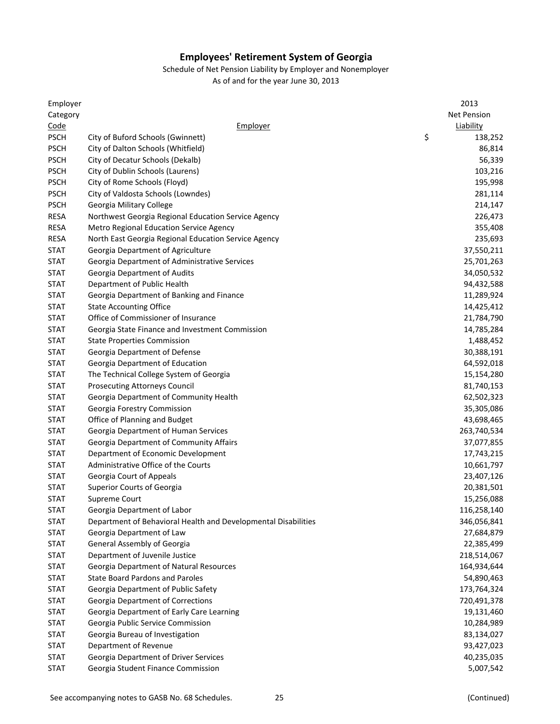Schedule of Net Pension Liability by Employer and Nonemployer

| Employer                   |                                                                | 2013          |
|----------------------------|----------------------------------------------------------------|---------------|
| Category                   |                                                                | Net Pension   |
| Code                       | Employer                                                       | Liability     |
| <b>PSCH</b>                | City of Buford Schools (Gwinnett)                              | \$<br>138,252 |
| <b>PSCH</b>                | City of Dalton Schools (Whitfield)                             | 86,814        |
| <b>PSCH</b>                | City of Decatur Schools (Dekalb)                               | 56,339        |
| <b>PSCH</b>                | City of Dublin Schools (Laurens)                               | 103,216       |
| <b>PSCH</b>                | City of Rome Schools (Floyd)                                   | 195,998       |
| <b>PSCH</b>                | City of Valdosta Schools (Lowndes)                             | 281,114       |
| <b>PSCH</b>                | Georgia Military College                                       | 214,147       |
| <b>RESA</b>                | Northwest Georgia Regional Education Service Agency            | 226,473       |
| <b>RESA</b>                | <b>Metro Regional Education Service Agency</b>                 | 355,408       |
| RESA                       | North East Georgia Regional Education Service Agency           | 235,693       |
| <b>STAT</b>                | Georgia Department of Agriculture                              | 37,550,211    |
| <b>STAT</b>                | Georgia Department of Administrative Services                  | 25,701,263    |
| <b>STAT</b>                | Georgia Department of Audits                                   | 34,050,532    |
| STAT                       | Department of Public Health                                    | 94,432,588    |
| <b>STAT</b>                | Georgia Department of Banking and Finance                      | 11,289,924    |
| <b>STAT</b>                | <b>State Accounting Office</b>                                 | 14,425,412    |
| <b>STAT</b>                | Office of Commissioner of Insurance                            | 21,784,790    |
| <b>STAT</b>                | Georgia State Finance and Investment Commission                | 14,785,284    |
| <b>STAT</b>                | <b>State Properties Commission</b>                             | 1,488,452     |
| <b>STAT</b>                | Georgia Department of Defense                                  | 30,388,191    |
| <b>STAT</b>                | Georgia Department of Education                                | 64,592,018    |
| <b>STAT</b>                | The Technical College System of Georgia                        | 15,154,280    |
| <b>STAT</b>                | <b>Prosecuting Attorneys Council</b>                           | 81,740,153    |
| <b>STAT</b>                | Georgia Department of Community Health                         | 62,502,323    |
| <b>STAT</b>                | Georgia Forestry Commission                                    | 35,305,086    |
| <b>STAT</b>                | Office of Planning and Budget                                  | 43,698,465    |
| <b>STAT</b>                | Georgia Department of Human Services                           | 263,740,534   |
| <b>STAT</b>                | Georgia Department of Community Affairs                        | 37,077,855    |
| <b>STAT</b>                | Department of Economic Development                             | 17,743,215    |
| <b>STAT</b>                | Administrative Office of the Courts                            | 10,661,797    |
| <b>STAT</b>                | Georgia Court of Appeals                                       | 23,407,126    |
| <b>STAT</b>                | Superior Courts of Georgia                                     | 20,381,501    |
| STAT                       | Supreme Court                                                  | 15,256,088    |
|                            | Georgia Department of Labor                                    | 116,258,140   |
| <b>STAT</b><br><b>STAT</b> | Department of Behavioral Health and Developmental Disabilities | 346,056,841   |
| <b>STAT</b>                | Georgia Department of Law                                      |               |
|                            |                                                                | 27,684,879    |
| <b>STAT</b>                | General Assembly of Georgia                                    | 22,385,499    |
| <b>STAT</b>                | Department of Juvenile Justice                                 | 218,514,067   |
| <b>STAT</b>                | Georgia Department of Natural Resources                        | 164,934,644   |
| <b>STAT</b>                | <b>State Board Pardons and Paroles</b>                         | 54,890,463    |
| <b>STAT</b>                | Georgia Department of Public Safety                            | 173,764,324   |
| <b>STAT</b>                | Georgia Department of Corrections                              | 720,491,378   |
| <b>STAT</b>                | Georgia Department of Early Care Learning                      | 19,131,460    |
| <b>STAT</b>                | Georgia Public Service Commission                              | 10,284,989    |
| <b>STAT</b>                | Georgia Bureau of Investigation                                | 83,134,027    |
| <b>STAT</b>                | Department of Revenue                                          | 93,427,023    |
| <b>STAT</b>                | Georgia Department of Driver Services                          | 40,235,035    |
| <b>STAT</b>                | Georgia Student Finance Commission                             | 5,007,542     |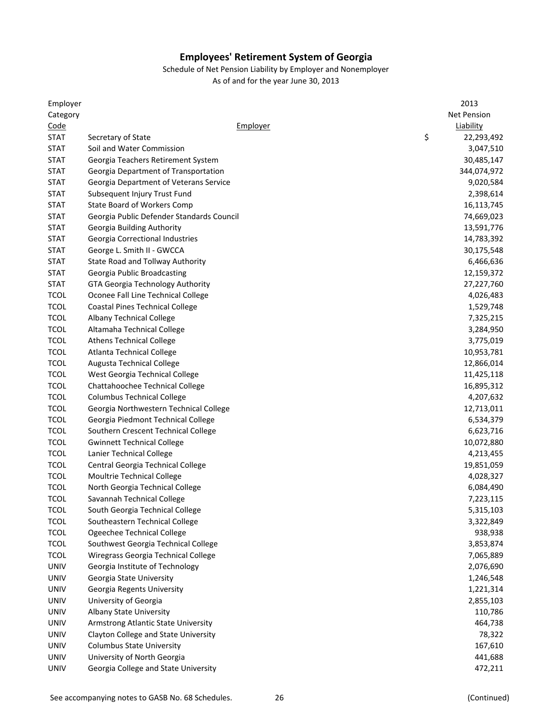Schedule of Net Pension Liability by Employer and Nonemployer

| Employer                   |                                                                   | 2013             |
|----------------------------|-------------------------------------------------------------------|------------------|
| Category                   |                                                                   | Net Pension      |
| Code                       | Employer                                                          | Liability        |
| STAT                       | Secretary of State                                                | \$<br>22,293,492 |
| <b>STAT</b>                | Soil and Water Commission                                         | 3,047,510        |
| <b>STAT</b>                | Georgia Teachers Retirement System                                | 30,485,147       |
| <b>STAT</b>                | Georgia Department of Transportation                              | 344,074,972      |
| <b>STAT</b>                | Georgia Department of Veterans Service                            | 9,020,584        |
| <b>STAT</b>                | Subsequent Injury Trust Fund                                      | 2,398,614        |
| <b>STAT</b>                | State Board of Workers Comp                                       | 16,113,745       |
| <b>STAT</b>                | Georgia Public Defender Standards Council                         | 74,669,023       |
| <b>STAT</b>                | Georgia Building Authority                                        | 13,591,776       |
| <b>STAT</b>                | Georgia Correctional Industries                                   | 14,783,392       |
| <b>STAT</b>                | George L. Smith II - GWCCA                                        | 30,175,548       |
| <b>STAT</b>                | State Road and Tollway Authority                                  | 6,466,636        |
| <b>STAT</b>                | Georgia Public Broadcasting                                       | 12,159,372       |
| <b>STAT</b>                | GTA Georgia Technology Authority                                  | 27,227,760       |
| <b>TCOL</b>                | Oconee Fall Line Technical College                                | 4,026,483        |
| <b>TCOL</b>                | <b>Coastal Pines Technical College</b>                            | 1,529,748        |
| <b>TCOL</b>                | <b>Albany Technical College</b>                                   | 7,325,215        |
| <b>TCOL</b>                | Altamaha Technical College                                        | 3,284,950        |
| <b>TCOL</b>                | <b>Athens Technical College</b>                                   | 3,775,019        |
| <b>TCOL</b>                | <b>Atlanta Technical College</b>                                  | 10,953,781       |
| <b>TCOL</b>                | <b>Augusta Technical College</b>                                  | 12,866,014       |
| <b>TCOL</b>                | West Georgia Technical College                                    | 11,425,118       |
| <b>TCOL</b>                | Chattahoochee Technical College                                   | 16,895,312       |
| <b>TCOL</b>                | <b>Columbus Technical College</b>                                 | 4,207,632        |
| <b>TCOL</b>                | Georgia Northwestern Technical College                            | 12,713,011       |
| <b>TCOL</b>                | Georgia Piedmont Technical College                                | 6,534,379        |
| <b>TCOL</b>                | Southern Crescent Technical College                               | 6,623,716        |
| <b>TCOL</b>                | <b>Gwinnett Technical College</b>                                 | 10,072,880       |
| <b>TCOL</b>                | Lanier Technical College                                          | 4,213,455        |
| <b>TCOL</b>                | Central Georgia Technical College                                 | 19,851,059       |
| <b>TCOL</b>                | Moultrie Technical College                                        | 4,028,327        |
| <b>TCOL</b>                | North Georgia Technical College                                   | 6,084,490        |
| <b>TCOL</b>                | Savannah Technical College                                        | 7,223,115        |
|                            |                                                                   | 5,315,103        |
| <b>TCOL</b><br><b>TCOL</b> | South Georgia Technical College<br>Southeastern Technical College |                  |
| <b>TCOL</b>                |                                                                   | 3,322,849        |
|                            | Ogeechee Technical College                                        | 938,938          |
| <b>TCOL</b><br><b>TCOL</b> | Southwest Georgia Technical College                               | 3,853,874        |
|                            | Wiregrass Georgia Technical College                               | 7,065,889        |
| UNIV                       | Georgia Institute of Technology                                   | 2,076,690        |
| <b>UNIV</b>                | Georgia State University                                          | 1,246,548        |
| <b>UNIV</b>                | Georgia Regents University                                        | 1,221,314        |
| <b>UNIV</b>                | University of Georgia                                             | 2,855,103        |
| <b>UNIV</b>                | Albany State University                                           | 110,786          |
| <b>UNIV</b>                | Armstrong Atlantic State University                               | 464,738          |
| <b>UNIV</b>                | Clayton College and State University                              | 78,322           |
| <b>UNIV</b>                | <b>Columbus State University</b>                                  | 167,610          |
| <b>UNIV</b>                | University of North Georgia                                       | 441,688          |
| <b>UNIV</b>                | Georgia College and State University                              | 472,211          |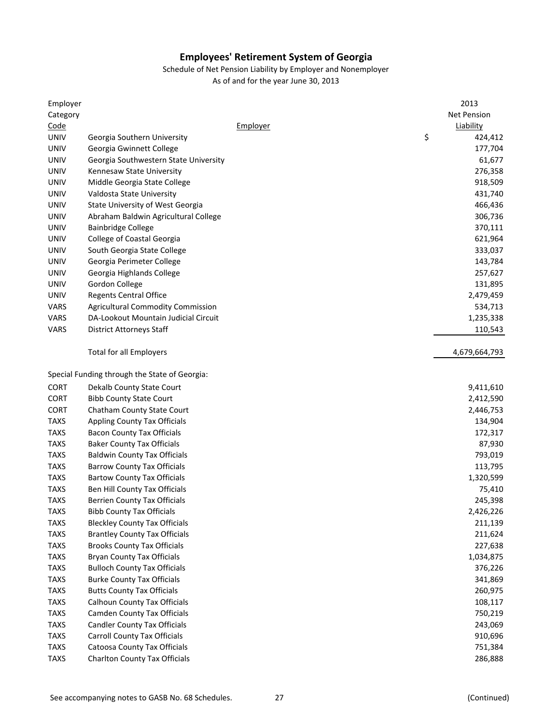Schedule of Net Pension Liability by Employer and Nonemployer

| Employer    |                                               |          | 2013               |
|-------------|-----------------------------------------------|----------|--------------------|
| Category    |                                               |          | <b>Net Pension</b> |
| Code        |                                               | Employer | <b>Liability</b>   |
| <b>UNIV</b> | Georgia Southern University                   |          | \$<br>424,412      |
| <b>UNIV</b> | Georgia Gwinnett College                      |          | 177,704            |
| <b>UNIV</b> | Georgia Southwestern State University         |          | 61,677             |
| <b>UNIV</b> | Kennesaw State University                     |          | 276,358            |
| <b>UNIV</b> | Middle Georgia State College                  |          | 918,509            |
| <b>UNIV</b> | Valdosta State University                     |          | 431,740            |
| <b>UNIV</b> | State University of West Georgia              |          | 466,436            |
| <b>UNIV</b> | Abraham Baldwin Agricultural College          |          | 306,736            |
| <b>UNIV</b> | <b>Bainbridge College</b>                     |          | 370,111            |
| <b>UNIV</b> | College of Coastal Georgia                    |          | 621,964            |
| <b>UNIV</b> | South Georgia State College                   |          | 333,037            |
| <b>UNIV</b> | Georgia Perimeter College                     |          | 143,784            |
| <b>UNIV</b> | Georgia Highlands College                     |          | 257,627            |
| <b>UNIV</b> | Gordon College                                |          | 131,895            |
| <b>UNIV</b> | <b>Regents Central Office</b>                 |          | 2,479,459          |
| VARS        | <b>Agricultural Commodity Commission</b>      |          | 534,713            |
| VARS        | DA-Lookout Mountain Judicial Circuit          |          | 1,235,338          |
| <b>VARS</b> | <b>District Attorneys Staff</b>               |          | 110,543            |
|             |                                               |          |                    |
|             | <b>Total for all Employers</b>                |          | 4,679,664,793      |
|             | Special Funding through the State of Georgia: |          |                    |
| <b>CORT</b> | Dekalb County State Court                     |          | 9,411,610          |
| <b>CORT</b> | <b>Bibb County State Court</b>                |          | 2,412,590          |
| <b>CORT</b> | Chatham County State Court                    |          | 2,446,753          |
| <b>TAXS</b> | <b>Appling County Tax Officials</b>           |          | 134,904            |
| <b>TAXS</b> | <b>Bacon County Tax Officials</b>             |          | 172,317            |
| <b>TAXS</b> | <b>Baker County Tax Officials</b>             |          | 87,930             |
| <b>TAXS</b> | <b>Baldwin County Tax Officials</b>           |          | 793,019            |
| <b>TAXS</b> | <b>Barrow County Tax Officials</b>            |          | 113,795            |
| <b>TAXS</b> | <b>Bartow County Tax Officials</b>            |          | 1,320,599          |
| <b>TAXS</b> | Ben Hill County Tax Officials                 |          | 75,410             |
| <b>TAXS</b> | <b>Berrien County Tax Officials</b>           |          | 245,398            |
| <b>TAXS</b> | <b>Bibb County Tax Officials</b>              |          | 2,426,226          |
| <b>TAXS</b> | <b>Bleckley County Tax Officials</b>          |          | 211,139            |
| <b>TAXS</b> | <b>Brantley County Tax Officials</b>          |          | 211,624            |
| <b>TAXS</b> | <b>Brooks County Tax Officials</b>            |          | 227,638            |
| <b>TAXS</b> | <b>Bryan County Tax Officials</b>             |          | 1,034,875          |
| <b>TAXS</b> | <b>Bulloch County Tax Officials</b>           |          | 376,226            |
| <b>TAXS</b> | <b>Burke County Tax Officials</b>             |          | 341,869            |
|             |                                               |          |                    |
| <b>TAXS</b> | <b>Butts County Tax Officials</b>             |          | 260,975            |
| <b>TAXS</b> | <b>Calhoun County Tax Officials</b>           |          | 108,117            |
| <b>TAXS</b> | <b>Camden County Tax Officials</b>            |          | 750,219            |
| <b>TAXS</b> | <b>Candler County Tax Officials</b>           |          | 243,069            |
| <b>TAXS</b> | <b>Carroll County Tax Officials</b>           |          | 910,696            |
| <b>TAXS</b> | Catoosa County Tax Officials                  |          | 751,384            |
| <b>TAXS</b> | <b>Charlton County Tax Officials</b>          |          | 286,888            |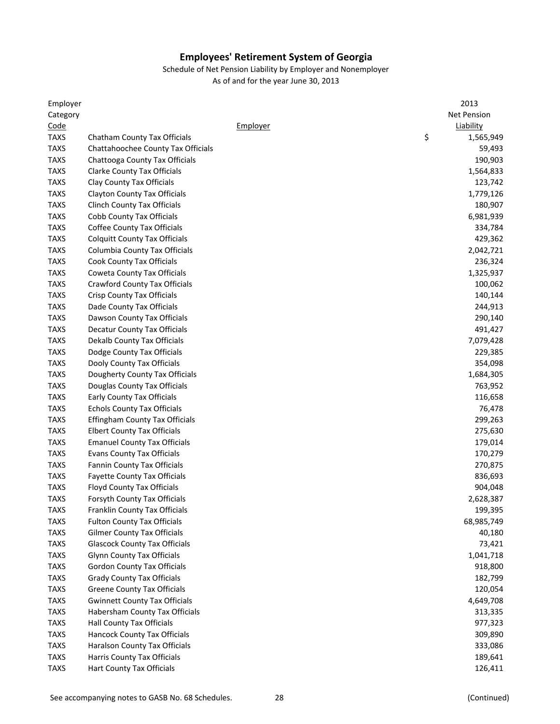| Employer    |                                       |          | 2013               |
|-------------|---------------------------------------|----------|--------------------|
| Category    |                                       |          | <b>Net Pension</b> |
| Code        |                                       | Employer | Liability          |
| <b>TAXS</b> | Chatham County Tax Officials          |          | \$<br>1,565,949    |
| <b>TAXS</b> | Chattahoochee County Tax Officials    |          | 59,493             |
| <b>TAXS</b> | Chattooga County Tax Officials        |          | 190,903            |
| <b>TAXS</b> | <b>Clarke County Tax Officials</b>    |          | 1,564,833          |
| <b>TAXS</b> | Clay County Tax Officials             |          | 123,742            |
| <b>TAXS</b> | <b>Clayton County Tax Officials</b>   |          | 1,779,126          |
| <b>TAXS</b> | Clinch County Tax Officials           |          | 180,907            |
| <b>TAXS</b> | <b>Cobb County Tax Officials</b>      |          | 6,981,939          |
| <b>TAXS</b> | Coffee County Tax Officials           |          | 334,784            |
| <b>TAXS</b> | <b>Colquitt County Tax Officials</b>  |          | 429,362            |
| <b>TAXS</b> | Columbia County Tax Officials         |          | 2,042,721          |
| <b>TAXS</b> | Cook County Tax Officials             |          | 236,324            |
| <b>TAXS</b> | Coweta County Tax Officials           |          | 1,325,937          |
| <b>TAXS</b> | <b>Crawford County Tax Officials</b>  |          | 100,062            |
| <b>TAXS</b> | Crisp County Tax Officials            |          | 140,144            |
| <b>TAXS</b> | Dade County Tax Officials             |          | 244,913            |
| <b>TAXS</b> | Dawson County Tax Officials           |          | 290,140            |
| <b>TAXS</b> | Decatur County Tax Officials          |          | 491,427            |
| <b>TAXS</b> | Dekalb County Tax Officials           |          | 7,079,428          |
| <b>TAXS</b> | Dodge County Tax Officials            |          | 229,385            |
| <b>TAXS</b> | Dooly County Tax Officials            |          | 354,098            |
| <b>TAXS</b> | Dougherty County Tax Officials        |          | 1,684,305          |
| <b>TAXS</b> | Douglas County Tax Officials          |          | 763,952            |
| <b>TAXS</b> | <b>Early County Tax Officials</b>     |          |                    |
| <b>TAXS</b> |                                       |          | 116,658            |
|             | <b>Echols County Tax Officials</b>    |          | 76,478             |
| <b>TAXS</b> | <b>Effingham County Tax Officials</b> |          | 299,263            |
| <b>TAXS</b> | <b>Elbert County Tax Officials</b>    |          | 275,630            |
| <b>TAXS</b> | <b>Emanuel County Tax Officials</b>   |          | 179,014            |
| <b>TAXS</b> | <b>Evans County Tax Officials</b>     |          | 170,279            |
| <b>TAXS</b> | Fannin County Tax Officials           |          | 270,875            |
| <b>TAXS</b> | <b>Fayette County Tax Officials</b>   |          | 836,693            |
| <b>TAXS</b> | <b>Floyd County Tax Officials</b>     |          | 904,048            |
| <b>TAXS</b> | Forsyth County Tax Officials          |          | 2,628,387          |
| <b>TAXS</b> | Franklin County Tax Officials         |          | 199,395            |
| <b>TAXS</b> | <b>Fulton County Tax Officials</b>    |          | 68,985,749         |
| <b>TAXS</b> | <b>Gilmer County Tax Officials</b>    |          | 40,180             |
| <b>TAXS</b> | <b>Glascock County Tax Officials</b>  |          | 73,421             |
| <b>TAXS</b> | <b>Glynn County Tax Officials</b>     |          | 1,041,718          |
| <b>TAXS</b> | <b>Gordon County Tax Officials</b>    |          | 918,800            |
| <b>TAXS</b> | <b>Grady County Tax Officials</b>     |          | 182,799            |
| <b>TAXS</b> | <b>Greene County Tax Officials</b>    |          | 120,054            |
| <b>TAXS</b> | <b>Gwinnett County Tax Officials</b>  |          | 4,649,708          |
| <b>TAXS</b> | Habersham County Tax Officials        |          | 313,335            |
| <b>TAXS</b> | <b>Hall County Tax Officials</b>      |          | 977,323            |
| <b>TAXS</b> | Hancock County Tax Officials          |          | 309,890            |
| <b>TAXS</b> | Haralson County Tax Officials         |          | 333,086            |
| <b>TAXS</b> | Harris County Tax Officials           |          | 189,641            |
| <b>TAXS</b> | Hart County Tax Officials             |          | 126,411            |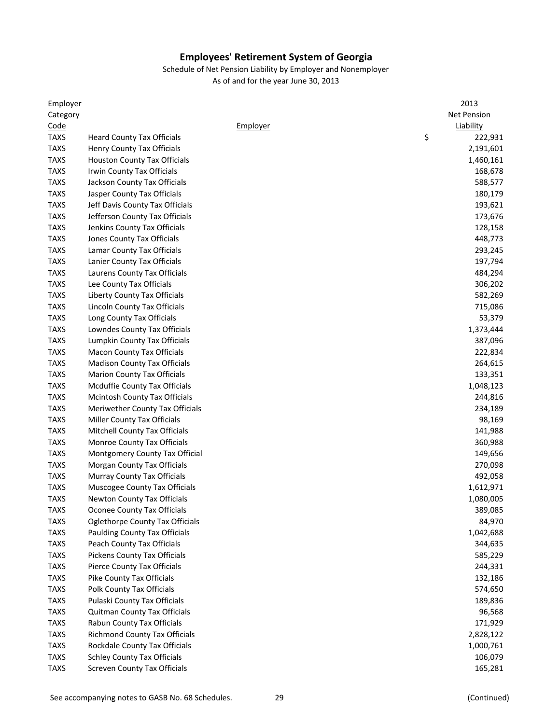| Employer    |                                                            |          | 2013          |
|-------------|------------------------------------------------------------|----------|---------------|
| Category    |                                                            |          | Net Pension   |
| Code        |                                                            | Employer | Liability     |
| <b>TAXS</b> | <b>Heard County Tax Officials</b>                          |          | \$<br>222,931 |
| <b>TAXS</b> | Henry County Tax Officials                                 |          | 2,191,601     |
| <b>TAXS</b> | <b>Houston County Tax Officials</b>                        |          | 1,460,161     |
| <b>TAXS</b> | Irwin County Tax Officials                                 |          | 168,678       |
| <b>TAXS</b> | Jackson County Tax Officials                               |          | 588,577       |
| <b>TAXS</b> | Jasper County Tax Officials                                |          | 180,179       |
| <b>TAXS</b> | Jeff Davis County Tax Officials                            |          | 193,621       |
| <b>TAXS</b> | Jefferson County Tax Officials                             |          | 173,676       |
| <b>TAXS</b> | Jenkins County Tax Officials                               |          | 128,158       |
| <b>TAXS</b> | Jones County Tax Officials                                 |          | 448,773       |
| <b>TAXS</b> | Lamar County Tax Officials                                 |          | 293,245       |
| <b>TAXS</b> | Lanier County Tax Officials                                |          | 197,794       |
| <b>TAXS</b> | Laurens County Tax Officials                               |          | 484,294       |
| <b>TAXS</b> | Lee County Tax Officials                                   |          | 306,202       |
| <b>TAXS</b> | Liberty County Tax Officials                               |          | 582,269       |
| <b>TAXS</b> | Lincoln County Tax Officials                               |          | 715,086       |
| <b>TAXS</b> | Long County Tax Officials                                  |          | 53,379        |
| <b>TAXS</b> | Lowndes County Tax Officials                               |          | 1,373,444     |
| <b>TAXS</b> | Lumpkin County Tax Officials                               |          | 387,096       |
| <b>TAXS</b> | <b>Macon County Tax Officials</b>                          |          | 222,834       |
| <b>TAXS</b> | <b>Madison County Tax Officials</b>                        |          | 264,615       |
| <b>TAXS</b> | <b>Marion County Tax Officials</b>                         |          | 133,351       |
| <b>TAXS</b> | Mcduffie County Tax Officials                              |          | 1,048,123     |
| <b>TAXS</b> | Mcintosh County Tax Officials                              |          | 244,816       |
| <b>TAXS</b> | Meriwether County Tax Officials                            |          | 234,189       |
| <b>TAXS</b> | <b>Miller County Tax Officials</b>                         |          | 98,169        |
| <b>TAXS</b> | Mitchell County Tax Officials                              |          | 141,988       |
| <b>TAXS</b> | Monroe County Tax Officials                                |          | 360,988       |
| <b>TAXS</b> | Montgomery County Tax Official                             |          | 149,656       |
| <b>TAXS</b> | Morgan County Tax Officials                                |          | 270,098       |
| <b>TAXS</b> | Murray County Tax Officials                                |          | 492,058       |
| <b>TAXS</b> | Muscogee County Tax Officials                              |          | 1,612,971     |
| <b>TAXS</b> | Newton County Tax Officials                                |          | 1,080,005     |
| <b>TAXS</b> | Oconee County Tax Officials                                |          | 389,085       |
| <b>TAXS</b> | Oglethorpe County Tax Officials                            |          | 84,970        |
| <b>TAXS</b> | <b>Paulding County Tax Officials</b>                       |          | 1,042,688     |
| <b>TAXS</b> | <b>Peach County Tax Officials</b>                          |          | 344,635       |
| <b>TAXS</b> | <b>Pickens County Tax Officials</b>                        |          | 585,229       |
| <b>TAXS</b> | <b>Pierce County Tax Officials</b>                         |          | 244,331       |
| <b>TAXS</b> | Pike County Tax Officials                                  |          | 132,186       |
| <b>TAXS</b> | Polk County Tax Officials                                  |          | 574,650       |
| <b>TAXS</b> | Pulaski County Tax Officials                               |          | 189,836       |
|             |                                                            |          |               |
| <b>TAXS</b> | Quitman County Tax Officials<br>Rabun County Tax Officials |          | 96,568        |
| <b>TAXS</b> |                                                            |          | 171,929       |
| <b>TAXS</b> | <b>Richmond County Tax Officials</b>                       |          | 2,828,122     |
| <b>TAXS</b> | Rockdale County Tax Officials                              |          | 1,000,761     |
| <b>TAXS</b> | <b>Schley County Tax Officials</b>                         |          | 106,079       |
| <b>TAXS</b> | <b>Screven County Tax Officials</b>                        |          | 165,281       |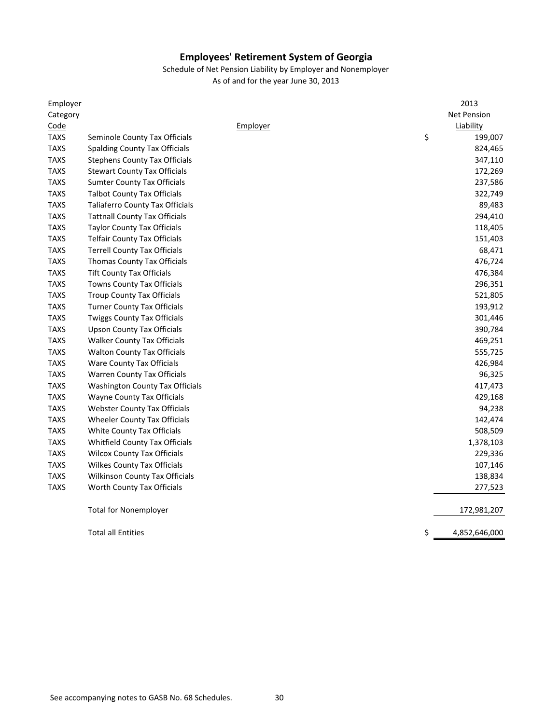| Employer    |                                        |          | 2013               |
|-------------|----------------------------------------|----------|--------------------|
| Category    |                                        |          | <b>Net Pension</b> |
| Code        |                                        | Employer | Liability          |
| <b>TAXS</b> | Seminole County Tax Officials          | \$       | 199,007            |
| <b>TAXS</b> | <b>Spalding County Tax Officials</b>   |          | 824,465            |
| <b>TAXS</b> | <b>Stephens County Tax Officials</b>   |          | 347,110            |
| <b>TAXS</b> | <b>Stewart County Tax Officials</b>    |          | 172,269            |
| <b>TAXS</b> | <b>Sumter County Tax Officials</b>     |          | 237,586            |
| <b>TAXS</b> | <b>Talbot County Tax Officials</b>     |          | 322,749            |
| <b>TAXS</b> | <b>Taliaferro County Tax Officials</b> |          | 89,483             |
| <b>TAXS</b> | <b>Tattnall County Tax Officials</b>   |          | 294,410            |
| <b>TAXS</b> | <b>Taylor County Tax Officials</b>     |          | 118,405            |
| <b>TAXS</b> | <b>Telfair County Tax Officials</b>    |          | 151,403            |
| <b>TAXS</b> | <b>Terrell County Tax Officials</b>    |          | 68,471             |
| <b>TAXS</b> | <b>Thomas County Tax Officials</b>     |          | 476,724            |
| <b>TAXS</b> | <b>Tift County Tax Officials</b>       |          | 476,384            |
| <b>TAXS</b> | <b>Towns County Tax Officials</b>      |          | 296,351            |
| <b>TAXS</b> | <b>Troup County Tax Officials</b>      |          | 521,805            |
| <b>TAXS</b> | <b>Turner County Tax Officials</b>     |          | 193,912            |
| <b>TAXS</b> | <b>Twiggs County Tax Officials</b>     |          | 301,446            |
| <b>TAXS</b> | <b>Upson County Tax Officials</b>      |          | 390,784            |
| <b>TAXS</b> | <b>Walker County Tax Officials</b>     |          | 469,251            |
| <b>TAXS</b> | <b>Walton County Tax Officials</b>     |          | 555,725            |
| <b>TAXS</b> | <b>Ware County Tax Officials</b>       |          | 426,984            |
| <b>TAXS</b> | <b>Warren County Tax Officials</b>     |          | 96,325             |
| <b>TAXS</b> | Washington County Tax Officials        |          | 417,473            |
| <b>TAXS</b> | <b>Wayne County Tax Officials</b>      |          | 429,168            |
| <b>TAXS</b> | <b>Webster County Tax Officials</b>    |          | 94,238             |
| <b>TAXS</b> | <b>Wheeler County Tax Officials</b>    |          | 142,474            |
| <b>TAXS</b> | White County Tax Officials             |          | 508,509            |
| <b>TAXS</b> | <b>Whitfield County Tax Officials</b>  |          | 1,378,103          |
| <b>TAXS</b> | <b>Wilcox County Tax Officials</b>     |          | 229,336            |
| <b>TAXS</b> | <b>Wilkes County Tax Officials</b>     |          | 107,146            |
| <b>TAXS</b> | <b>Wilkinson County Tax Officials</b>  |          | 138,834            |
| <b>TAXS</b> | Worth County Tax Officials             |          | 277,523            |
|             | <b>Total for Nonemployer</b>           |          | 172,981,207        |
|             | <b>Total all Entities</b>              | \$       | 4,852,646,000      |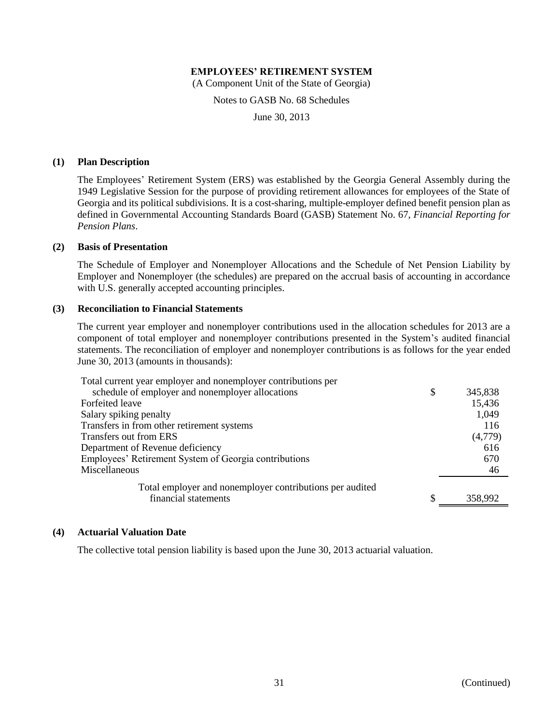(A Component Unit of the State of Georgia)

Notes to GASB No. 68 Schedules

June 30, 2013

#### **(1) Plan Description**

The Employees' Retirement System (ERS) was established by the Georgia General Assembly during the 1949 Legislative Session for the purpose of providing retirement allowances for employees of the State of Georgia and its political subdivisions. It is a cost-sharing, multiple-employer defined benefit pension plan as defined in Governmental Accounting Standards Board (GASB) Statement No. 67, *Financial Reporting for Pension Plans*.

# **(2) Basis of Presentation**

The Schedule of Employer and Nonemployer Allocations and the Schedule of Net Pension Liability by Employer and Nonemployer (the schedules) are prepared on the accrual basis of accounting in accordance with U.S. generally accepted accounting principles.

#### **(3) Reconciliation to Financial Statements**

The current year employer and nonemployer contributions used in the allocation schedules for 2013 are a component of total employer and nonemployer contributions presented in the System's audited financial statements. The reconciliation of employer and nonemployer contributions is as follows for the year ended June 30, 2013 (amounts in thousands):

| Total current year employer and nonemployer contributions per |    |         |
|---------------------------------------------------------------|----|---------|
| schedule of employer and nonemployer allocations              | \$ | 345,838 |
| Forfeited leave                                               |    | 15,436  |
| Salary spiking penalty                                        |    | 1,049   |
| Transfers in from other retirement systems                    |    | 116     |
| Transfers out from ERS                                        |    | (4,779) |
| Department of Revenue deficiency                              |    | 616     |
| Employees' Retirement System of Georgia contributions         |    | 670     |
| Miscellaneous                                                 |    | 46      |
| Total employer and nonemployer contributions per audited      |    |         |
| financial statements                                          |    | 358,992 |

#### **(4) Actuarial Valuation Date**

The collective total pension liability is based upon the June 30, 2013 actuarial valuation.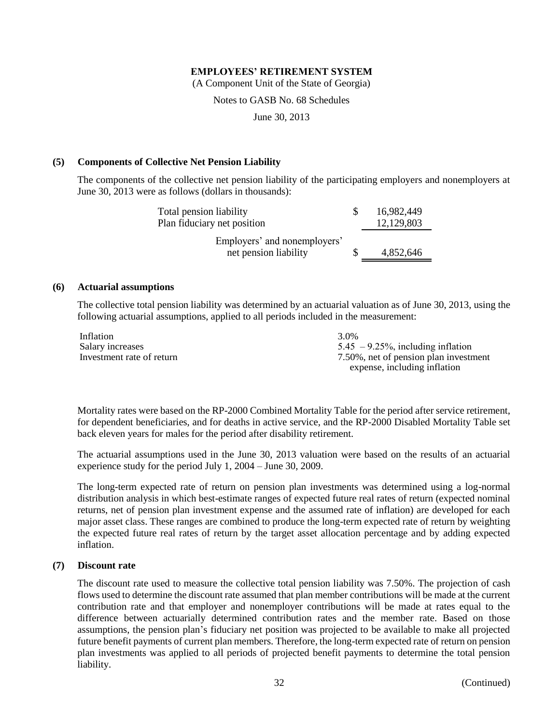(A Component Unit of the State of Georgia)

Notes to GASB No. 68 Schedules

June 30, 2013

#### **(5) Components of Collective Net Pension Liability**

The components of the collective net pension liability of the participating employers and nonemployers at June 30, 2013 were as follows (dollars in thousands):

| Total pension liability      |  | 16,982,449 |
|------------------------------|--|------------|
| Plan fiduciary net position  |  | 12,129,803 |
| Employers' and nonemployers' |  |            |
| net pension liability        |  | 4,852,646  |

## **(6) Actuarial assumptions**

The collective total pension liability was determined by an actuarial valuation as of June 30, 2013, using the following actuarial assumptions, applied to all periods included in the measurement:

| Inflation                 | 3.0%                                  |
|---------------------------|---------------------------------------|
| Salary increases          | $5.45 - 9.25\%$ , including inflation |
| Investment rate of return | 7.50%, net of pension plan investment |
|                           | expense, including inflation          |

Mortality rates were based on the RP-2000 Combined Mortality Table for the period after service retirement, for dependent beneficiaries, and for deaths in active service, and the RP-2000 Disabled Mortality Table set back eleven years for males for the period after disability retirement.

The actuarial assumptions used in the June 30, 2013 valuation were based on the results of an actuarial experience study for the period July 1, 2004 – June 30, 2009.

The long-term expected rate of return on pension plan investments was determined using a log-normal distribution analysis in which best-estimate ranges of expected future real rates of return (expected nominal returns, net of pension plan investment expense and the assumed rate of inflation) are developed for each major asset class. These ranges are combined to produce the long-term expected rate of return by weighting the expected future real rates of return by the target asset allocation percentage and by adding expected inflation.

#### **(7) Discount rate**

The discount rate used to measure the collective total pension liability was 7.50%. The projection of cash flows used to determine the discount rate assumed that plan member contributions will be made at the current contribution rate and that employer and nonemployer contributions will be made at rates equal to the difference between actuarially determined contribution rates and the member rate. Based on those assumptions, the pension plan's fiduciary net position was projected to be available to make all projected future benefit payments of current plan members. Therefore, the long-term expected rate of return on pension plan investments was applied to all periods of projected benefit payments to determine the total pension liability.